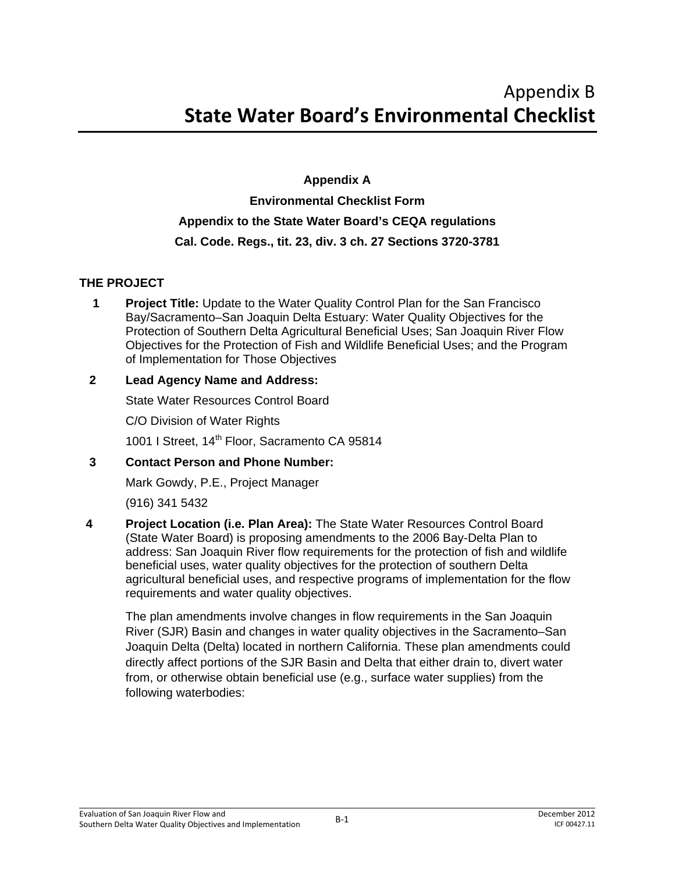# **Appendix A Environmental Checklist Form Appendix to the State Water Board's CEQA regulations Cal. Code. Regs., tit. 23, div. 3 ch. 27 Sections 3720-3781**

# **THE PROJECT**

**1** Project Title: Update to the Water Quality Control Plan for the San Francisco Bay/Sacramento–San Joaquin Delta Estuary: Water Quality Objectives for the Protection of Southern Delta Agricultural Beneficial Uses; San Joaquin River Flow Objectives for the Protection of Fish and Wildlife Beneficial Uses; and the Program of Implementation for Those Objectives

# **2 Lead Agency Name and Address:**

State Water Resources Control Board

C/O Division of Water Rights

1001 I Street, 14<sup>th</sup> Floor, Sacramento CA 95814

# **3 Contact Person and Phone Number:**

Mark Gowdy, P.E., Project Manager

(916) 341 5432

**4 Project Location (i.e. Plan Area):** The State Water Resources Control Board (State Water Board) is proposing amendments to the 2006 Bay-Delta Plan to address: San Joaquin River flow requirements for the protection of fish and wildlife beneficial uses, water quality objectives for the protection of southern Delta agricultural beneficial uses, and respective programs of implementation for the flow requirements and water quality objectives.

The plan amendments involve changes in flow requirements in the San Joaquin River (SJR) Basin and changes in water quality objectives in the Sacramento–San Joaquin Delta (Delta) located in northern California. These plan amendments could directly affect portions of the SJR Basin and Delta that either drain to, divert water from, or otherwise obtain beneficial use (e.g., surface water supplies) from the following waterbodies: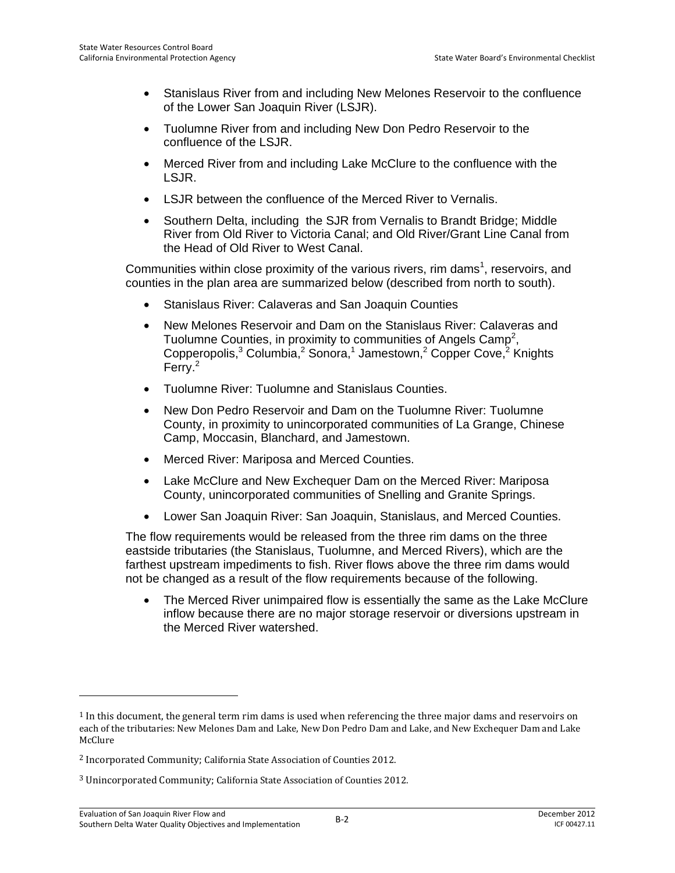- Stanislaus River from and including New Melones Reservoir to the confluence of the Lower San Joaquin River (LSJR).
- Tuolumne River from and including New Don Pedro Reservoir to the confluence of the LSJR.
- Merced River from and including Lake McClure to the confluence with the LSJR.
- LSJR between the confluence of the Merced River to Vernalis.
- Southern Delta, including the SJR from Vernalis to Brandt Bridge; Middle River from Old River to Victoria Canal; and Old River/Grant Line Canal from the Head of Old River to West Canal.

Communities within close proximity of the various rivers, rim dams<sup>1</sup>, reservoirs, and counties in the plan area are summarized below (described from north to south).

- Stanislaus River: Calaveras and San Joaquin Counties
- New Melones Reservoir and Dam on the Stanislaus River: Calaveras and Tuolumne Counties, in proximity to communities of Angels Camp<sup>2</sup>, Copperopolis,<sup>3</sup> Columbia,<sup>2</sup> Sonora,<sup>1</sup> Jamestown,<sup>2</sup> Copper Cove,<sup>2</sup> Knights Ferry.<sup>2</sup>
- Tuolumne River: Tuolumne and Stanislaus Counties.
- New Don Pedro Reservoir and Dam on the Tuolumne River: Tuolumne County, in proximity to unincorporated communities of La Grange, Chinese Camp, Moccasin, Blanchard, and Jamestown.
- Merced River: Mariposa and Merced Counties.
- Lake McClure and New Exchequer Dam on the Merced River: Mariposa County, unincorporated communities of Snelling and Granite Springs.
- Lower San Joaquin River: San Joaquin, Stanislaus, and Merced Counties.

The flow requirements would be released from the three rim dams on the three eastside tributaries (the Stanislaus, Tuolumne, and Merced Rivers), which are the farthest upstream impediments to fish. River flows above the three rim dams would not be changed as a result of the flow requirements because of the following.

• The Merced River unimpaired flow is essentially the same as the Lake McClure inflow because there are no major storage reservoir or diversions upstream in the Merced River watershed.

-

<sup>1</sup> In this document, the general term rim dams is used when referencing the three major dams and reservoirs on each of the tributaries: New Melones Dam and Lake, New Don Pedro Dam and Lake, and New Exchequer Dam and Lake McClure

<sup>2</sup> Incorporated Community; California State Association of Counties 2012.

<sup>3</sup> Unincorporated Community; California State Association of Counties 2012.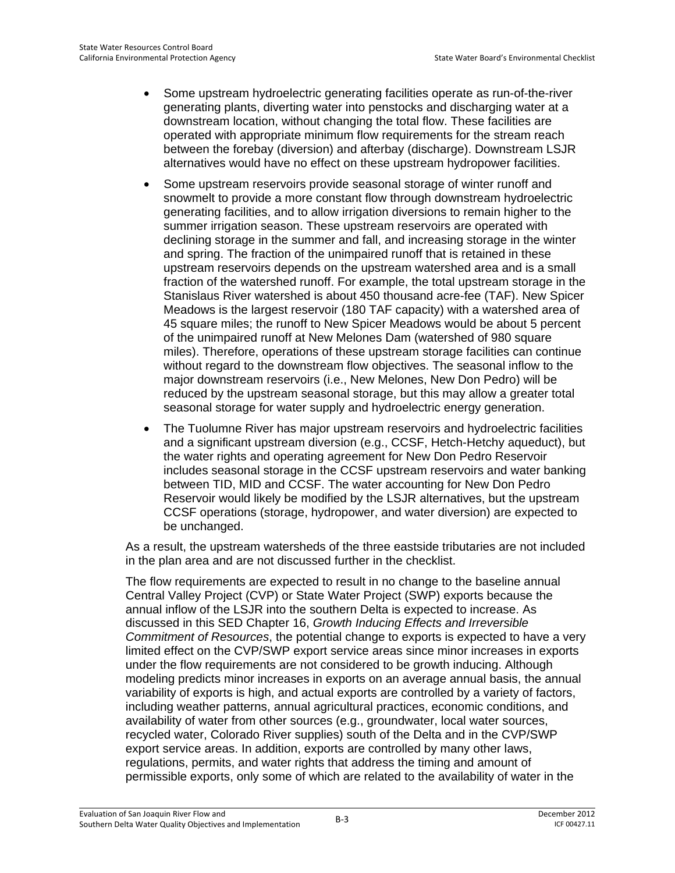- Some upstream hydroelectric generating facilities operate as run-of-the-river generating plants, diverting water into penstocks and discharging water at a downstream location, without changing the total flow. These facilities are operated with appropriate minimum flow requirements for the stream reach between the forebay (diversion) and afterbay (discharge). Downstream LSJR alternatives would have no effect on these upstream hydropower facilities.
- Some upstream reservoirs provide seasonal storage of winter runoff and snowmelt to provide a more constant flow through downstream hydroelectric generating facilities, and to allow irrigation diversions to remain higher to the summer irrigation season. These upstream reservoirs are operated with declining storage in the summer and fall, and increasing storage in the winter and spring. The fraction of the unimpaired runoff that is retained in these upstream reservoirs depends on the upstream watershed area and is a small fraction of the watershed runoff. For example, the total upstream storage in the Stanislaus River watershed is about 450 thousand acre-fee (TAF). New Spicer Meadows is the largest reservoir (180 TAF capacity) with a watershed area of 45 square miles; the runoff to New Spicer Meadows would be about 5 percent of the unimpaired runoff at New Melones Dam (watershed of 980 square miles). Therefore, operations of these upstream storage facilities can continue without regard to the downstream flow objectives. The seasonal inflow to the major downstream reservoirs (i.e., New Melones, New Don Pedro) will be reduced by the upstream seasonal storage, but this may allow a greater total seasonal storage for water supply and hydroelectric energy generation.
- The Tuolumne River has major upstream reservoirs and hydroelectric facilities and a significant upstream diversion (e.g., CCSF, Hetch-Hetchy aqueduct), but the water rights and operating agreement for New Don Pedro Reservoir includes seasonal storage in the CCSF upstream reservoirs and water banking between TID, MID and CCSF. The water accounting for New Don Pedro Reservoir would likely be modified by the LSJR alternatives, but the upstream CCSF operations (storage, hydropower, and water diversion) are expected to be unchanged.

As a result, the upstream watersheds of the three eastside tributaries are not included in the plan area and are not discussed further in the checklist.

The flow requirements are expected to result in no change to the baseline annual Central Valley Project (CVP) or State Water Project (SWP) exports because the annual inflow of the LSJR into the southern Delta is expected to increase. As discussed in this SED Chapter 16, *Growth Inducing Effects and Irreversible Commitment of Resources*, the potential change to exports is expected to have a very limited effect on the CVP/SWP export service areas since minor increases in exports under the flow requirements are not considered to be growth inducing. Although modeling predicts minor increases in exports on an average annual basis, the annual variability of exports is high, and actual exports are controlled by a variety of factors, including weather patterns, annual agricultural practices, economic conditions, and availability of water from other sources (e.g., groundwater, local water sources, recycled water, Colorado River supplies) south of the Delta and in the CVP/SWP export service areas. In addition, exports are controlled by many other laws, regulations, permits, and water rights that address the timing and amount of permissible exports, only some of which are related to the availability of water in the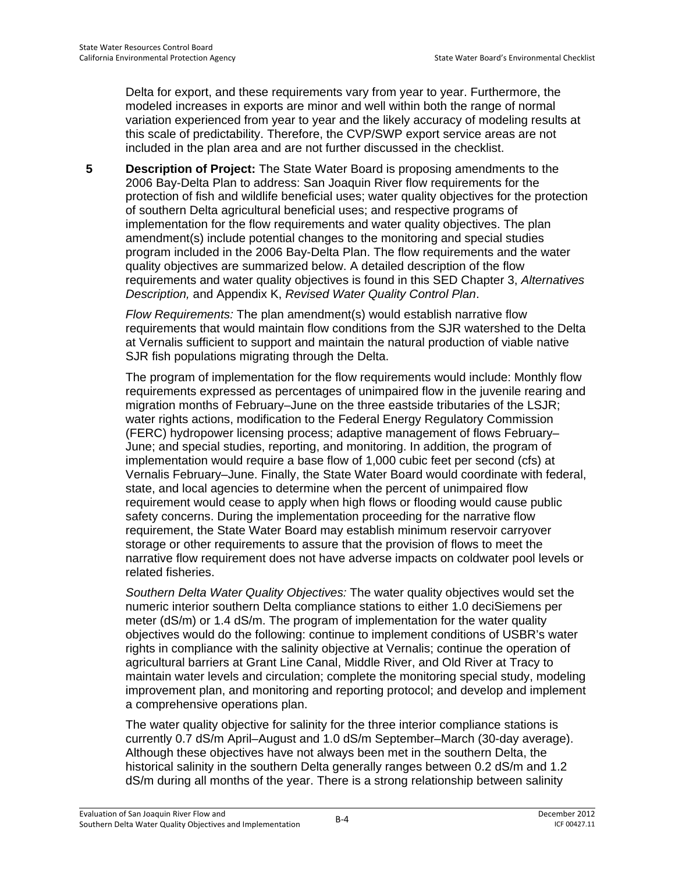Delta for export, and these requirements vary from year to year. Furthermore, the modeled increases in exports are minor and well within both the range of normal variation experienced from year to year and the likely accuracy of modeling results at this scale of predictability. Therefore, the CVP/SWP export service areas are not included in the plan area and are not further discussed in the checklist.

**5 Description of Project:** The State Water Board is proposing amendments to the 2006 Bay-Delta Plan to address: San Joaquin River flow requirements for the protection of fish and wildlife beneficial uses; water quality objectives for the protection of southern Delta agricultural beneficial uses; and respective programs of implementation for the flow requirements and water quality objectives. The plan amendment(s) include potential changes to the monitoring and special studies program included in the 2006 Bay-Delta Plan. The flow requirements and the water quality objectives are summarized below. A detailed description of the flow requirements and water quality objectives is found in this SED Chapter 3, *Alternatives Description,* and Appendix K, *Revised Water Quality Control Plan*.

*Flow Requirements:* The plan amendment(s) would establish narrative flow requirements that would maintain flow conditions from the SJR watershed to the Delta at Vernalis sufficient to support and maintain the natural production of viable native SJR fish populations migrating through the Delta.

The program of implementation for the flow requirements would include: Monthly flow requirements expressed as percentages of unimpaired flow in the juvenile rearing and migration months of February–June on the three eastside tributaries of the LSJR; water rights actions, modification to the Federal Energy Regulatory Commission (FERC) hydropower licensing process; adaptive management of flows February– June; and special studies, reporting, and monitoring. In addition, the program of implementation would require a base flow of 1,000 cubic feet per second (cfs) at Vernalis February–June. Finally, the State Water Board would coordinate with federal, state, and local agencies to determine when the percent of unimpaired flow requirement would cease to apply when high flows or flooding would cause public safety concerns. During the implementation proceeding for the narrative flow requirement, the State Water Board may establish minimum reservoir carryover storage or other requirements to assure that the provision of flows to meet the narrative flow requirement does not have adverse impacts on coldwater pool levels or related fisheries.

*Southern Delta Water Quality Objectives:* The water quality objectives would set the numeric interior southern Delta compliance stations to either 1.0 deciSiemens per meter (dS/m) or 1.4 dS/m. The program of implementation for the water quality objectives would do the following: continue to implement conditions of USBR's water rights in compliance with the salinity objective at Vernalis; continue the operation of agricultural barriers at Grant Line Canal, Middle River, and Old River at Tracy to maintain water levels and circulation; complete the monitoring special study, modeling improvement plan, and monitoring and reporting protocol; and develop and implement a comprehensive operations plan.

The water quality objective for salinity for the three interior compliance stations is currently 0.7 dS/m April–August and 1.0 dS/m September–March (30-day average). Although these objectives have not always been met in the southern Delta, the historical salinity in the southern Delta generally ranges between 0.2 dS/m and 1.2 dS/m during all months of the year. There is a strong relationship between salinity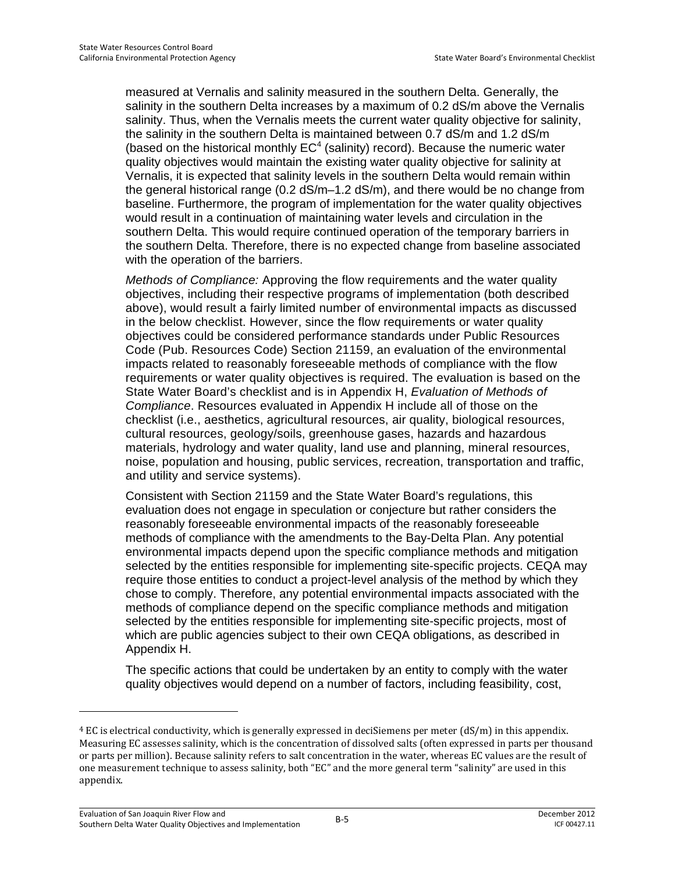measured at Vernalis and salinity measured in the southern Delta. Generally, the salinity in the southern Delta increases by a maximum of 0.2 dS/m above the Vernalis salinity. Thus, when the Vernalis meets the current water quality objective for salinity, the salinity in the southern Delta is maintained between 0.7 dS/m and 1.2 dS/m (based on the historical monthly  $EC<sup>4</sup>$  (salinity) record). Because the numeric water quality objectives would maintain the existing water quality objective for salinity at Vernalis, it is expected that salinity levels in the southern Delta would remain within the general historical range (0.2 dS/m–1.2 dS/m), and there would be no change from baseline. Furthermore, the program of implementation for the water quality objectives would result in a continuation of maintaining water levels and circulation in the southern Delta. This would require continued operation of the temporary barriers in the southern Delta. Therefore, there is no expected change from baseline associated with the operation of the barriers.

*Methods of Compliance:* Approving the flow requirements and the water quality objectives, including their respective programs of implementation (both described above), would result a fairly limited number of environmental impacts as discussed in the below checklist. However, since the flow requirements or water quality objectives could be considered performance standards under Public Resources Code (Pub. Resources Code) Section 21159, an evaluation of the environmental impacts related to reasonably foreseeable methods of compliance with the flow requirements or water quality objectives is required. The evaluation is based on the State Water Board's checklist and is in Appendix H, *Evaluation of Methods of Compliance*. Resources evaluated in Appendix H include all of those on the checklist (i.e., aesthetics, agricultural resources, air quality, biological resources, cultural resources, geology/soils, greenhouse gases, hazards and hazardous materials, hydrology and water quality, land use and planning, mineral resources, noise, population and housing, public services, recreation, transportation and traffic, and utility and service systems).

Consistent with Section 21159 and the State Water Board's regulations, this evaluation does not engage in speculation or conjecture but rather considers the reasonably foreseeable environmental impacts of the reasonably foreseeable methods of compliance with the amendments to the Bay-Delta Plan. Any potential environmental impacts depend upon the specific compliance methods and mitigation selected by the entities responsible for implementing site-specific projects. CEQA may require those entities to conduct a project-level analysis of the method by which they chose to comply. Therefore, any potential environmental impacts associated with the methods of compliance depend on the specific compliance methods and mitigation selected by the entities responsible for implementing site-specific projects, most of which are public agencies subject to their own CEQA obligations, as described in Appendix H.

The specific actions that could be undertaken by an entity to comply with the water quality objectives would depend on a number of factors, including feasibility, cost,

 $\overline{a}$ 

 $4$  EC is electrical conductivity, which is generally expressed in deciSiemens per meter (dS/m) in this appendix. Measuring EC assesses salinity, which is the concentration of dissolved salts (often expressed in parts per thousand or parts per million). Because salinity refers to salt concentration in the water, whereas EC values are the result of one measurement technique to assess salinity, both "EC" and the more general term "salinity" are used in this appendix.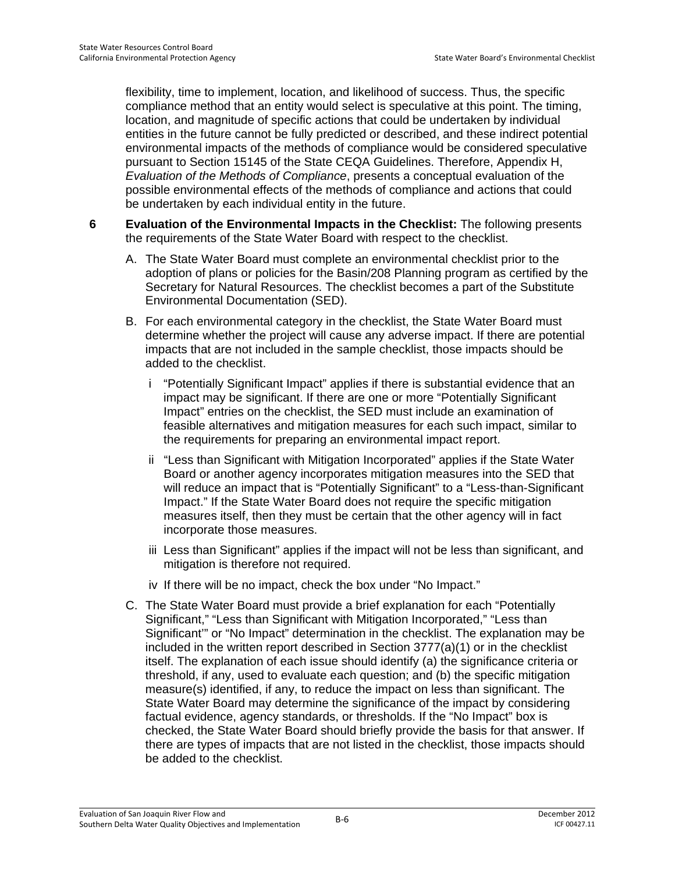flexibility, time to implement, location, and likelihood of success. Thus, the specific compliance method that an entity would select is speculative at this point. The timing, location, and magnitude of specific actions that could be undertaken by individual entities in the future cannot be fully predicted or described, and these indirect potential environmental impacts of the methods of compliance would be considered speculative pursuant to Section 15145 of the State CEQA Guidelines. Therefore, Appendix H, *Evaluation of the Methods of Compliance*, presents a conceptual evaluation of the possible environmental effects of the methods of compliance and actions that could be undertaken by each individual entity in the future.

- **6 Evaluation of the Environmental Impacts in the Checklist:** The following presents the requirements of the State Water Board with respect to the checklist.
	- A. The State Water Board must complete an environmental checklist prior to the adoption of plans or policies for the Basin/208 Planning program as certified by the Secretary for Natural Resources. The checklist becomes a part of the Substitute Environmental Documentation (SED).
	- B. For each environmental category in the checklist, the State Water Board must determine whether the project will cause any adverse impact. If there are potential impacts that are not included in the sample checklist, those impacts should be added to the checklist.
		- i "Potentially Significant Impact" applies if there is substantial evidence that an impact may be significant. If there are one or more "Potentially Significant Impact" entries on the checklist, the SED must include an examination of feasible alternatives and mitigation measures for each such impact, similar to the requirements for preparing an environmental impact report.
		- ii "Less than Significant with Mitigation Incorporated" applies if the State Water Board or another agency incorporates mitigation measures into the SED that will reduce an impact that is "Potentially Significant" to a "Less-than-Significant Impact." If the State Water Board does not require the specific mitigation measures itself, then they must be certain that the other agency will in fact incorporate those measures.
		- iii Less than Significant" applies if the impact will not be less than significant, and mitigation is therefore not required.
		- iv If there will be no impact, check the box under "No Impact."
	- C. The State Water Board must provide a brief explanation for each "Potentially Significant," "Less than Significant with Mitigation Incorporated," "Less than Significant'" or "No Impact" determination in the checklist. The explanation may be included in the written report described in Section 3777(a)(1) or in the checklist itself. The explanation of each issue should identify (a) the significance criteria or threshold, if any, used to evaluate each question; and (b) the specific mitigation measure(s) identified, if any, to reduce the impact on less than significant. The State Water Board may determine the significance of the impact by considering factual evidence, agency standards, or thresholds. If the "No Impact" box is checked, the State Water Board should briefly provide the basis for that answer. If there are types of impacts that are not listed in the checklist, those impacts should be added to the checklist.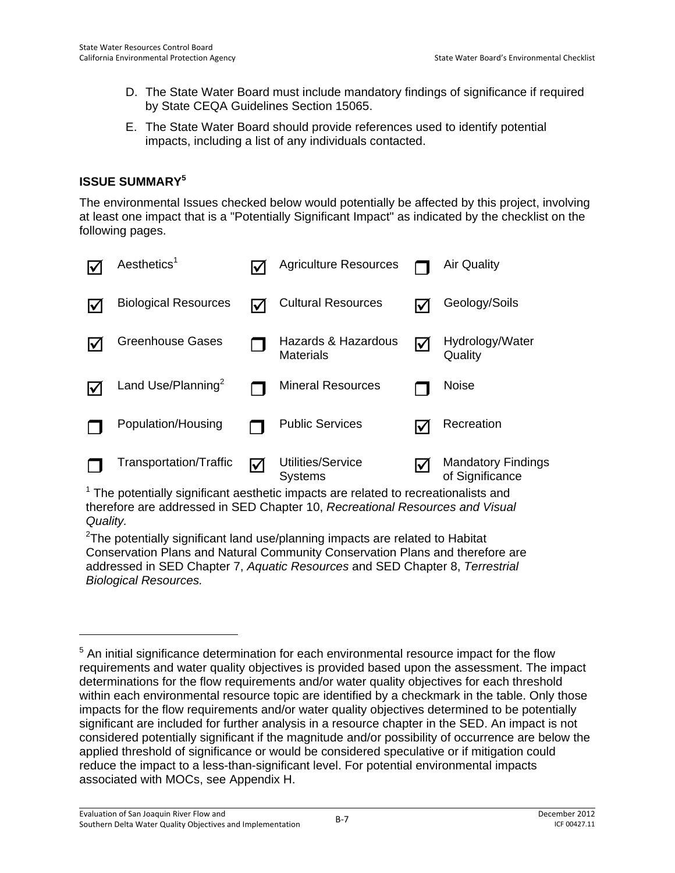- D. The State Water Board must include mandatory findings of significance if required by State CEQA Guidelines Section 15065.
- E. The State Water Board should provide references used to identify potential impacts, including a list of any individuals contacted.

# **ISSUE SUMMARY<sup>5</sup>**

The environmental Issues checked below would potentially be affected by this project, involving at least one impact that is a "Potentially Significant Impact" as indicated by the checklist on the following pages.

| $A$ esthetics <sup>1</sup>  |     | <b>Agriculture Resources</b>            |                      | <b>Air Quality</b>                           |
|-----------------------------|-----|-----------------------------------------|----------------------|----------------------------------------------|
| <b>Biological Resources</b> | l√l | <b>Cultural Resources</b>               | l✔                   | Geology/Soils                                |
| <b>Greenhouse Gases</b>     |     | Hazards & Hazardous<br><b>Materials</b> | $\blacktriangledown$ | Hydrology/Water<br>Quality                   |
| Land Use/Planning $^2$      |     | <b>Mineral Resources</b>                |                      | <b>Noise</b>                                 |
| Population/Housing          |     | <b>Public Services</b>                  | lV                   | Recreation                                   |
| Transportation/Traffic      | ⊻   | Utilities/Service<br><b>Systems</b>     | I√                   | <b>Mandatory Findings</b><br>of Significance |

 $1$  The potentially significant aesthetic impacts are related to recreationalists and therefore are addressed in SED Chapter 10, *Recreational Resources and Visual Quality.*

 $2$ The potentially significant land use/planning impacts are related to Habitat Conservation Plans and Natural Community Conservation Plans and therefore are addressed in SED Chapter 7, *Aquatic Resources* and SED Chapter 8, *Terrestrial Biological Resources.* 

<sup>&</sup>lt;sup>5</sup> An initial significance determination for each environmental resource impact for the flow requirements and water quality objectives is provided based upon the assessment. The impact determinations for the flow requirements and/or water quality objectives for each threshold within each environmental resource topic are identified by a checkmark in the table. Only those impacts for the flow requirements and/or water quality objectives determined to be potentially significant are included for further analysis in a resource chapter in the SED. An impact is not considered potentially significant if the magnitude and/or possibility of occurrence are below the applied threshold of significance or would be considered speculative or if mitigation could reduce the impact to a less-than-significant level. For potential environmental impacts associated with MOCs, see Appendix H.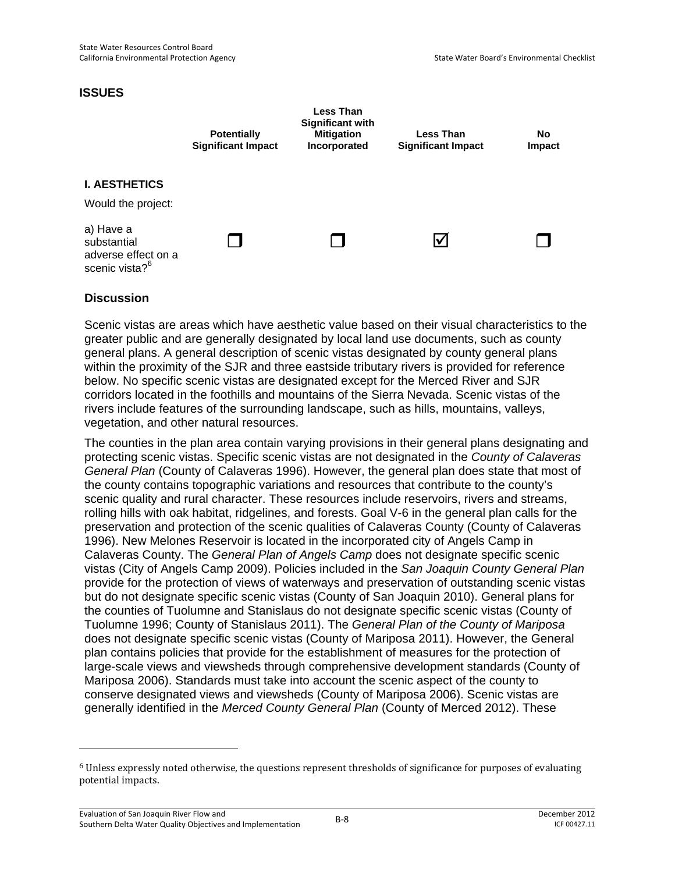### **ISSUES**



# **Discussion**

Scenic vistas are areas which have aesthetic value based on their visual characteristics to the greater public and are generally designated by local land use documents, such as county general plans. A general description of scenic vistas designated by county general plans within the proximity of the SJR and three eastside tributary rivers is provided for reference below. No specific scenic vistas are designated except for the Merced River and SJR corridors located in the foothills and mountains of the Sierra Nevada. Scenic vistas of the rivers include features of the surrounding landscape, such as hills, mountains, valleys, vegetation, and other natural resources.

The counties in the plan area contain varying provisions in their general plans designating and protecting scenic vistas. Specific scenic vistas are not designated in the *County of Calaveras General Plan* (County of Calaveras 1996). However, the general plan does state that most of the county contains topographic variations and resources that contribute to the county's scenic quality and rural character. These resources include reservoirs, rivers and streams, rolling hills with oak habitat, ridgelines, and forests. Goal V-6 in the general plan calls for the preservation and protection of the scenic qualities of Calaveras County (County of Calaveras 1996). New Melones Reservoir is located in the incorporated city of Angels Camp in Calaveras County. The *General Plan of Angels Camp* does not designate specific scenic vistas (City of Angels Camp 2009). Policies included in the *San Joaquin County General Plan* provide for the protection of views of waterways and preservation of outstanding scenic vistas but do not designate specific scenic vistas (County of San Joaquin 2010). General plans for the counties of Tuolumne and Stanislaus do not designate specific scenic vistas (County of Tuolumne 1996; County of Stanislaus 2011). The *General Plan of the County of Mariposa* does not designate specific scenic vistas (County of Mariposa 2011). However, the General plan contains policies that provide for the establishment of measures for the protection of large-scale views and viewsheds through comprehensive development standards (County of Mariposa 2006). Standards must take into account the scenic aspect of the county to conserve designated views and viewsheds (County of Mariposa 2006). Scenic vistas are generally identified in the *Merced County General Plan* (County of Merced 2012). These

-

<sup>6</sup> Unless expressly noted otherwise, the questions represent thresholds of significance for purposes of evaluating potential impacts.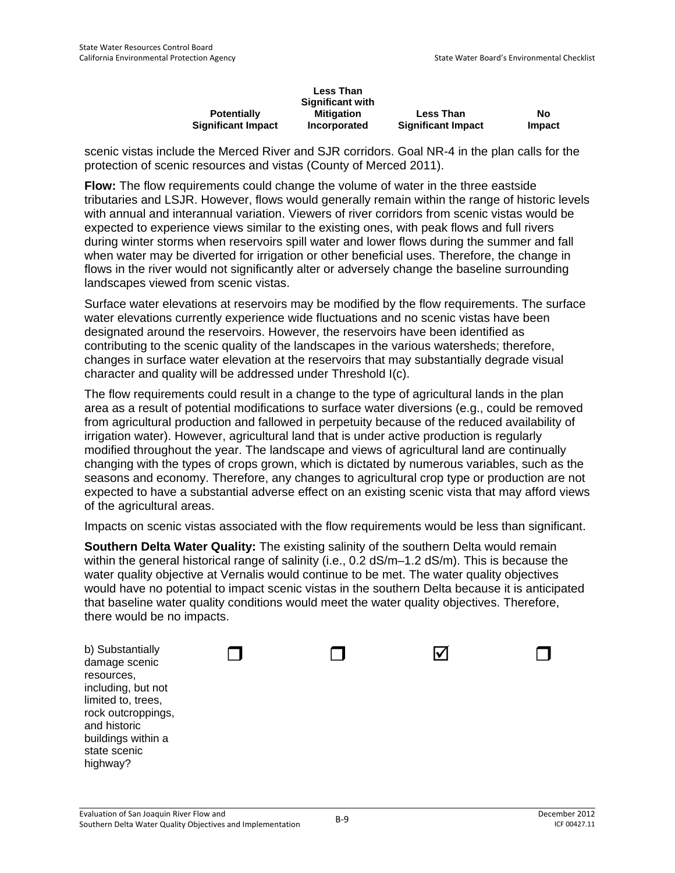|                           | <b>Less Than</b>        |                           |               |
|---------------------------|-------------------------|---------------------------|---------------|
|                           | <b>Significant with</b> |                           |               |
| <b>Potentially</b>        | Mitigation              | <b>Less Than</b>          | No            |
| <b>Significant Impact</b> | Incorporated            | <b>Significant Impact</b> | <b>Impact</b> |

scenic vistas include the Merced River and SJR corridors. Goal NR-4 in the plan calls for the protection of scenic resources and vistas (County of Merced 2011).

**Flow:** The flow requirements could change the volume of water in the three eastside tributaries and LSJR. However, flows would generally remain within the range of historic levels with annual and interannual variation. Viewers of river corridors from scenic vistas would be expected to experience views similar to the existing ones, with peak flows and full rivers during winter storms when reservoirs spill water and lower flows during the summer and fall when water may be diverted for irrigation or other beneficial uses. Therefore, the change in flows in the river would not significantly alter or adversely change the baseline surrounding landscapes viewed from scenic vistas.

Surface water elevations at reservoirs may be modified by the flow requirements. The surface water elevations currently experience wide fluctuations and no scenic vistas have been designated around the reservoirs. However, the reservoirs have been identified as contributing to the scenic quality of the landscapes in the various watersheds; therefore, changes in surface water elevation at the reservoirs that may substantially degrade visual character and quality will be addressed under Threshold I(c).

The flow requirements could result in a change to the type of agricultural lands in the plan area as a result of potential modifications to surface water diversions (e.g., could be removed from agricultural production and fallowed in perpetuity because of the reduced availability of irrigation water). However, agricultural land that is under active production is regularly modified throughout the year. The landscape and views of agricultural land are continually changing with the types of crops grown, which is dictated by numerous variables, such as the seasons and economy. Therefore, any changes to agricultural crop type or production are not expected to have a substantial adverse effect on an existing scenic vista that may afford views of the agricultural areas.

Impacts on scenic vistas associated with the flow requirements would be less than significant.

**Southern Delta Water Quality:** The existing salinity of the southern Delta would remain within the general historical range of salinity (i.e., 0.2 dS/m–1.2 dS/m). This is because the water quality objective at Vernalis would continue to be met. The water quality objectives would have no potential to impact scenic vistas in the southern Delta because it is anticipated that baseline water quality conditions would meet the water quality objectives. Therefore, there would be no impacts.

| b) Substantially<br>damage scenic<br>resources,<br>including, but not<br>limited to, trees,<br>rock outcroppings,<br>and historic |  |  |
|-----------------------------------------------------------------------------------------------------------------------------------|--|--|
| buildings within a<br>state scenic<br>highway?                                                                                    |  |  |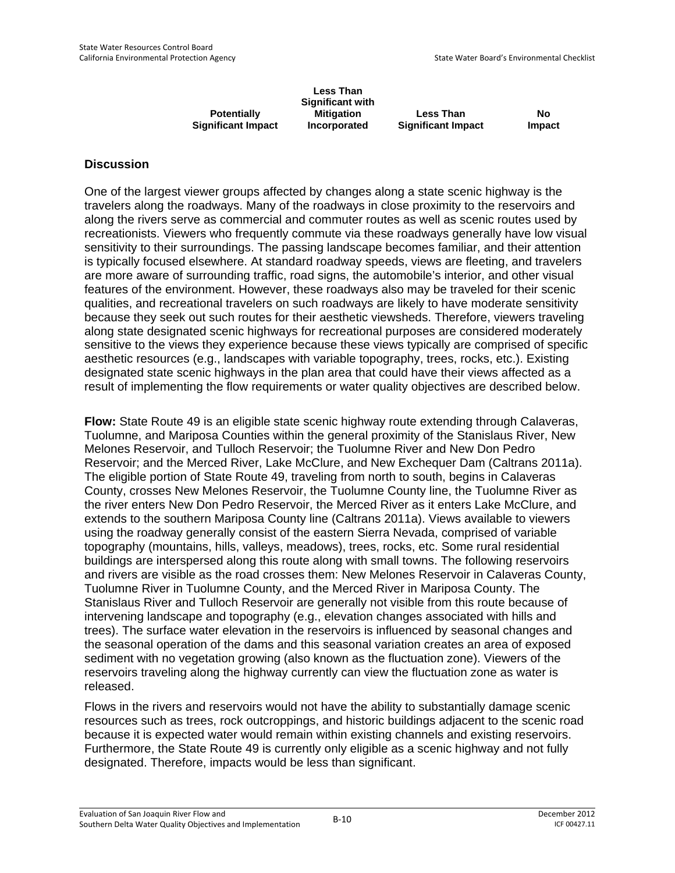|                           | Less Than<br><b>Significant with</b> |                           |               |
|---------------------------|--------------------------------------|---------------------------|---------------|
| <b>Potentially</b>        | <b>Mitigation</b>                    | <b>Less Than</b>          | No            |
| <b>Significant Impact</b> | Incorporated                         | <b>Significant Impact</b> | <b>Impact</b> |

One of the largest viewer groups affected by changes along a state scenic highway is the travelers along the roadways. Many of the roadways in close proximity to the reservoirs and along the rivers serve as commercial and commuter routes as well as scenic routes used by recreationists. Viewers who frequently commute via these roadways generally have low visual sensitivity to their surroundings. The passing landscape becomes familiar, and their attention is typically focused elsewhere. At standard roadway speeds, views are fleeting, and travelers are more aware of surrounding traffic, road signs, the automobile's interior, and other visual features of the environment. However, these roadways also may be traveled for their scenic qualities, and recreational travelers on such roadways are likely to have moderate sensitivity because they seek out such routes for their aesthetic viewsheds. Therefore, viewers traveling along state designated scenic highways for recreational purposes are considered moderately sensitive to the views they experience because these views typically are comprised of specific aesthetic resources (e.g., landscapes with variable topography, trees, rocks, etc.). Existing designated state scenic highways in the plan area that could have their views affected as a result of implementing the flow requirements or water quality objectives are described below.

**Flow:** State Route 49 is an eligible state scenic highway route extending through Calaveras, Tuolumne, and Mariposa Counties within the general proximity of the Stanislaus River, New Melones Reservoir, and Tulloch Reservoir; the Tuolumne River and New Don Pedro Reservoir; and the Merced River, Lake McClure, and New Exchequer Dam (Caltrans 2011a). The eligible portion of State Route 49, traveling from north to south, begins in Calaveras County, crosses New Melones Reservoir, the Tuolumne County line, the Tuolumne River as the river enters New Don Pedro Reservoir, the Merced River as it enters Lake McClure, and extends to the southern Mariposa County line (Caltrans 2011a). Views available to viewers using the roadway generally consist of the eastern Sierra Nevada, comprised of variable topography (mountains, hills, valleys, meadows), trees, rocks, etc. Some rural residential buildings are interspersed along this route along with small towns. The following reservoirs and rivers are visible as the road crosses them: New Melones Reservoir in Calaveras County, Tuolumne River in Tuolumne County, and the Merced River in Mariposa County. The Stanislaus River and Tulloch Reservoir are generally not visible from this route because of intervening landscape and topography (e.g., elevation changes associated with hills and trees). The surface water elevation in the reservoirs is influenced by seasonal changes and the seasonal operation of the dams and this seasonal variation creates an area of exposed sediment with no vegetation growing (also known as the fluctuation zone). Viewers of the reservoirs traveling along the highway currently can view the fluctuation zone as water is released.

Flows in the rivers and reservoirs would not have the ability to substantially damage scenic resources such as trees, rock outcroppings, and historic buildings adjacent to the scenic road because it is expected water would remain within existing channels and existing reservoirs. Furthermore, the State Route 49 is currently only eligible as a scenic highway and not fully designated. Therefore, impacts would be less than significant.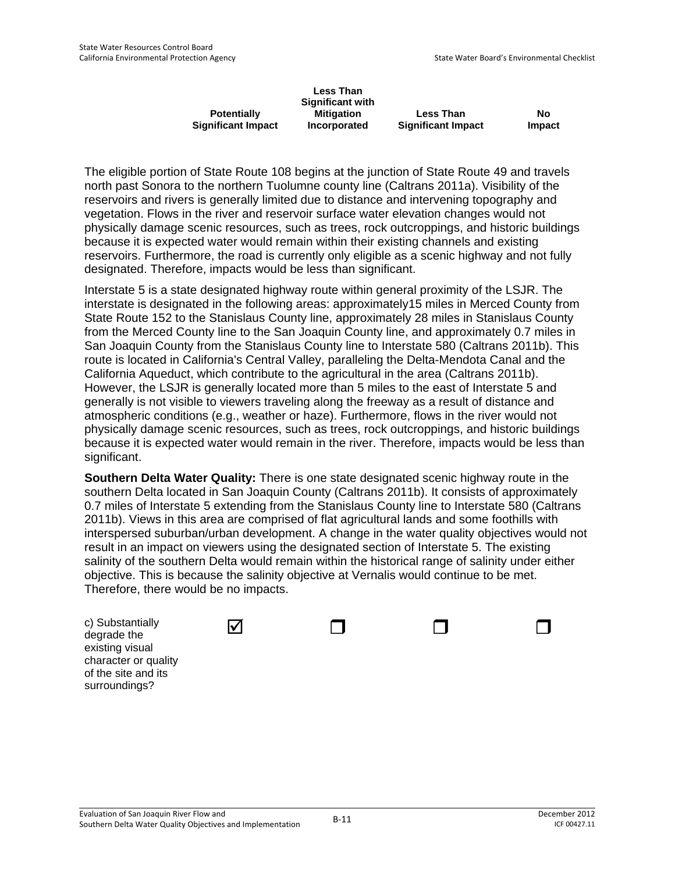|                           | <b>Less Than</b><br><b>Significant with</b> |                           |        |
|---------------------------|---------------------------------------------|---------------------------|--------|
| <b>Potentially</b>        | <b>Mitigation</b>                           | <b>Less Than</b>          | No     |
| <b>Significant Impact</b> | Incorporated                                | <b>Significant Impact</b> | Impact |

The eligible portion of State Route 108 begins at the junction of State Route 49 and travels north past Sonora to the northern Tuolumne county line (Caltrans 2011a). Visibility of the reservoirs and rivers is generally limited due to distance and intervening topography and vegetation. Flows in the river and reservoir surface water elevation changes would not physically damage scenic resources, such as trees, rock outcroppings, and historic buildings because it is expected water would remain within their existing channels and existing reservoirs. Furthermore, the road is currently only eligible as a scenic highway and not fully designated. Therefore, impacts would be less than significant.

Interstate 5 is a state designated highway route within general proximity of the LSJR. The interstate is designated in the following areas: approximately15 miles in Merced County from State Route 152 to the Stanislaus County line, approximately 28 miles in Stanislaus County from the Merced County line to the San Joaquin County line, and approximately 0.7 miles in San Joaquin County from the Stanislaus County line to Interstate 580 (Caltrans 2011b). This route is located in California's Central Valley, paralleling the Delta-Mendota Canal and the California Aqueduct, which contribute to the agricultural in the area (Caltrans 2011b). However, the LSJR is generally located more than 5 miles to the east of Interstate 5 and generally is not visible to viewers traveling along the freeway as a result of distance and atmospheric conditions (e.g., weather or haze). Furthermore, flows in the river would not physically damage scenic resources, such as trees, rock outcroppings, and historic buildings because it is expected water would remain in the river. Therefore, impacts would be less than significant.

**Southern Delta Water Quality:** There is one state designated scenic highway route in the southern Delta located in San Joaquin County (Caltrans 2011b). It consists of approximately 0.7 miles of Interstate 5 extending from the Stanislaus County line to Interstate 580 (Caltrans 2011b). Views in this area are comprised of flat agricultural lands and some foothills with interspersed suburban/urban development. A change in the water quality objectives would not result in an impact on viewers using the designated section of Interstate 5. The existing salinity of the southern Delta would remain within the historical range of salinity under either objective. This is because the salinity objective at Vernalis would continue to be met. Therefore, there would be no impacts.

| c) Substantially<br>degrade the<br>existing visual<br>character or quality<br>of the site and its | M |  |  |
|---------------------------------------------------------------------------------------------------|---|--|--|
| surroundings?                                                                                     |   |  |  |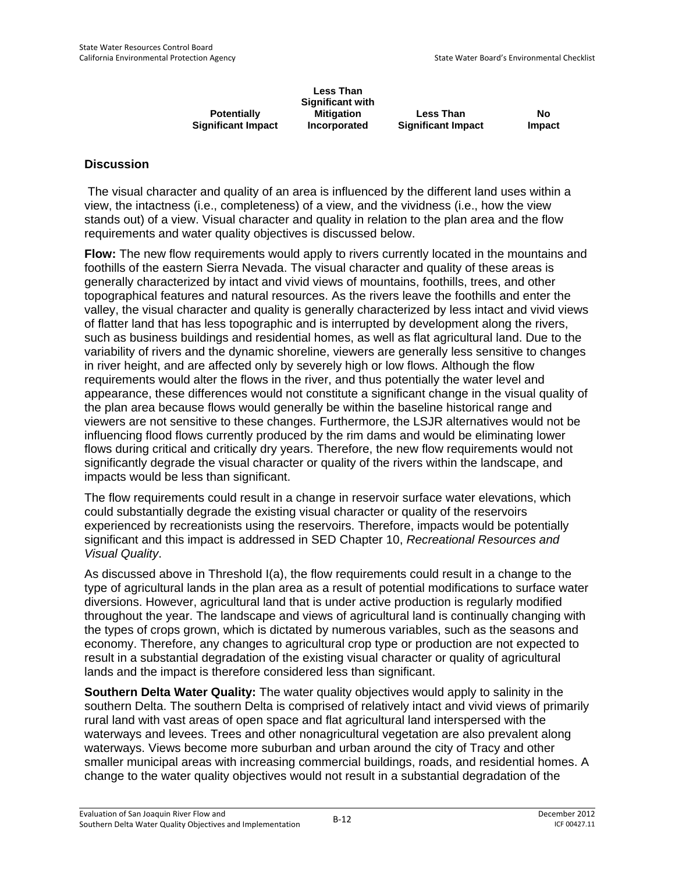|                           | <b>Less Than</b><br><b>Significant with</b> |                           |        |
|---------------------------|---------------------------------------------|---------------------------|--------|
| <b>Potentially</b>        | <b>Mitigation</b>                           | <b>Less Than</b>          | No     |
| <b>Significant Impact</b> | Incorporated                                | <b>Significant Impact</b> | Impact |

 The visual character and quality of an area is influenced by the different land uses within a view, the intactness (i.e., completeness) of a view, and the vividness (i.e., how the view stands out) of a view. Visual character and quality in relation to the plan area and the flow requirements and water quality objectives is discussed below.

**Flow:** The new flow requirements would apply to rivers currently located in the mountains and foothills of the eastern Sierra Nevada. The visual character and quality of these areas is generally characterized by intact and vivid views of mountains, foothills, trees, and other topographical features and natural resources. As the rivers leave the foothills and enter the valley, the visual character and quality is generally characterized by less intact and vivid views of flatter land that has less topographic and is interrupted by development along the rivers, such as business buildings and residential homes, as well as flat agricultural land. Due to the variability of rivers and the dynamic shoreline, viewers are generally less sensitive to changes in river height, and are affected only by severely high or low flows. Although the flow requirements would alter the flows in the river, and thus potentially the water level and appearance, these differences would not constitute a significant change in the visual quality of the plan area because flows would generally be within the baseline historical range and viewers are not sensitive to these changes. Furthermore, the LSJR alternatives would not be influencing flood flows currently produced by the rim dams and would be eliminating lower flows during critical and critically dry years. Therefore, the new flow requirements would not significantly degrade the visual character or quality of the rivers within the landscape, and impacts would be less than significant.

The flow requirements could result in a change in reservoir surface water elevations, which could substantially degrade the existing visual character or quality of the reservoirs experienced by recreationists using the reservoirs. Therefore, impacts would be potentially significant and this impact is addressed in SED Chapter 10, *Recreational Resources and Visual Quality*.

As discussed above in Threshold I(a), the flow requirements could result in a change to the type of agricultural lands in the plan area as a result of potential modifications to surface water diversions. However, agricultural land that is under active production is regularly modified throughout the year. The landscape and views of agricultural land is continually changing with the types of crops grown, which is dictated by numerous variables, such as the seasons and economy. Therefore, any changes to agricultural crop type or production are not expected to result in a substantial degradation of the existing visual character or quality of agricultural lands and the impact is therefore considered less than significant.

**Southern Delta Water Quality:** The water quality objectives would apply to salinity in the southern Delta. The southern Delta is comprised of relatively intact and vivid views of primarily rural land with vast areas of open space and flat agricultural land interspersed with the waterways and levees. Trees and other nonagricultural vegetation are also prevalent along waterways. Views become more suburban and urban around the city of Tracy and other smaller municipal areas with increasing commercial buildings, roads, and residential homes. A change to the water quality objectives would not result in a substantial degradation of the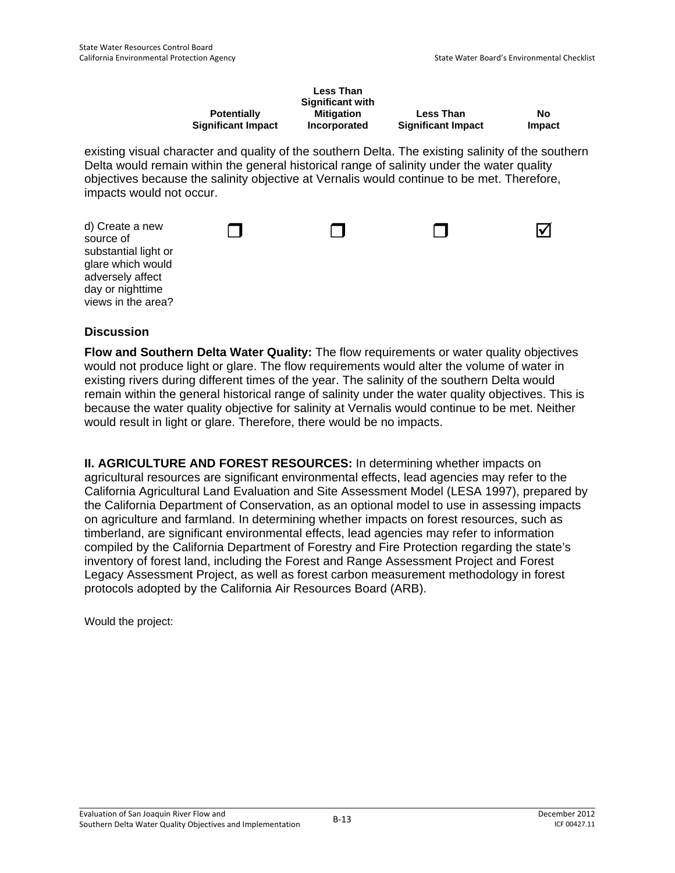|                           | <b>Less Than</b><br><b>Significant with</b> |                           |        |
|---------------------------|---------------------------------------------|---------------------------|--------|
| <b>Potentially</b>        | <b>Mitigation</b>                           | <b>Less Than</b>          | No     |
| <b>Significant Impact</b> | Incorporated                                | <b>Significant Impact</b> | Impact |

existing visual character and quality of the southern Delta. The existing salinity of the southern Delta would remain within the general historical range of salinity under the water quality objectives because the salinity objective at Vernalis would continue to be met. Therefore, impacts would not occur.

| d) Create a new<br>source of<br>substantial light or<br>glare which would |  |  |
|---------------------------------------------------------------------------|--|--|
| adversely affect                                                          |  |  |
| day or nighttime                                                          |  |  |
| views in the area?                                                        |  |  |

### **Discussion**

**Flow and Southern Delta Water Quality:** The flow requirements or water quality objectives would not produce light or glare. The flow requirements would alter the volume of water in existing rivers during different times of the year. The salinity of the southern Delta would remain within the general historical range of salinity under the water quality objectives. This is because the water quality objective for salinity at Vernalis would continue to be met. Neither would result in light or glare. Therefore, there would be no impacts.

**II. AGRICULTURE AND FOREST RESOURCES:** In determining whether impacts on agricultural resources are significant environmental effects, lead agencies may refer to the California Agricultural Land Evaluation and Site Assessment Model (LESA 1997), prepared by the California Department of Conservation, as an optional model to use in assessing impacts on agriculture and farmland. In determining whether impacts on forest resources, such as timberland, are significant environmental effects, lead agencies may refer to information compiled by the California Department of Forestry and Fire Protection regarding the state's inventory of forest land, including the Forest and Range Assessment Project and Forest Legacy Assessment Project, as well as forest carbon measurement methodology in forest protocols adopted by the California Air Resources Board (ARB).

Would the project: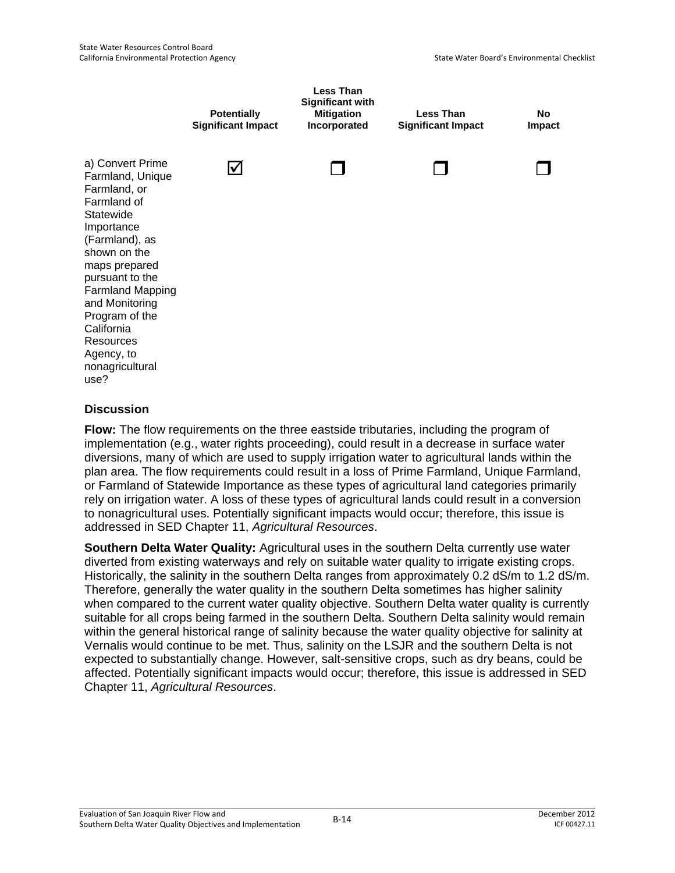

**Flow:** The flow requirements on the three eastside tributaries, including the program of implementation (e.g., water rights proceeding), could result in a decrease in surface water diversions, many of which are used to supply irrigation water to agricultural lands within the plan area. The flow requirements could result in a loss of Prime Farmland, Unique Farmland, or Farmland of Statewide Importance as these types of agricultural land categories primarily rely on irrigation water. A loss of these types of agricultural lands could result in a conversion to nonagricultural uses. Potentially significant impacts would occur; therefore, this issue is addressed in SED Chapter 11, *Agricultural Resources*.

**Southern Delta Water Quality:** Agricultural uses in the southern Delta currently use water diverted from existing waterways and rely on suitable water quality to irrigate existing crops. Historically, the salinity in the southern Delta ranges from approximately 0.2 dS/m to 1.2 dS/m. Therefore, generally the water quality in the southern Delta sometimes has higher salinity when compared to the current water quality objective. Southern Delta water quality is currently suitable for all crops being farmed in the southern Delta. Southern Delta salinity would remain within the general historical range of salinity because the water quality objective for salinity at Vernalis would continue to be met. Thus, salinity on the LSJR and the southern Delta is not expected to substantially change. However, salt-sensitive crops, such as dry beans, could be affected. Potentially significant impacts would occur; therefore, this issue is addressed in SED Chapter 11, *Agricultural Resources*.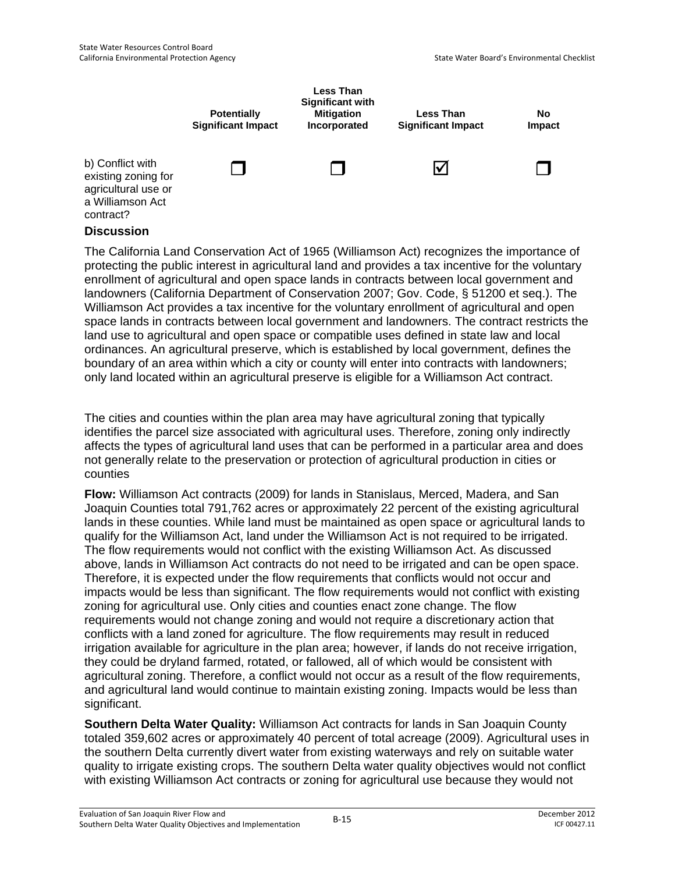

The California Land Conservation Act of 1965 (Williamson Act) recognizes the importance of protecting the public interest in agricultural land and provides a tax incentive for the voluntary enrollment of agricultural and open space lands in contracts between local government and landowners (California Department of Conservation 2007; Gov. Code, § 51200 et seq.). The Williamson Act provides a tax incentive for the voluntary enrollment of agricultural and open space lands in contracts between local government and landowners. The contract restricts the land use to agricultural and open space or compatible uses defined in state law and local ordinances. An agricultural preserve, which is established by local government, defines the boundary of an area within which a city or county will enter into contracts with landowners; only land located within an agricultural preserve is eligible for a Williamson Act contract.

The cities and counties within the plan area may have agricultural zoning that typically identifies the parcel size associated with agricultural uses. Therefore, zoning only indirectly affects the types of agricultural land uses that can be performed in a particular area and does not generally relate to the preservation or protection of agricultural production in cities or counties

**Flow:** Williamson Act contracts (2009) for lands in Stanislaus, Merced, Madera, and San Joaquin Counties total 791,762 acres or approximately 22 percent of the existing agricultural lands in these counties. While land must be maintained as open space or agricultural lands to qualify for the Williamson Act, land under the Williamson Act is not required to be irrigated. The flow requirements would not conflict with the existing Williamson Act. As discussed above, lands in Williamson Act contracts do not need to be irrigated and can be open space. Therefore, it is expected under the flow requirements that conflicts would not occur and impacts would be less than significant. The flow requirements would not conflict with existing zoning for agricultural use. Only cities and counties enact zone change. The flow requirements would not change zoning and would not require a discretionary action that conflicts with a land zoned for agriculture. The flow requirements may result in reduced irrigation available for agriculture in the plan area; however, if lands do not receive irrigation, they could be dryland farmed, rotated, or fallowed, all of which would be consistent with agricultural zoning. Therefore, a conflict would not occur as a result of the flow requirements, and agricultural land would continue to maintain existing zoning. Impacts would be less than significant.

**Southern Delta Water Quality:** Williamson Act contracts for lands in San Joaquin County totaled 359,602 acres or approximately 40 percent of total acreage (2009). Agricultural uses in the southern Delta currently divert water from existing waterways and rely on suitable water quality to irrigate existing crops. The southern Delta water quality objectives would not conflict with existing Williamson Act contracts or zoning for agricultural use because they would not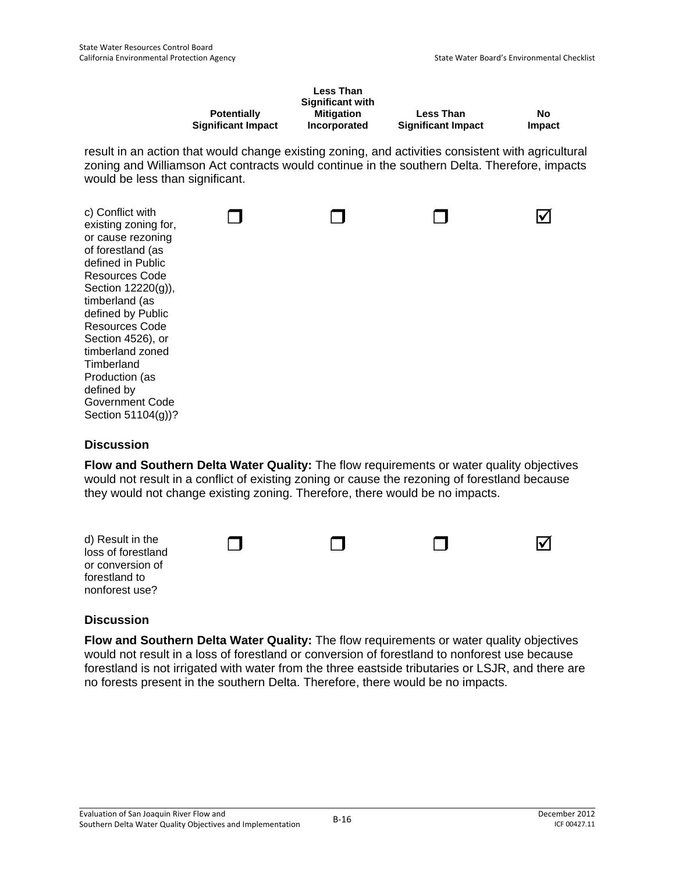|                           | <b>Less Than</b> |                           |               |
|---------------------------|------------------|---------------------------|---------------|
|                           | Significant with |                           |               |
| <b>Potentially</b>        | Mitigation       | <b>Less Than</b>          | No            |
| <b>Significant Impact</b> | Incorporated     | <b>Significant Impact</b> | <b>Impact</b> |

result in an action that would change existing zoning, and activities consistent with agricultural zoning and Williamson Act contracts would continue in the southern Delta. Therefore, impacts would be less than significant.

| c) Conflict with<br>existing zoning for,<br>or cause rezoning<br>of forestland (as<br>defined in Public<br>Resources Code<br>Section 12220(g)),<br>timberland (as<br>defined by Public<br>Resources Code<br>Section 4526), or<br>timberland zoned<br>Timberland<br>Production (as<br>defined by<br>Government Code |  |  |
|--------------------------------------------------------------------------------------------------------------------------------------------------------------------------------------------------------------------------------------------------------------------------------------------------------------------|--|--|
| Section 51104(g))?                                                                                                                                                                                                                                                                                                 |  |  |

### **Discussion**

**Flow and Southern Delta Water Quality:** The flow requirements or water quality objectives would not result in a conflict of existing zoning or cause the rezoning of forestland because they would not change existing zoning. Therefore, there would be no impacts.



### **Discussion**

**Flow and Southern Delta Water Quality:** The flow requirements or water quality objectives would not result in a loss of forestland or conversion of forestland to nonforest use because forestland is not irrigated with water from the three eastside tributaries or LSJR, and there are no forests present in the southern Delta. Therefore, there would be no impacts.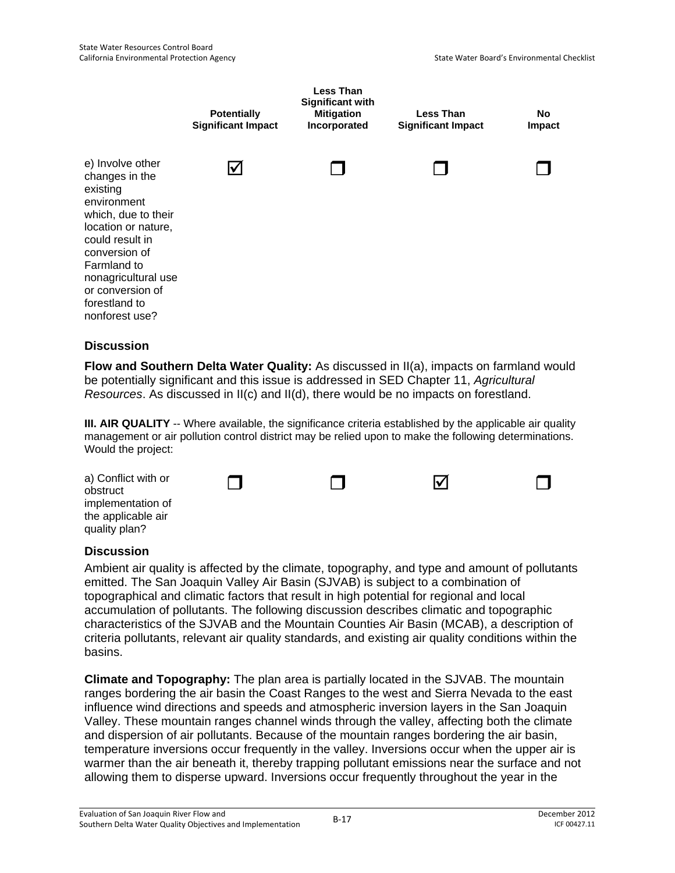

**Flow and Southern Delta Water Quality:** As discussed in II(a), impacts on farmland would be potentially significant and this issue is addressed in SED Chapter 11, *Agricultural Resources*. As discussed in II(c) and II(d), there would be no impacts on forestland.

**III. AIR QUALITY** -- Where available, the significance criteria established by the applicable air quality management or air pollution control district may be relied upon to make the following determinations. Would the project:

| a) Conflict with or<br>obstruct                          |  | M |  |
|----------------------------------------------------------|--|---|--|
| implementation of<br>the applicable air<br>quality plan? |  |   |  |

### **Discussion**

Ambient air quality is affected by the climate, topography, and type and amount of pollutants emitted. The San Joaquin Valley Air Basin (SJVAB) is subject to a combination of topographical and climatic factors that result in high potential for regional and local accumulation of pollutants. The following discussion describes climatic and topographic characteristics of the SJVAB and the Mountain Counties Air Basin (MCAB), a description of criteria pollutants, relevant air quality standards, and existing air quality conditions within the basins.

**Climate and Topography:** The plan area is partially located in the SJVAB. The mountain ranges bordering the air basin the Coast Ranges to the west and Sierra Nevada to the east influence wind directions and speeds and atmospheric inversion layers in the San Joaquin Valley. These mountain ranges channel winds through the valley, affecting both the climate and dispersion of air pollutants. Because of the mountain ranges bordering the air basin, temperature inversions occur frequently in the valley. Inversions occur when the upper air is warmer than the air beneath it, thereby trapping pollutant emissions near the surface and not allowing them to disperse upward. Inversions occur frequently throughout the year in the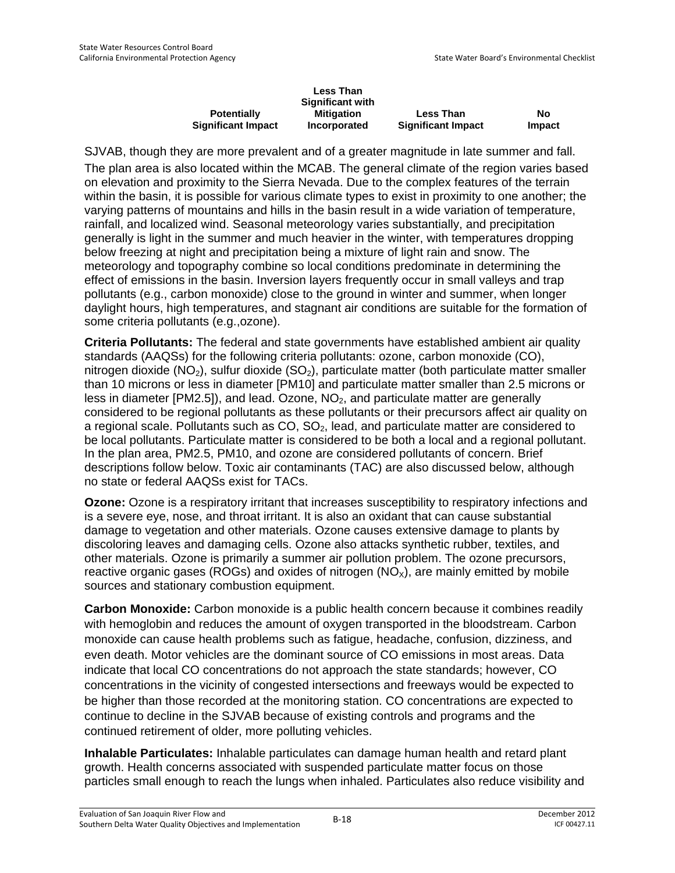|                           | <b>Less Than</b>        |                           |        |
|---------------------------|-------------------------|---------------------------|--------|
|                           | <b>Significant with</b> |                           |        |
| <b>Potentially</b>        | <b>Mitigation</b>       | <b>Less Than</b>          | No     |
| <b>Significant Impact</b> | Incorporated            | <b>Significant Impact</b> | Impact |

SJVAB, though they are more prevalent and of a greater magnitude in late summer and fall.

The plan area is also located within the MCAB. The general climate of the region varies based on elevation and proximity to the Sierra Nevada. Due to the complex features of the terrain within the basin, it is possible for various climate types to exist in proximity to one another; the varying patterns of mountains and hills in the basin result in a wide variation of temperature, rainfall, and localized wind. Seasonal meteorology varies substantially, and precipitation generally is light in the summer and much heavier in the winter, with temperatures dropping below freezing at night and precipitation being a mixture of light rain and snow. The meteorology and topography combine so local conditions predominate in determining the effect of emissions in the basin. Inversion layers frequently occur in small valleys and trap pollutants (e.g., carbon monoxide) close to the ground in winter and summer, when longer daylight hours, high temperatures, and stagnant air conditions are suitable for the formation of some criteria pollutants (e.g.,ozone).

**Criteria Pollutants:** The federal and state governments have established ambient air quality standards (AAQSs) for the following criteria pollutants: ozone, carbon monoxide (CO), nitrogen dioxide ( $NO<sub>2</sub>$ ), sulfur dioxide ( $SO<sub>2</sub>$ ), particulate matter (both particulate matter smaller than 10 microns or less in diameter [PM10] and particulate matter smaller than 2.5 microns or less in diameter  $[PM2.5]$ , and lead. Ozone,  $NO<sub>2</sub>$ , and particulate matter are generally considered to be regional pollutants as these pollutants or their precursors affect air quality on a regional scale. Pollutants such as  $CO$ ,  $SO<sub>2</sub>$ , lead, and particulate matter are considered to be local pollutants. Particulate matter is considered to be both a local and a regional pollutant. In the plan area, PM2.5, PM10, and ozone are considered pollutants of concern. Brief descriptions follow below. Toxic air contaminants (TAC) are also discussed below, although no state or federal AAQSs exist for TACs.

**Ozone:** Ozone is a respiratory irritant that increases susceptibility to respiratory infections and is a severe eye, nose, and throat irritant. It is also an oxidant that can cause substantial damage to vegetation and other materials. Ozone causes extensive damage to plants by discoloring leaves and damaging cells. Ozone also attacks synthetic rubber, textiles, and other materials. Ozone is primarily a summer air pollution problem. The ozone precursors, reactive organic gases (ROGs) and oxides of nitrogen  $(NO_x)$ , are mainly emitted by mobile sources and stationary combustion equipment.

**Carbon Monoxide:** Carbon monoxide is a public health concern because it combines readily with hemoglobin and reduces the amount of oxygen transported in the bloodstream. Carbon monoxide can cause health problems such as fatigue, headache, confusion, dizziness, and even death. Motor vehicles are the dominant source of CO emissions in most areas. Data indicate that local CO concentrations do not approach the state standards; however, CO concentrations in the vicinity of congested intersections and freeways would be expected to be higher than those recorded at the monitoring station. CO concentrations are expected to continue to decline in the SJVAB because of existing controls and programs and the continued retirement of older, more polluting vehicles.

**Inhalable Particulates:** Inhalable particulates can damage human health and retard plant growth. Health concerns associated with suspended particulate matter focus on those particles small enough to reach the lungs when inhaled. Particulates also reduce visibility and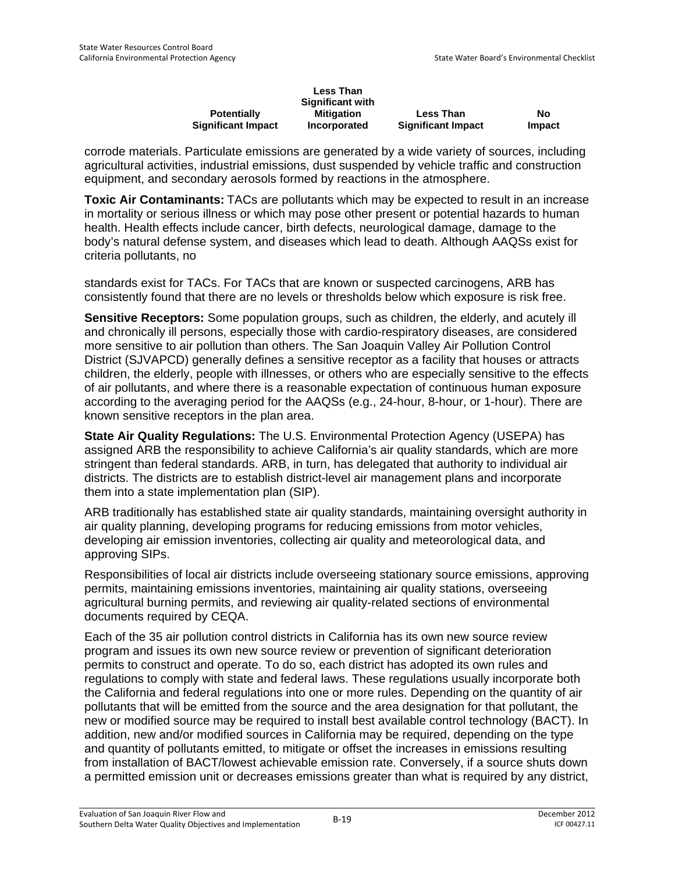|                           | <b>Less Than</b> |                           |        |
|---------------------------|------------------|---------------------------|--------|
|                           | Significant with |                           |        |
| <b>Potentially</b>        | Mitigation       | <b>Less Than</b>          | No     |
| <b>Significant Impact</b> | Incorporated     | <b>Significant Impact</b> | Impact |

corrode materials. Particulate emissions are generated by a wide variety of sources, including agricultural activities, industrial emissions, dust suspended by vehicle traffic and construction equipment, and secondary aerosols formed by reactions in the atmosphere.

**Toxic Air Contaminants:** TACs are pollutants which may be expected to result in an increase in mortality or serious illness or which may pose other present or potential hazards to human health. Health effects include cancer, birth defects, neurological damage, damage to the body's natural defense system, and diseases which lead to death. Although AAQSs exist for criteria pollutants, no

standards exist for TACs. For TACs that are known or suspected carcinogens, ARB has consistently found that there are no levels or thresholds below which exposure is risk free.

**Sensitive Receptors:** Some population groups, such as children, the elderly, and acutely ill and chronically ill persons, especially those with cardio-respiratory diseases, are considered more sensitive to air pollution than others. The San Joaquin Valley Air Pollution Control District (SJVAPCD) generally defines a sensitive receptor as a facility that houses or attracts children, the elderly, people with illnesses, or others who are especially sensitive to the effects of air pollutants, and where there is a reasonable expectation of continuous human exposure according to the averaging period for the AAQSs (e.g., 24-hour, 8-hour, or 1-hour). There are known sensitive receptors in the plan area.

**State Air Quality Regulations:** The U.S. Environmental Protection Agency (USEPA) has assigned ARB the responsibility to achieve California's air quality standards, which are more stringent than federal standards. ARB, in turn, has delegated that authority to individual air districts. The districts are to establish district-level air management plans and incorporate them into a state implementation plan (SIP).

ARB traditionally has established state air quality standards, maintaining oversight authority in air quality planning, developing programs for reducing emissions from motor vehicles, developing air emission inventories, collecting air quality and meteorological data, and approving SIPs.

Responsibilities of local air districts include overseeing stationary source emissions, approving permits, maintaining emissions inventories, maintaining air quality stations, overseeing agricultural burning permits, and reviewing air quality-related sections of environmental documents required by CEQA.

Each of the 35 air pollution control districts in California has its own new source review program and issues its own new source review or prevention of significant deterioration permits to construct and operate. To do so, each district has adopted its own rules and regulations to comply with state and federal laws. These regulations usually incorporate both the California and federal regulations into one or more rules. Depending on the quantity of air pollutants that will be emitted from the source and the area designation for that pollutant, the new or modified source may be required to install best available control technology (BACT). In addition, new and/or modified sources in California may be required, depending on the type and quantity of pollutants emitted, to mitigate or offset the increases in emissions resulting from installation of BACT/lowest achievable emission rate. Conversely, if a source shuts down a permitted emission unit or decreases emissions greater than what is required by any district,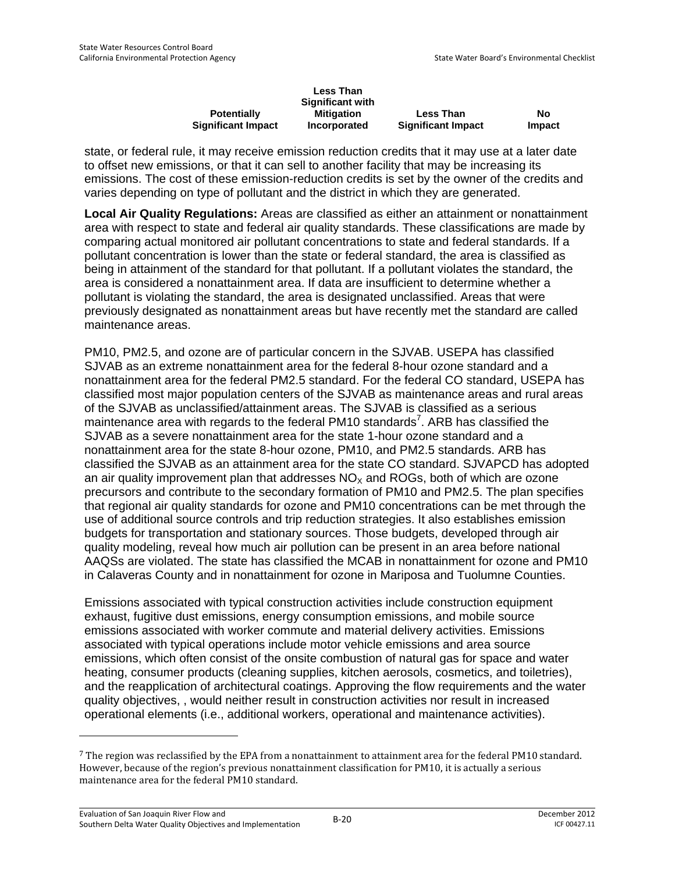|                           | <b>Less Than</b>        |                           |               |
|---------------------------|-------------------------|---------------------------|---------------|
|                           | <b>Significant with</b> |                           |               |
| <b>Potentially</b>        | <b>Mitigation</b>       | <b>Less Than</b>          | No            |
| <b>Significant Impact</b> | Incorporated            | <b>Significant Impact</b> | <b>Impact</b> |

state, or federal rule, it may receive emission reduction credits that it may use at a later date to offset new emissions, or that it can sell to another facility that may be increasing its emissions. The cost of these emission-reduction credits is set by the owner of the credits and varies depending on type of pollutant and the district in which they are generated.

**Local Air Quality Regulations:** Areas are classified as either an attainment or nonattainment area with respect to state and federal air quality standards. These classifications are made by comparing actual monitored air pollutant concentrations to state and federal standards. If a pollutant concentration is lower than the state or federal standard, the area is classified as being in attainment of the standard for that pollutant. If a pollutant violates the standard, the area is considered a nonattainment area. If data are insufficient to determine whether a pollutant is violating the standard, the area is designated unclassified. Areas that were previously designated as nonattainment areas but have recently met the standard are called maintenance areas.

PM10, PM2.5, and ozone are of particular concern in the SJVAB. USEPA has classified SJVAB as an extreme nonattainment area for the federal 8-hour ozone standard and a nonattainment area for the federal PM2.5 standard. For the federal CO standard, USEPA has classified most major population centers of the SJVAB as maintenance areas and rural areas of the SJVAB as unclassified/attainment areas. The SJVAB is classified as a serious maintenance area with regards to the federal PM10 standards<sup>7</sup>. ARB has classified the SJVAB as a severe nonattainment area for the state 1-hour ozone standard and a nonattainment area for the state 8-hour ozone, PM10, and PM2.5 standards. ARB has classified the SJVAB as an attainment area for the state CO standard. SJVAPCD has adopted an air quality improvement plan that addresses  $NO<sub>x</sub>$  and ROGs, both of which are ozone precursors and contribute to the secondary formation of PM10 and PM2.5. The plan specifies that regional air quality standards for ozone and PM10 concentrations can be met through the use of additional source controls and trip reduction strategies. It also establishes emission budgets for transportation and stationary sources. Those budgets, developed through air quality modeling, reveal how much air pollution can be present in an area before national AAQSs are violated. The state has classified the MCAB in nonattainment for ozone and PM10 in Calaveras County and in nonattainment for ozone in Mariposa and Tuolumne Counties.

Emissions associated with typical construction activities include construction equipment exhaust, fugitive dust emissions, energy consumption emissions, and mobile source emissions associated with worker commute and material delivery activities. Emissions associated with typical operations include motor vehicle emissions and area source emissions, which often consist of the onsite combustion of natural gas for space and water heating, consumer products (cleaning supplies, kitchen aerosols, cosmetics, and toiletries), and the reapplication of architectural coatings. Approving the flow requirements and the water quality objectives, , would neither result in construction activities nor result in increased operational elements (i.e., additional workers, operational and maintenance activities).

<sup>7</sup> The region was reclassified by the EPA from a nonattainment to attainment area for the federal PM10 standard. However, because of the region's previous nonattainment classification for PM10, it is actually a serious maintenance area for the federal PM10 standard.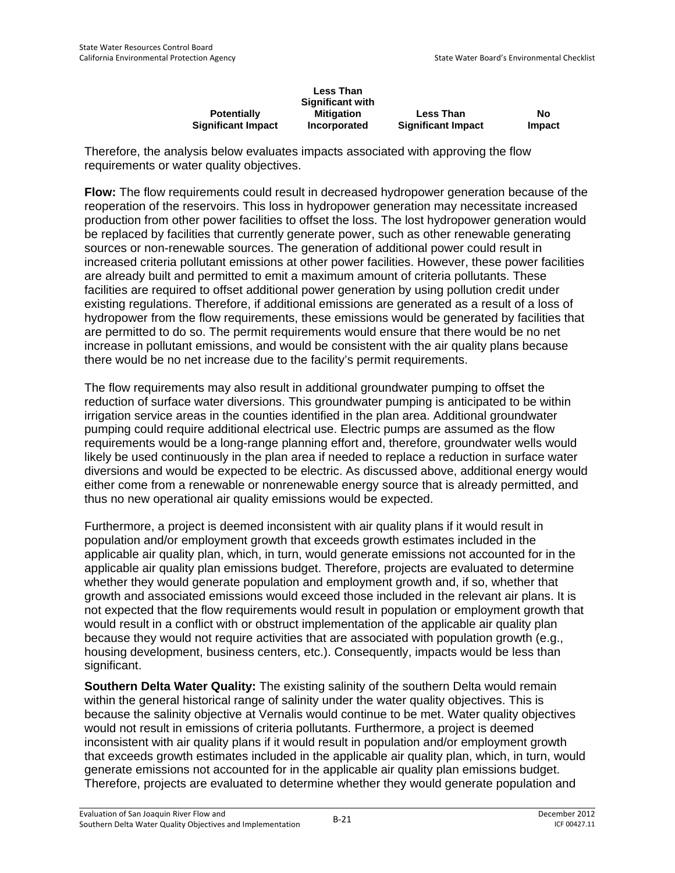|                           | <b>Less Than</b>    |                           |        |
|---------------------------|---------------------|---------------------------|--------|
|                           | Significant with    |                           |        |
| <b>Potentially</b>        | <b>Mitigation</b>   | <b>Less Than</b>          | No     |
| <b>Significant Impact</b> | <b>Incorporated</b> | <b>Significant Impact</b> | Impact |

Therefore, the analysis below evaluates impacts associated with approving the flow requirements or water quality objectives.

**Flow:** The flow requirements could result in decreased hydropower generation because of the reoperation of the reservoirs. This loss in hydropower generation may necessitate increased production from other power facilities to offset the loss. The lost hydropower generation would be replaced by facilities that currently generate power, such as other renewable generating sources or non-renewable sources. The generation of additional power could result in increased criteria pollutant emissions at other power facilities. However, these power facilities are already built and permitted to emit a maximum amount of criteria pollutants. These facilities are required to offset additional power generation by using pollution credit under existing regulations. Therefore, if additional emissions are generated as a result of a loss of hydropower from the flow requirements, these emissions would be generated by facilities that are permitted to do so. The permit requirements would ensure that there would be no net increase in pollutant emissions, and would be consistent with the air quality plans because there would be no net increase due to the facility's permit requirements.

The flow requirements may also result in additional groundwater pumping to offset the reduction of surface water diversions. This groundwater pumping is anticipated to be within irrigation service areas in the counties identified in the plan area. Additional groundwater pumping could require additional electrical use. Electric pumps are assumed as the flow requirements would be a long-range planning effort and, therefore, groundwater wells would likely be used continuously in the plan area if needed to replace a reduction in surface water diversions and would be expected to be electric. As discussed above, additional energy would either come from a renewable or nonrenewable energy source that is already permitted, and thus no new operational air quality emissions would be expected.

Furthermore, a project is deemed inconsistent with air quality plans if it would result in population and/or employment growth that exceeds growth estimates included in the applicable air quality plan, which, in turn, would generate emissions not accounted for in the applicable air quality plan emissions budget. Therefore, projects are evaluated to determine whether they would generate population and employment growth and, if so, whether that growth and associated emissions would exceed those included in the relevant air plans. It is not expected that the flow requirements would result in population or employment growth that would result in a conflict with or obstruct implementation of the applicable air quality plan because they would not require activities that are associated with population growth (e.g., housing development, business centers, etc.). Consequently, impacts would be less than significant.

**Southern Delta Water Quality:** The existing salinity of the southern Delta would remain within the general historical range of salinity under the water quality objectives. This is because the salinity objective at Vernalis would continue to be met. Water quality objectives would not result in emissions of criteria pollutants. Furthermore, a project is deemed inconsistent with air quality plans if it would result in population and/or employment growth that exceeds growth estimates included in the applicable air quality plan, which, in turn, would generate emissions not accounted for in the applicable air quality plan emissions budget. Therefore, projects are evaluated to determine whether they would generate population and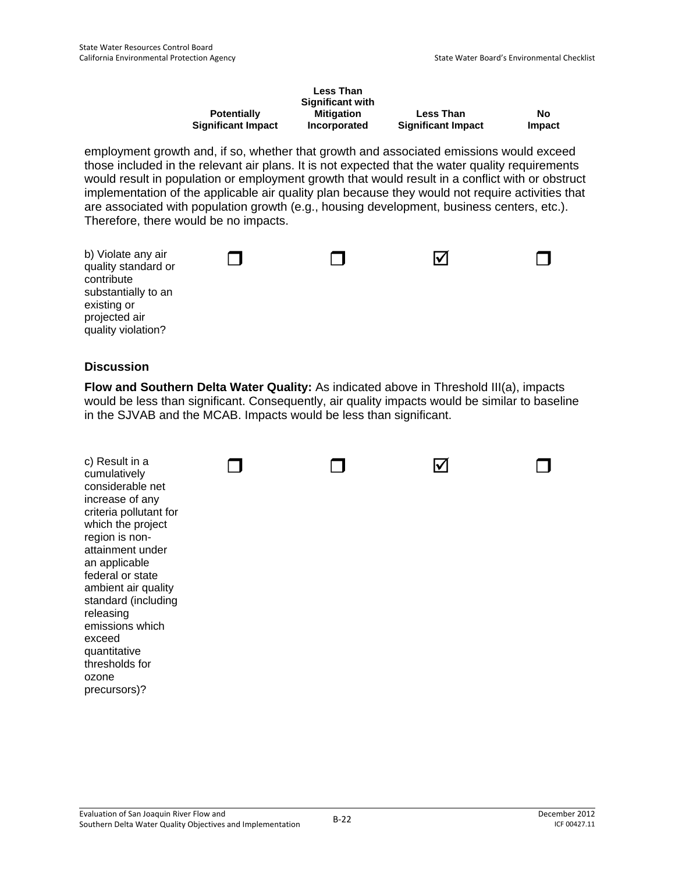|                           | <b>Less Than</b> |                           |        |
|---------------------------|------------------|---------------------------|--------|
|                           | Significant with |                           |        |
| <b>Potentially</b>        | Mitigation       | <b>Less Than</b>          | Nο     |
| <b>Significant Impact</b> | Incorporated     | <b>Significant Impact</b> | Impact |

employment growth and, if so, whether that growth and associated emissions would exceed those included in the relevant air plans. It is not expected that the water quality requirements would result in population or employment growth that would result in a conflict with or obstruct implementation of the applicable air quality plan because they would not require activities that are associated with population growth (e.g., housing development, business centers, etc.). Therefore, there would be no impacts.

| b) Violate any air<br>quality standard or<br>contribute<br>substantially to an<br>existing or<br>projected air<br>quality violation? |  |  |  |  |
|--------------------------------------------------------------------------------------------------------------------------------------|--|--|--|--|
|--------------------------------------------------------------------------------------------------------------------------------------|--|--|--|--|

### **Discussion**

**Flow and Southern Delta Water Quality:** As indicated above in Threshold III(a), impacts would be less than significant. Consequently, air quality impacts would be similar to baseline in the SJVAB and the MCAB. Impacts would be less than significant.

|--|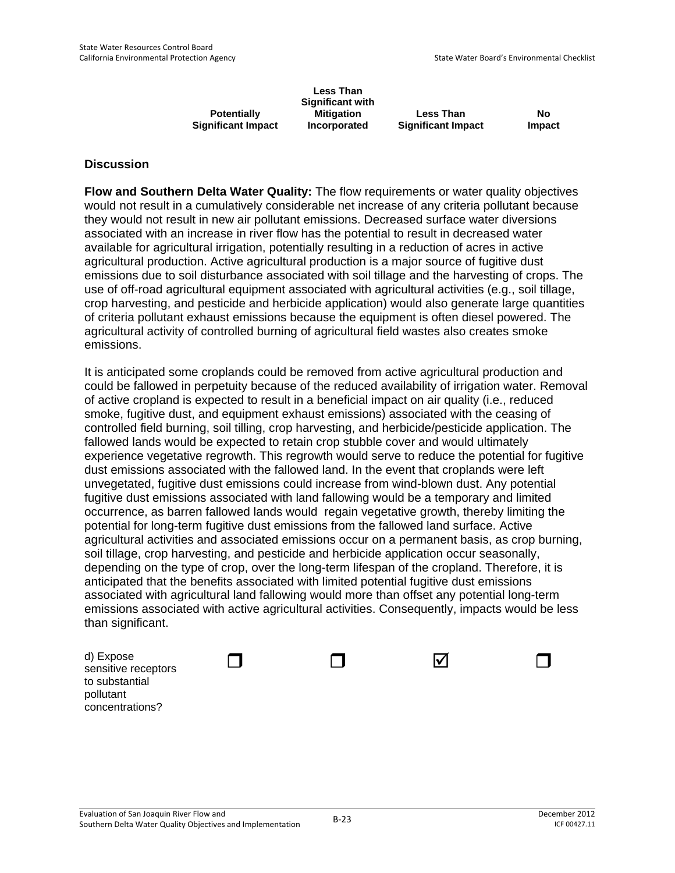|                           | <b>Less Than</b><br><b>Significant with</b> |                           |               |
|---------------------------|---------------------------------------------|---------------------------|---------------|
| <b>Potentially</b>        | <b>Mitigation</b>                           | <b>Less Than</b>          | No            |
| <b>Significant Impact</b> | Incorporated                                | <b>Significant Impact</b> | <b>Impact</b> |

**Flow and Southern Delta Water Quality:** The flow requirements or water quality objectives would not result in a cumulatively considerable net increase of any criteria pollutant because they would not result in new air pollutant emissions. Decreased surface water diversions associated with an increase in river flow has the potential to result in decreased water available for agricultural irrigation, potentially resulting in a reduction of acres in active agricultural production. Active agricultural production is a major source of fugitive dust emissions due to soil disturbance associated with soil tillage and the harvesting of crops. The use of off-road agricultural equipment associated with agricultural activities (e.g., soil tillage, crop harvesting, and pesticide and herbicide application) would also generate large quantities of criteria pollutant exhaust emissions because the equipment is often diesel powered. The agricultural activity of controlled burning of agricultural field wastes also creates smoke emissions.

It is anticipated some croplands could be removed from active agricultural production and could be fallowed in perpetuity because of the reduced availability of irrigation water. Removal of active cropland is expected to result in a beneficial impact on air quality (i.e., reduced smoke, fugitive dust, and equipment exhaust emissions) associated with the ceasing of controlled field burning, soil tilling, crop harvesting, and herbicide/pesticide application. The fallowed lands would be expected to retain crop stubble cover and would ultimately experience vegetative regrowth. This regrowth would serve to reduce the potential for fugitive dust emissions associated with the fallowed land. In the event that croplands were left unvegetated, fugitive dust emissions could increase from wind-blown dust. Any potential fugitive dust emissions associated with land fallowing would be a temporary and limited occurrence, as barren fallowed lands would regain vegetative growth, thereby limiting the potential for long-term fugitive dust emissions from the fallowed land surface. Active agricultural activities and associated emissions occur on a permanent basis, as crop burning, soil tillage, crop harvesting, and pesticide and herbicide application occur seasonally, depending on the type of crop, over the long-term lifespan of the cropland. Therefore, it is anticipated that the benefits associated with limited potential fugitive dust emissions associated with agricultural land fallowing would more than offset any potential long-term emissions associated with active agricultural activities. Consequently, impacts would be less than significant.

| d) Expose<br>sensitive receptors<br>to substantial<br>pollutant<br>concentrations? |  | lv |  |
|------------------------------------------------------------------------------------|--|----|--|
|                                                                                    |  |    |  |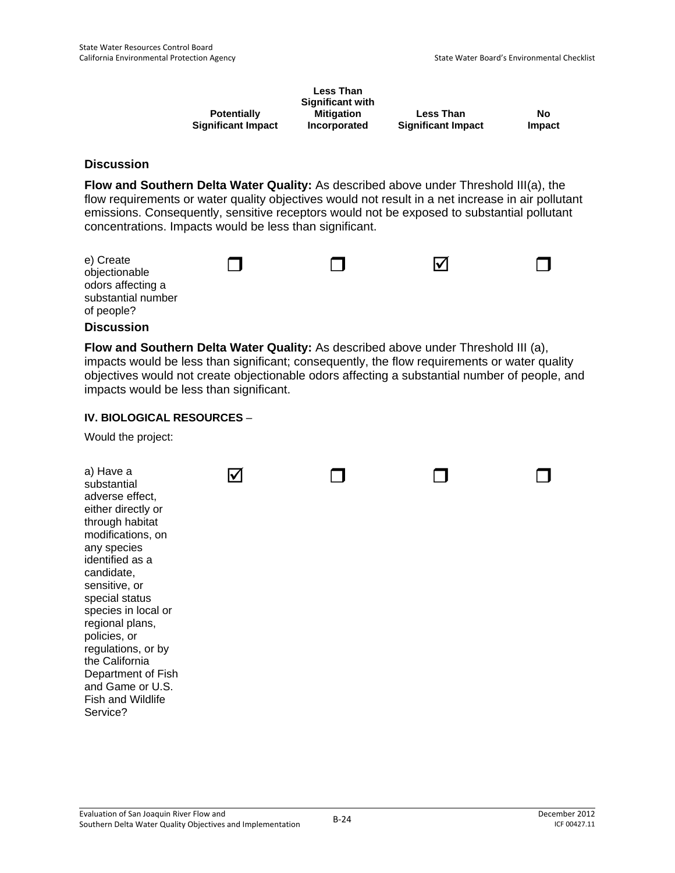|                           | <b>Less Than</b><br><b>Significant with</b> |                           |               |
|---------------------------|---------------------------------------------|---------------------------|---------------|
| <b>Potentially</b>        | <b>Mitigation</b>                           | <b>Less Than</b>          | No            |
| <b>Significant Impact</b> | Incorporated                                | <b>Significant Impact</b> | <b>Impact</b> |

**Flow and Southern Delta Water Quality:** As described above under Threshold III(a), the flow requirements or water quality objectives would not result in a net increase in air pollutant emissions. Consequently, sensitive receptors would not be exposed to substantial pollutant concentrations. Impacts would be less than significant.

| e) Create<br>objectionable<br>odors affecting a<br>substantial number<br>of people? |  | Ⅳ |  |
|-------------------------------------------------------------------------------------|--|---|--|
|                                                                                     |  |   |  |

### **Discussion**

**Flow and Southern Delta Water Quality:** As described above under Threshold III (a), impacts would be less than significant; consequently, the flow requirements or water quality objectives would not create objectionable odors affecting a substantial number of people, and impacts would be less than significant.

#### **IV. BIOLOGICAL RESOURCES** –

Would the project:

| a) Have a<br>substantial<br>adverse effect,<br>either directly or<br>through habitat<br>modifications, on<br>any species<br>identified as a<br>candidate,<br>sensitive, or<br>special status<br>species in local or<br>regional plans,<br>policies, or<br>regulations, or by<br>the California<br>Department of Fish<br>and Game or U.S.<br>Fish and Wildlife |  |  |
|---------------------------------------------------------------------------------------------------------------------------------------------------------------------------------------------------------------------------------------------------------------------------------------------------------------------------------------------------------------|--|--|
| Service?                                                                                                                                                                                                                                                                                                                                                      |  |  |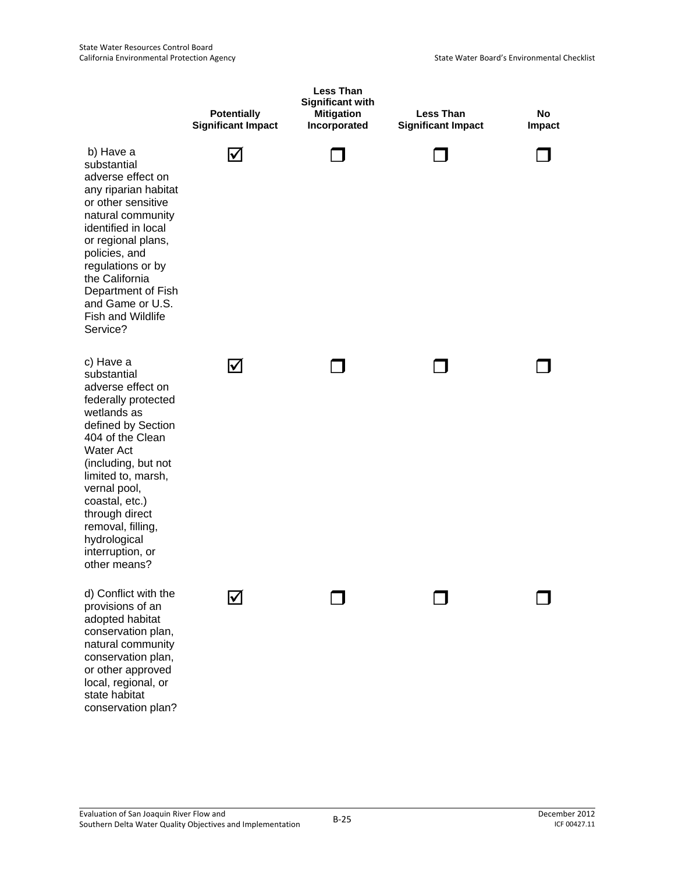|                                                                                                                                                                                                                                                                                                                             | <b>Potentially</b><br><b>Significant Impact</b> | <b>Less Than</b><br><b>Significant with</b><br><b>Mitigation</b><br>Incorporated | <b>Less Than</b><br><b>Significant Impact</b> | <b>No</b><br><b>Impact</b> |
|-----------------------------------------------------------------------------------------------------------------------------------------------------------------------------------------------------------------------------------------------------------------------------------------------------------------------------|-------------------------------------------------|----------------------------------------------------------------------------------|-----------------------------------------------|----------------------------|
| b) Have a<br>substantial<br>adverse effect on<br>any riparian habitat<br>or other sensitive<br>natural community<br>identified in local<br>or regional plans,<br>policies, and<br>regulations or by<br>the California<br>Department of Fish<br>and Game or U.S.<br><b>Fish and Wildlife</b><br>Service?                     | I√                                              |                                                                                  |                                               |                            |
| c) Have a<br>substantial<br>adverse effect on<br>federally protected<br>wetlands as<br>defined by Section<br>404 of the Clean<br><b>Water Act</b><br>(including, but not<br>limited to, marsh,<br>vernal pool,<br>coastal, etc.)<br>through direct<br>removal, filling,<br>hydrological<br>interruption, or<br>other means? | ⋈                                               |                                                                                  |                                               |                            |
| d) Conflict with the<br>provisions of an<br>adopted habitat<br>conservation plan,<br>natural community<br>conservation plan,<br>or other approved<br>local, regional, or<br>state habitat<br>conservation plan?                                                                                                             |                                                 |                                                                                  |                                               |                            |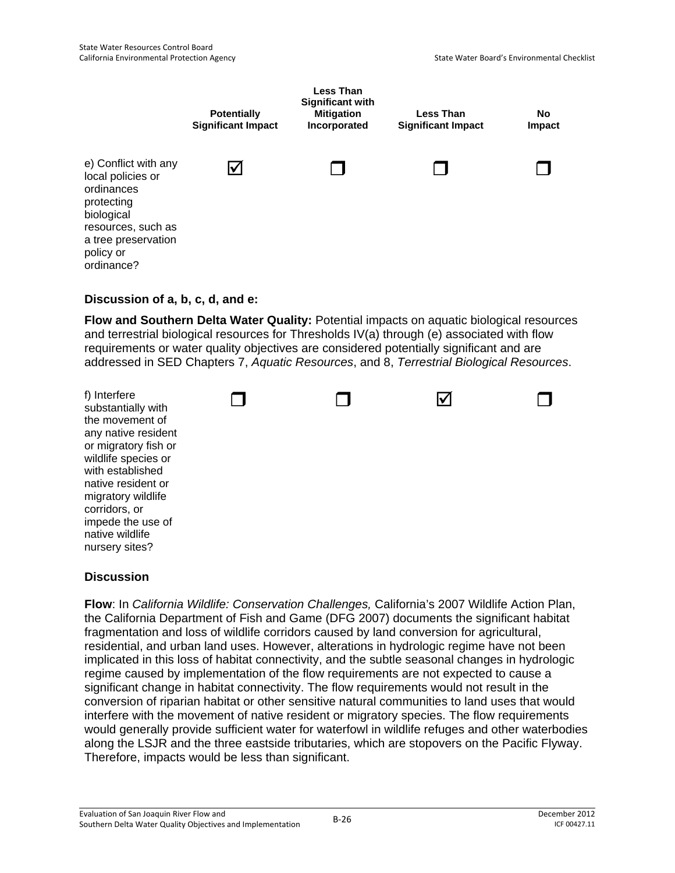

### **Discussion of a, b, c, d, and e:**

**Flow and Southern Delta Water Quality:** Potential impacts on aquatic biological resources and terrestrial biological resources for Thresholds IV(a) through (e) associated with flow requirements or water quality objectives are considered potentially significant and are addressed in SED Chapters 7, *Aquatic Resources*, and 8, *Terrestrial Biological Resources*.



### **Discussion**

**Flow**: In *California Wildlife: Conservation Challenges,* California's 2007 Wildlife Action Plan, the California Department of Fish and Game (DFG 2007) documents the significant habitat fragmentation and loss of wildlife corridors caused by land conversion for agricultural, residential, and urban land uses. However, alterations in hydrologic regime have not been implicated in this loss of habitat connectivity, and the subtle seasonal changes in hydrologic regime caused by implementation of the flow requirements are not expected to cause a significant change in habitat connectivity. The flow requirements would not result in the conversion of riparian habitat or other sensitive natural communities to land uses that would interfere with the movement of native resident or migratory species. The flow requirements would generally provide sufficient water for waterfowl in wildlife refuges and other waterbodies along the LSJR and the three eastside tributaries, which are stopovers on the Pacific Flyway. Therefore, impacts would be less than significant.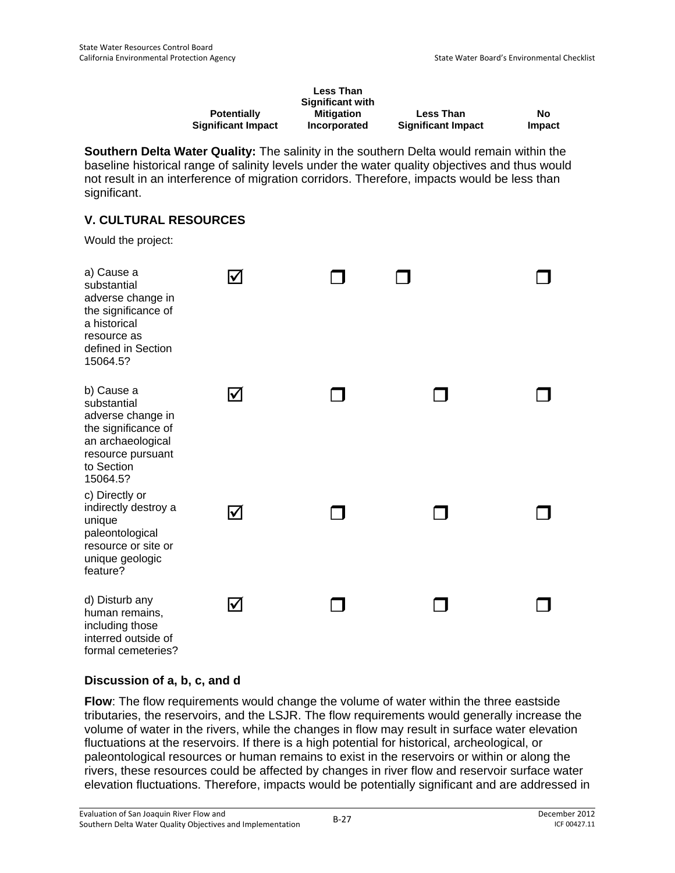|                           | <b>Less Than</b>        |                           |        |
|---------------------------|-------------------------|---------------------------|--------|
|                           | <b>Significant with</b> |                           |        |
| <b>Potentially</b>        | Mitigation              | <b>Less Than</b>          | No     |
| <b>Significant Impact</b> | Incorporated            | <b>Significant Impact</b> | Impact |

**Southern Delta Water Quality:** The salinity in the southern Delta would remain within the baseline historical range of salinity levels under the water quality objectives and thus would not result in an interference of migration corridors. Therefore, impacts would be less than significant.

# **V. CULTURAL RESOURCES**

Would the project:

| a) Cause a<br>substantial<br>adverse change in<br>the significance of<br>a historical<br>resource as<br>defined in Section<br>15064.5?    | $\blacktriangledown$ |  |  |
|-------------------------------------------------------------------------------------------------------------------------------------------|----------------------|--|--|
| b) Cause a<br>substantial<br>adverse change in<br>the significance of<br>an archaeological<br>resource pursuant<br>to Section<br>15064.5? | $\blacktriangledown$ |  |  |
| c) Directly or<br>indirectly destroy a<br>unique<br>paleontological<br>resource or site or<br>unique geologic<br>feature?                 | $\bm{\triangledown}$ |  |  |
| d) Disturb any<br>human remains,<br>including those<br>interred outside of<br>formal cemeteries?                                          | $\blacktriangledown$ |  |  |

# **Discussion of a, b, c, and d**

**Flow**: The flow requirements would change the volume of water within the three eastside tributaries, the reservoirs, and the LSJR. The flow requirements would generally increase the volume of water in the rivers, while the changes in flow may result in surface water elevation fluctuations at the reservoirs. If there is a high potential for historical, archeological, or paleontological resources or human remains to exist in the reservoirs or within or along the rivers, these resources could be affected by changes in river flow and reservoir surface water elevation fluctuations. Therefore, impacts would be potentially significant and are addressed in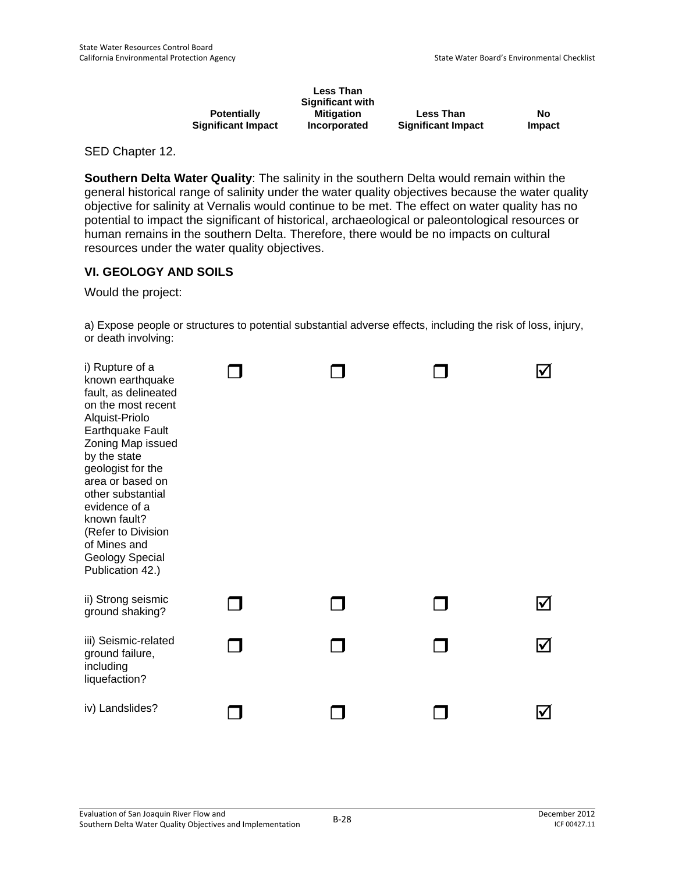|                           | <b>Less Than</b>        |                           |        |
|---------------------------|-------------------------|---------------------------|--------|
|                           | <b>Significant with</b> |                           |        |
| <b>Potentially</b>        | Mitigation              | <b>Less Than</b>          | No     |
| <b>Significant Impact</b> | Incorporated            | <b>Significant Impact</b> | Impact |

SED Chapter 12.

**Southern Delta Water Quality**: The salinity in the southern Delta would remain within the general historical range of salinity under the water quality objectives because the water quality objective for salinity at Vernalis would continue to be met. The effect on water quality has no potential to impact the significant of historical, archaeological or paleontological resources or human remains in the southern Delta. Therefore, there would be no impacts on cultural resources under the water quality objectives.

### **VI. GEOLOGY AND SOILS**

Would the project:

a) Expose people or structures to potential substantial adverse effects, including the risk of loss, injury, or death involving:

| i) Rupture of a<br>known earthquake<br>fault, as delineated<br>on the most recent<br>Alquist-Priolo<br>Earthquake Fault<br>Zoning Map issued<br>by the state<br>geologist for the<br>area or based on<br>other substantial<br>evidence of a<br>known fault?<br>(Refer to Division<br>of Mines and<br>Geology Special<br>Publication 42.) |  |   |
|------------------------------------------------------------------------------------------------------------------------------------------------------------------------------------------------------------------------------------------------------------------------------------------------------------------------------------------|--|---|
| ii) Strong seismic<br>ground shaking?                                                                                                                                                                                                                                                                                                    |  |   |
| iii) Seismic-related<br>ground failure,<br>including<br>liquefaction?                                                                                                                                                                                                                                                                    |  | M |
| iv) Landslides?                                                                                                                                                                                                                                                                                                                          |  |   |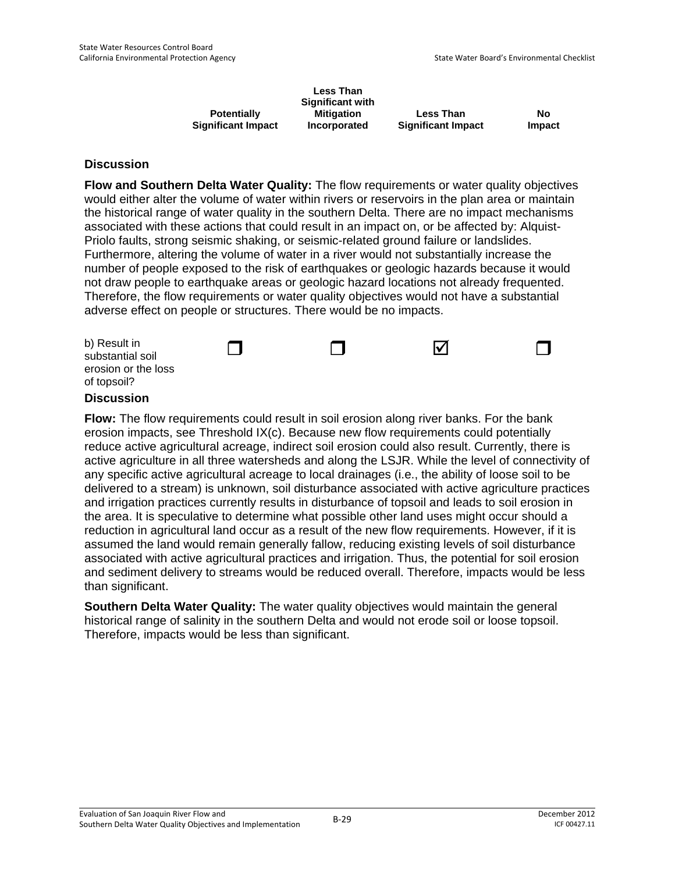|                           | <b>Less Than</b><br><b>Significant with</b> |                           |               |
|---------------------------|---------------------------------------------|---------------------------|---------------|
| <b>Potentially</b>        | <b>Mitigation</b>                           | <b>Less Than</b>          | No            |
| <b>Significant Impact</b> | Incorporated                                | <b>Significant Impact</b> | <b>Impact</b> |

**Flow and Southern Delta Water Quality:** The flow requirements or water quality objectives would either alter the volume of water within rivers or reservoirs in the plan area or maintain the historical range of water quality in the southern Delta. There are no impact mechanisms associated with these actions that could result in an impact on, or be affected by: Alquist-Priolo faults, strong seismic shaking, or seismic-related ground failure or landslides. Furthermore, altering the volume of water in a river would not substantially increase the number of people exposed to the risk of earthquakes or geologic hazards because it would not draw people to earthquake areas or geologic hazard locations not already frequented. Therefore, the flow requirements or water quality objectives would not have a substantial adverse effect on people or structures. There would be no impacts.

| b) Result in<br>substantial soil   |  | Ⅳ |  |
|------------------------------------|--|---|--|
| erosion or the loss<br>of topsoil? |  |   |  |

### **Discussion**

**Flow:** The flow requirements could result in soil erosion along river banks. For the bank erosion impacts, see Threshold IX(c). Because new flow requirements could potentially reduce active agricultural acreage, indirect soil erosion could also result. Currently, there is active agriculture in all three watersheds and along the LSJR. While the level of connectivity of any specific active agricultural acreage to local drainages (i.e., the ability of loose soil to be delivered to a stream) is unknown, soil disturbance associated with active agriculture practices and irrigation practices currently results in disturbance of topsoil and leads to soil erosion in the area. It is speculative to determine what possible other land uses might occur should a reduction in agricultural land occur as a result of the new flow requirements. However, if it is assumed the land would remain generally fallow, reducing existing levels of soil disturbance associated with active agricultural practices and irrigation. Thus, the potential for soil erosion and sediment delivery to streams would be reduced overall. Therefore, impacts would be less than significant.

**Southern Delta Water Quality:** The water quality objectives would maintain the general historical range of salinity in the southern Delta and would not erode soil or loose topsoil. Therefore, impacts would be less than significant.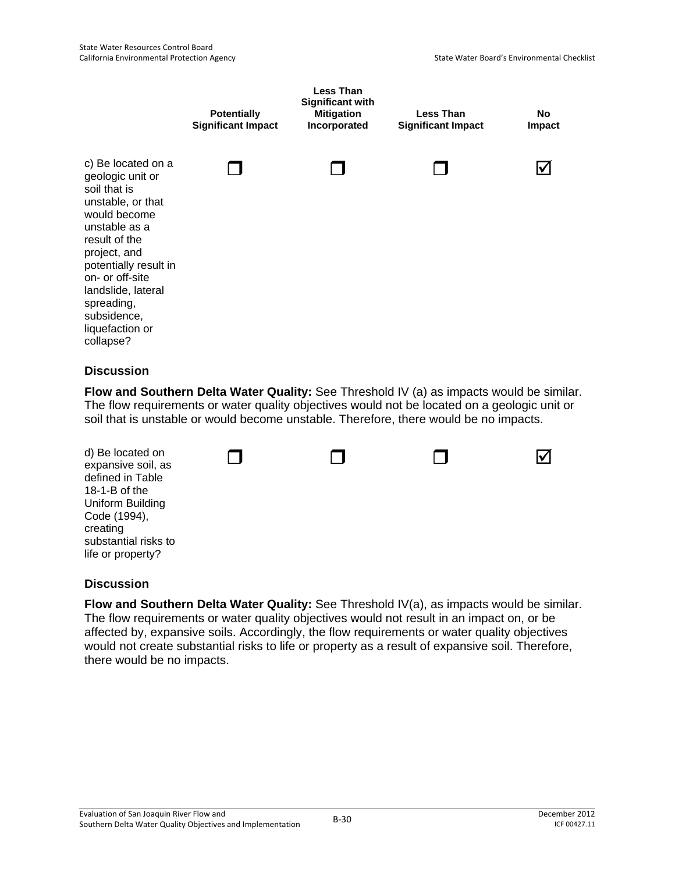

**Flow and Southern Delta Water Quality:** See Threshold IV (a) as impacts would be similar. The flow requirements or water quality objectives would not be located on a geologic unit or soil that is unstable or would become unstable. Therefore, there would be no impacts.



### **Discussion**

**Flow and Southern Delta Water Quality:** See Threshold IV(a), as impacts would be similar. The flow requirements or water quality objectives would not result in an impact on, or be affected by, expansive soils. Accordingly, the flow requirements or water quality objectives would not create substantial risks to life or property as a result of expansive soil. Therefore, there would be no impacts.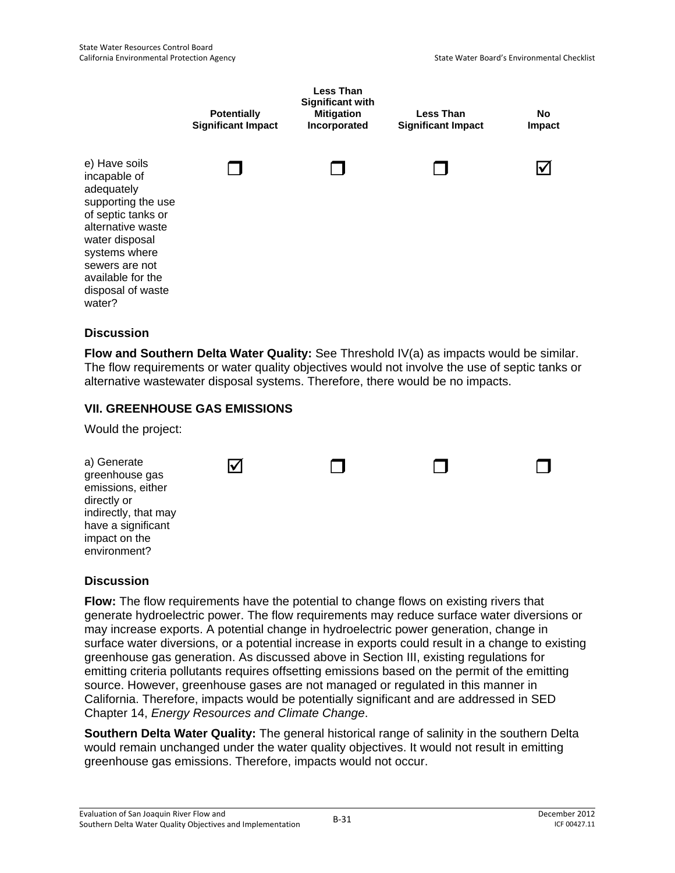

**Flow and Southern Delta Water Quality:** See Threshold IV(a) as impacts would be similar. The flow requirements or water quality objectives would not involve the use of septic tanks or alternative wastewater disposal systems. Therefore, there would be no impacts.

### **VII. GREENHOUSE GAS EMISSIONS**

Would the project:

| a) Generate<br>greenhouse gas<br>emissions, either<br>directly or<br>indirectly, that may<br>have a significant<br>impact on the<br>environment? |  |  |
|--------------------------------------------------------------------------------------------------------------------------------------------------|--|--|
|                                                                                                                                                  |  |  |

### **Discussion**

**Flow:** The flow requirements have the potential to change flows on existing rivers that generate hydroelectric power. The flow requirements may reduce surface water diversions or may increase exports. A potential change in hydroelectric power generation, change in surface water diversions, or a potential increase in exports could result in a change to existing greenhouse gas generation. As discussed above in Section III, existing regulations for emitting criteria pollutants requires offsetting emissions based on the permit of the emitting source. However, greenhouse gases are not managed or regulated in this manner in California. Therefore, impacts would be potentially significant and are addressed in SED Chapter 14, *Energy Resources and Climate Change*.

**Southern Delta Water Quality:** The general historical range of salinity in the southern Delta would remain unchanged under the water quality objectives. It would not result in emitting greenhouse gas emissions. Therefore, impacts would not occur.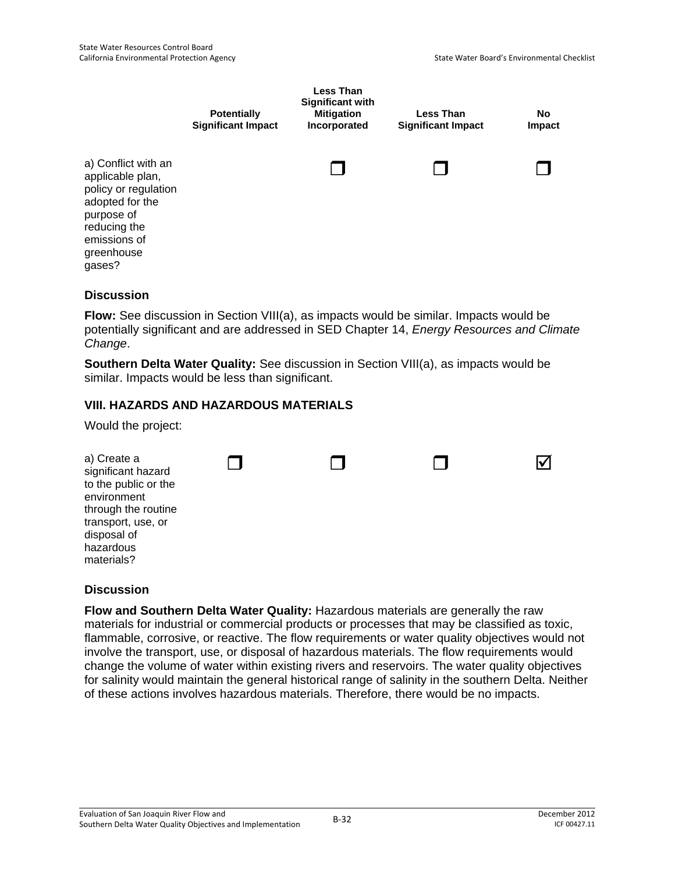|                                                                                                                                                          | <b>Potentially</b><br><b>Significant Impact</b> | <b>Less Than</b><br><b>Significant with</b><br><b>Mitigation</b><br>Incorporated | <b>Less Than</b><br><b>Significant Impact</b> | <b>No</b><br>Impact |
|----------------------------------------------------------------------------------------------------------------------------------------------------------|-------------------------------------------------|----------------------------------------------------------------------------------|-----------------------------------------------|---------------------|
| a) Conflict with an<br>applicable plan,<br>policy or regulation<br>adopted for the<br>purpose of<br>reducing the<br>emissions of<br>greenhouse<br>gases? |                                                 |                                                                                  |                                               |                     |

**Flow:** See discussion in Section VIII(a), as impacts would be similar. Impacts would be potentially significant and are addressed in SED Chapter 14, *Energy Resources and Climate Change*.

**Southern Delta Water Quality:** See discussion in Section VIII(a), as impacts would be similar. Impacts would be less than significant.

# **VIII. HAZARDS AND HAZARDOUS MATERIALS**

Would the project:

| disposal of<br>hazardous<br>materials? |  |
|----------------------------------------|--|
|----------------------------------------|--|

### **Discussion**

**Flow and Southern Delta Water Quality:** Hazardous materials are generally the raw materials for industrial or commercial products or processes that may be classified as toxic, flammable, corrosive, or reactive. The flow requirements or water quality objectives would not involve the transport, use, or disposal of hazardous materials. The flow requirements would change the volume of water within existing rivers and reservoirs. The water quality objectives for salinity would maintain the general historical range of salinity in the southern Delta. Neither of these actions involves hazardous materials. Therefore, there would be no impacts.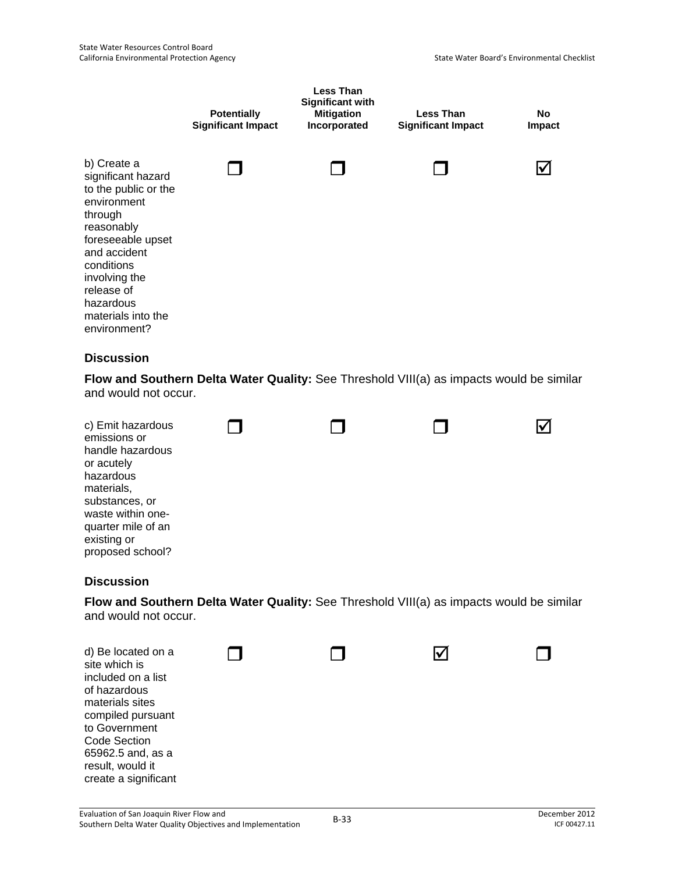|                                                                                                                                                                                                                                        | <b>Potentially</b><br><b>Significant Impact</b> | <b>Less Than</b><br><b>Significant with</b><br><b>Mitigation</b><br>Incorporated | <b>Less Than</b><br><b>Significant Impact</b>                                            | <b>No</b><br>Impact  |
|----------------------------------------------------------------------------------------------------------------------------------------------------------------------------------------------------------------------------------------|-------------------------------------------------|----------------------------------------------------------------------------------|------------------------------------------------------------------------------------------|----------------------|
| b) Create a<br>significant hazard<br>to the public or the<br>environment<br>through<br>reasonably<br>foreseeable upset<br>and accident<br>conditions<br>involving the<br>release of<br>hazardous<br>materials into the<br>environment? |                                                 |                                                                                  |                                                                                          | ⋈                    |
| <b>Discussion</b>                                                                                                                                                                                                                      |                                                 |                                                                                  | Flow and Southern Delta Water Quality: See Threshold VIII(a) as impacts would be similar |                      |
| and would not occur.                                                                                                                                                                                                                   |                                                 |                                                                                  |                                                                                          |                      |
| c) Emit hazardous<br>emissions or<br>handle hazardous<br>or acutely<br>hazardous<br>materials,<br>substances, or<br>waste within one-<br>quarter mile of an<br>existing or<br>proposed school?                                         |                                                 |                                                                                  |                                                                                          | $\blacktriangledown$ |
| <b>Discussion</b>                                                                                                                                                                                                                      |                                                 |                                                                                  |                                                                                          |                      |
| and would not occur.                                                                                                                                                                                                                   |                                                 |                                                                                  | Flow and Southern Delta Water Quality: See Threshold VIII(a) as impacts would be similar |                      |
| d) Be located on a<br>site which is<br>included on a list<br>of hazardous<br>materials sites<br>compiled pursuant<br>to Government<br><b>Code Section</b><br>65962.5 and, as a<br>result, would it<br>create a significant             |                                                 |                                                                                  | IV                                                                                       |                      |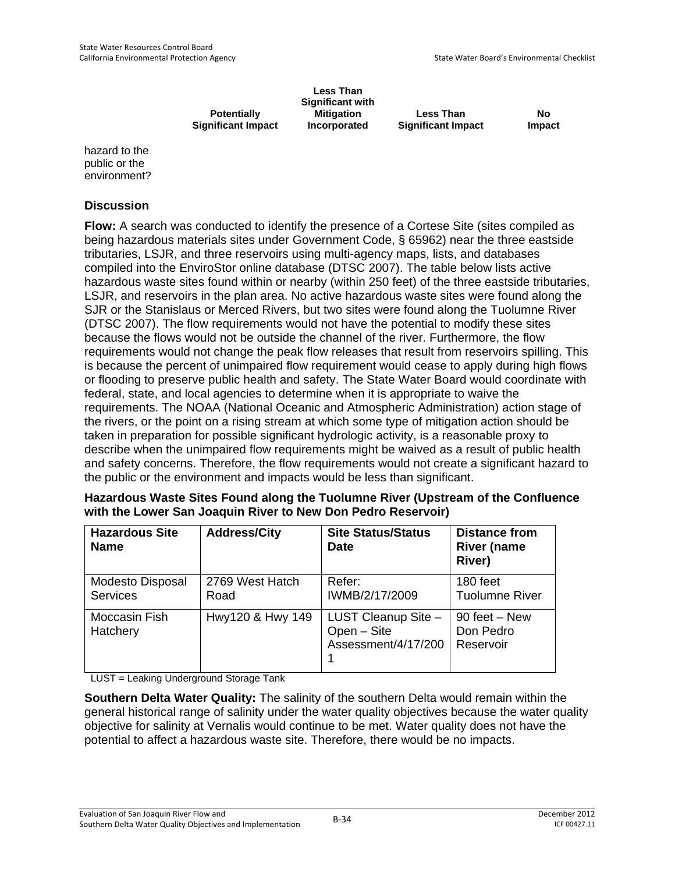**Potentially Significant Impact** 

**Less Than Significant with Mitigation Incorporated** 

**Less Than Significant Impact** 

**No Impact**

hazard to the public or the environment?

### **Discussion**

**Flow:** A search was conducted to identify the presence of a Cortese Site (sites compiled as being hazardous materials sites under Government Code, § 65962) near the three eastside tributaries, LSJR, and three reservoirs using multi-agency maps, lists, and databases compiled into the EnviroStor online database (DTSC 2007). The table below lists active hazardous waste sites found within or nearby (within 250 feet) of the three eastside tributaries, LSJR, and reservoirs in the plan area. No active hazardous waste sites were found along the SJR or the Stanislaus or Merced Rivers, but two sites were found along the Tuolumne River (DTSC 2007). The flow requirements would not have the potential to modify these sites because the flows would not be outside the channel of the river. Furthermore, the flow requirements would not change the peak flow releases that result from reservoirs spilling. This is because the percent of unimpaired flow requirement would cease to apply during high flows or flooding to preserve public health and safety. The State Water Board would coordinate with federal, state, and local agencies to determine when it is appropriate to waive the requirements. The NOAA (National Oceanic and Atmospheric Administration) action stage of the rivers, or the point on a rising stream at which some type of mitigation action should be taken in preparation for possible significant hydrologic activity, is a reasonable proxy to describe when the unimpaired flow requirements might be waived as a result of public health and safety concerns. Therefore, the flow requirements would not create a significant hazard to the public or the environment and impacts would be less than significant.

| Hazardous Waste Sites Found along the Tuolumne River (Upstream of the Confluence |
|----------------------------------------------------------------------------------|
| with the Lower San Joaquin River to New Don Pedro Reservoir)                     |

| <b>Hazardous Site</b><br><b>Name</b>       | <b>Address/City</b>     | <b>Site Status/Status</b><br><b>Date</b>                  | <b>Distance from</b><br><b>River (name</b><br><b>River)</b> |
|--------------------------------------------|-------------------------|-----------------------------------------------------------|-------------------------------------------------------------|
| <b>Modesto Disposal</b><br><b>Services</b> | 2769 West Hatch<br>Road | Refer:<br>IWMB/2/17/2009                                  | 180 feet<br><b>Tuolumne River</b>                           |
| Moccasin Fish<br>Hatchery                  | Hwy120 & Hwy 149        | LUST Cleanup Site -<br>Open - Site<br>Assessment/4/17/200 | 90 feet – New<br>Don Pedro<br>Reservoir                     |

LUST = Leaking Underground Storage Tank

**Southern Delta Water Quality:** The salinity of the southern Delta would remain within the general historical range of salinity under the water quality objectives because the water quality objective for salinity at Vernalis would continue to be met. Water quality does not have the potential to affect a hazardous waste site. Therefore, there would be no impacts.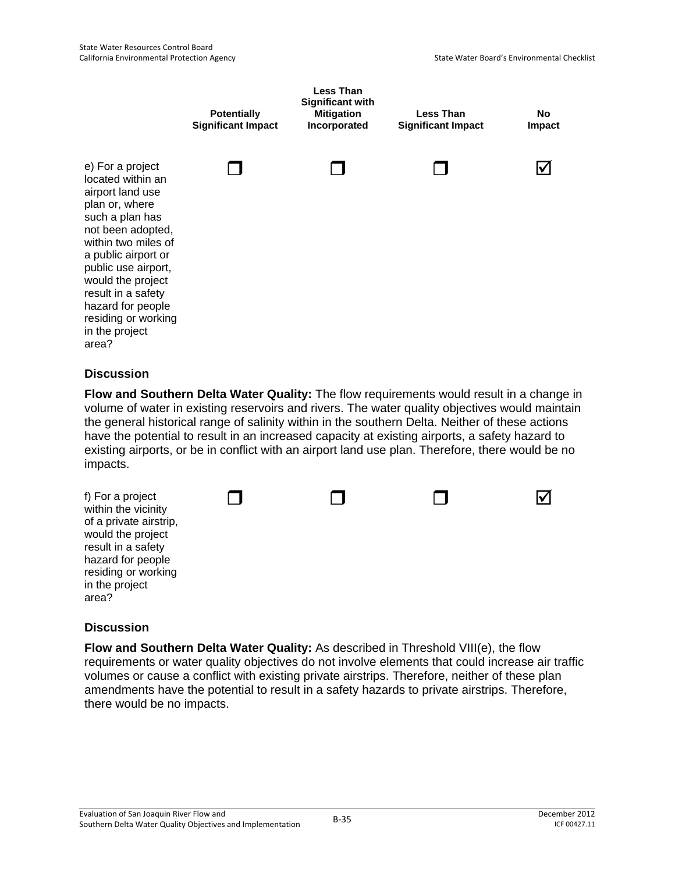

**Flow and Southern Delta Water Quality:** The flow requirements would result in a change in volume of water in existing reservoirs and rivers. The water quality objectives would maintain the general historical range of salinity within in the southern Delta. Neither of these actions have the potential to result in an increased capacity at existing airports, a safety hazard to existing airports, or be in conflict with an airport land use plan. Therefore, there would be no impacts.



### **Discussion**

**Flow and Southern Delta Water Quality:** As described in Threshold VIII(e), the flow requirements or water quality objectives do not involve elements that could increase air traffic volumes or cause a conflict with existing private airstrips. Therefore, neither of these plan amendments have the potential to result in a safety hazards to private airstrips. Therefore, there would be no impacts.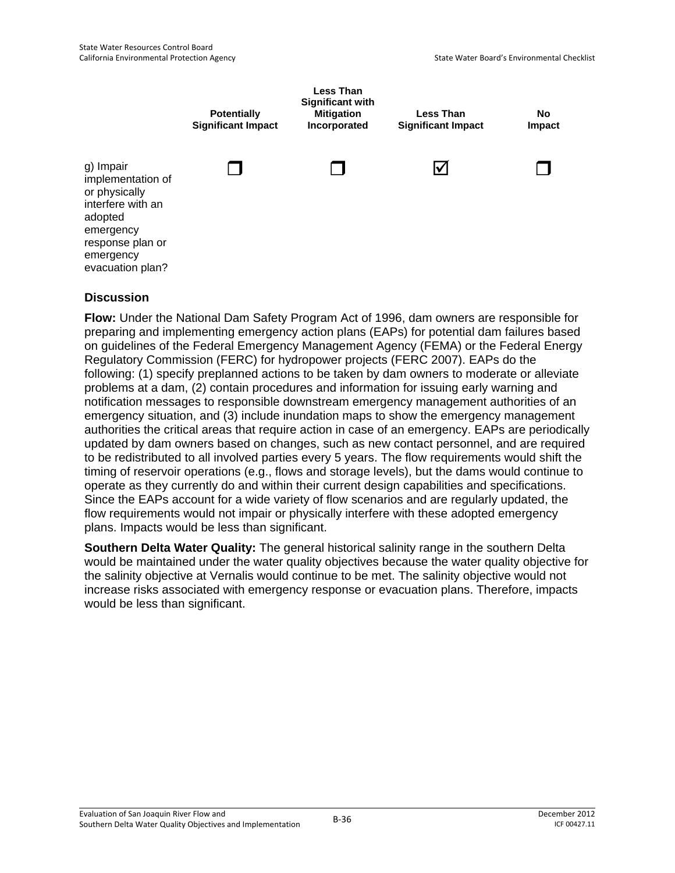

**Flow:** Under the National Dam Safety Program Act of 1996, dam owners are responsible for preparing and implementing emergency action plans (EAPs) for potential dam failures based on guidelines of the Federal Emergency Management Agency (FEMA) or the Federal Energy Regulatory Commission (FERC) for hydropower projects (FERC 2007). EAPs do the following: (1) specify preplanned actions to be taken by dam owners to moderate or alleviate problems at a dam, (2) contain procedures and information for issuing early warning and notification messages to responsible downstream emergency management authorities of an emergency situation, and (3) include inundation maps to show the emergency management authorities the critical areas that require action in case of an emergency. EAPs are periodically updated by dam owners based on changes, such as new contact personnel, and are required to be redistributed to all involved parties every 5 years. The flow requirements would shift the timing of reservoir operations (e.g., flows and storage levels), but the dams would continue to operate as they currently do and within their current design capabilities and specifications. Since the EAPs account for a wide variety of flow scenarios and are regularly updated, the flow requirements would not impair or physically interfere with these adopted emergency plans. Impacts would be less than significant.

**Southern Delta Water Quality:** The general historical salinity range in the southern Delta would be maintained under the water quality objectives because the water quality objective for the salinity objective at Vernalis would continue to be met. The salinity objective would not increase risks associated with emergency response or evacuation plans. Therefore, impacts would be less than significant.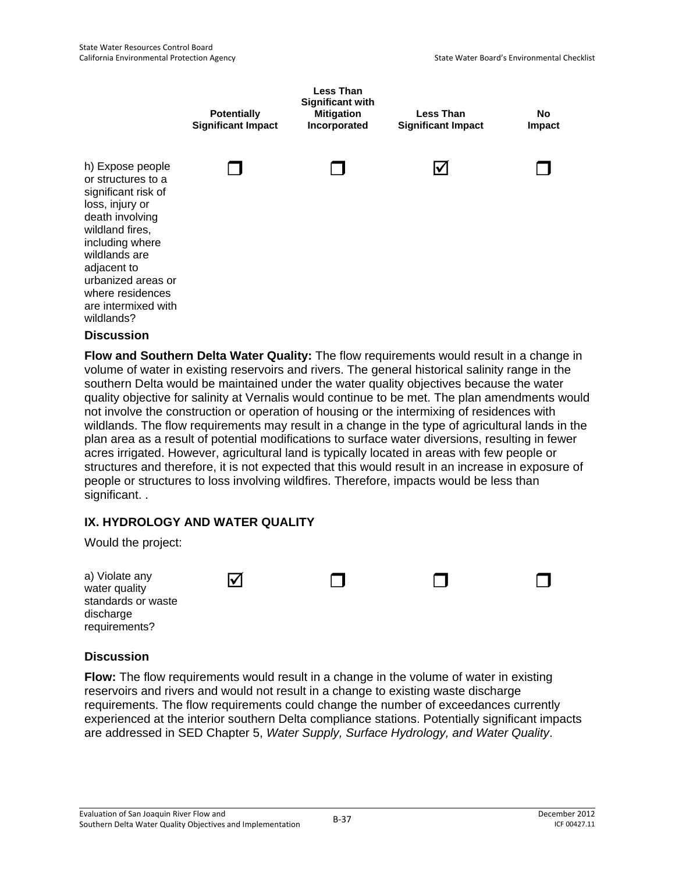

**Flow and Southern Delta Water Quality:** The flow requirements would result in a change in volume of water in existing reservoirs and rivers. The general historical salinity range in the southern Delta would be maintained under the water quality objectives because the water quality objective for salinity at Vernalis would continue to be met. The plan amendments would not involve the construction or operation of housing or the intermixing of residences with wildlands. The flow requirements may result in a change in the type of agricultural lands in the plan area as a result of potential modifications to surface water diversions, resulting in fewer acres irrigated. However, agricultural land is typically located in areas with few people or structures and therefore, it is not expected that this would result in an increase in exposure of people or structures to loss involving wildfires. Therefore, impacts would be less than significant. .

# **IX. HYDROLOGY AND WATER QUALITY**

Would the project:

| a) Violate any<br>water quality<br>standards or waste<br>discharge<br>requirements? | $\bm{\triangledown}$ |  |  |  |
|-------------------------------------------------------------------------------------|----------------------|--|--|--|
|-------------------------------------------------------------------------------------|----------------------|--|--|--|

### **Discussion**

**Flow:** The flow requirements would result in a change in the volume of water in existing reservoirs and rivers and would not result in a change to existing waste discharge requirements. The flow requirements could change the number of exceedances currently experienced at the interior southern Delta compliance stations. Potentially significant impacts are addressed in SED Chapter 5, *Water Supply, Surface Hydrology, and Water Quality*.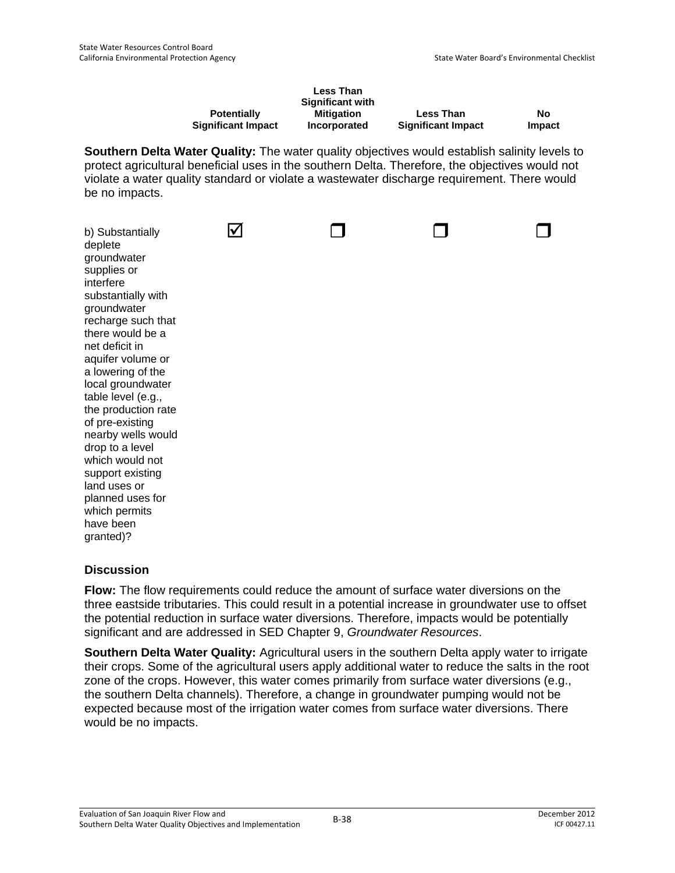|                           | <b>Less Than</b>        |                           |        |
|---------------------------|-------------------------|---------------------------|--------|
|                           | <b>Significant with</b> |                           |        |
| <b>Potentially</b>        | <b>Mitigation</b>       | <b>Less Than</b>          | No     |
| <b>Significant Impact</b> | Incorporated            | <b>Significant Impact</b> | Impact |

**Southern Delta Water Quality:** The water quality objectives would establish salinity levels to protect agricultural beneficial uses in the southern Delta. Therefore, the objectives would not violate a water quality standard or violate a wastewater discharge requirement. There would be no impacts.

| b) Substantially<br>deplete<br>groundwater<br>supplies or<br>interfere<br>substantially with<br>groundwater<br>recharge such that<br>there would be a<br>net deficit in<br>aquifer volume or<br>a lowering of the<br>local groundwater<br>table level (e.g.,<br>the production rate<br>of pre-existing<br>nearby wells would<br>drop to a level<br>which would not<br>support existing<br>land uses or<br>planned uses for<br>which permits<br>have been |  |  |
|----------------------------------------------------------------------------------------------------------------------------------------------------------------------------------------------------------------------------------------------------------------------------------------------------------------------------------------------------------------------------------------------------------------------------------------------------------|--|--|
| granted)?                                                                                                                                                                                                                                                                                                                                                                                                                                                |  |  |

### **Discussion**

**Flow:** The flow requirements could reduce the amount of surface water diversions on the three eastside tributaries. This could result in a potential increase in groundwater use to offset the potential reduction in surface water diversions. Therefore, impacts would be potentially significant and are addressed in SED Chapter 9, *Groundwater Resources*.

**Southern Delta Water Quality:** Agricultural users in the southern Delta apply water to irrigate their crops. Some of the agricultural users apply additional water to reduce the salts in the root zone of the crops. However, this water comes primarily from surface water diversions (e.g., the southern Delta channels). Therefore, a change in groundwater pumping would not be expected because most of the irrigation water comes from surface water diversions. There would be no impacts.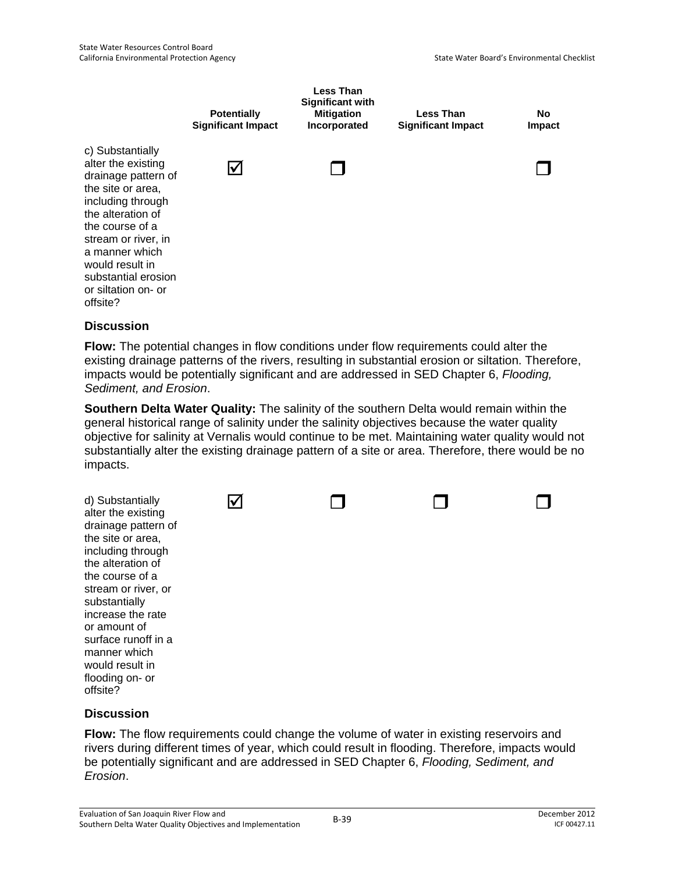

**Flow:** The potential changes in flow conditions under flow requirements could alter the existing drainage patterns of the rivers, resulting in substantial erosion or siltation. Therefore, impacts would be potentially significant and are addressed in SED Chapter 6, *Flooding, Sediment, and Erosion*.

**Southern Delta Water Quality:** The salinity of the southern Delta would remain within the general historical range of salinity under the salinity objectives because the water quality objective for salinity at Vernalis would continue to be met. Maintaining water quality would not substantially alter the existing drainage pattern of a site or area. Therefore, there would be no impacts.



### **Discussion**

**Flow:** The flow requirements could change the volume of water in existing reservoirs and rivers during different times of year, which could result in flooding. Therefore, impacts would be potentially significant and are addressed in SED Chapter 6, *Flooding, Sediment, and Erosion*.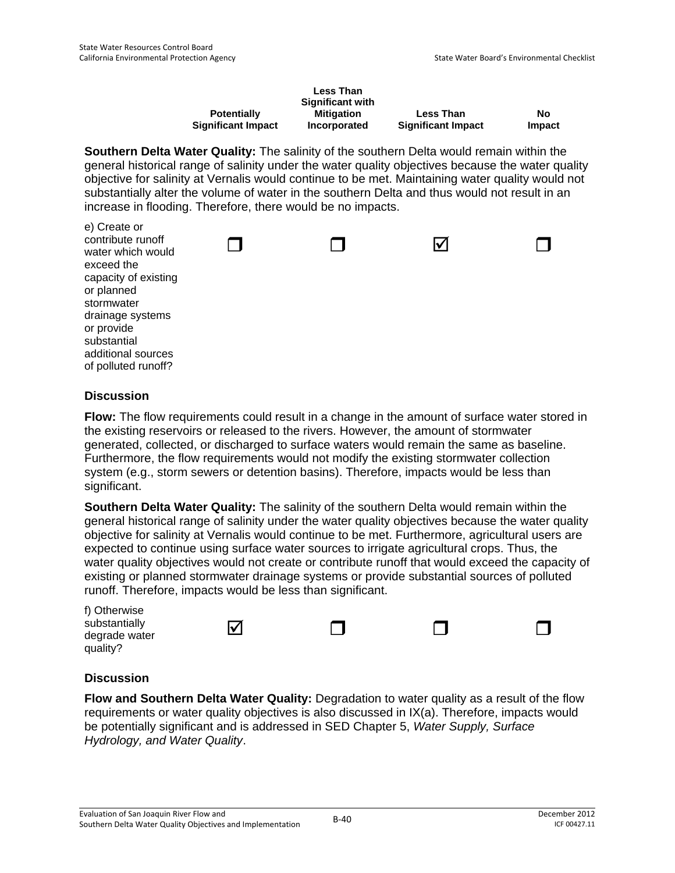|                           | <b>Less Than</b><br><b>Significant with</b> |                           |        |
|---------------------------|---------------------------------------------|---------------------------|--------|
| <b>Potentially</b>        | <b>Mitigation</b>                           | <b>Less Than</b>          | No     |
| <b>Significant Impact</b> | Incorporated                                | <b>Significant Impact</b> | Impact |

**Southern Delta Water Quality:** The salinity of the southern Delta would remain within the general historical range of salinity under the water quality objectives because the water quality objective for salinity at Vernalis would continue to be met. Maintaining water quality would not substantially alter the volume of water in the southern Delta and thus would not result in an increase in flooding. Therefore, there would be no impacts.

| $\sigma$ $\sigma$ $\sigma$ $\sigma$<br>contribute runoff<br>water which would<br>exceed the<br>capacity of existing<br>or planned<br>stormwater<br>drainage systems<br>or provide<br>substantial |  | M |  |
|--------------------------------------------------------------------------------------------------------------------------------------------------------------------------------------------------|--|---|--|
|                                                                                                                                                                                                  |  |   |  |
| additional sources                                                                                                                                                                               |  |   |  |
| of polluted runoff?                                                                                                                                                                              |  |   |  |
|                                                                                                                                                                                                  |  |   |  |

### **Discussion**

e) Create or

**Flow:** The flow requirements could result in a change in the amount of surface water stored in the existing reservoirs or released to the rivers. However, the amount of stormwater generated, collected, or discharged to surface waters would remain the same as baseline. Furthermore, the flow requirements would not modify the existing stormwater collection system (e.g., storm sewers or detention basins). Therefore, impacts would be less than significant.

**Southern Delta Water Quality:** The salinity of the southern Delta would remain within the general historical range of salinity under the water quality objectives because the water quality objective for salinity at Vernalis would continue to be met. Furthermore, agricultural users are expected to continue using surface water sources to irrigate agricultural crops. Thus, the water quality objectives would not create or contribute runoff that would exceed the capacity of existing or planned stormwater drainage systems or provide substantial sources of polluted runoff. Therefore, impacts would be less than significant.

| f) Otherwise<br>substantially<br>degrade water<br>quality? | ⋈ |  |  |
|------------------------------------------------------------|---|--|--|
|                                                            |   |  |  |

### **Discussion**

**Flow and Southern Delta Water Quality:** Degradation to water quality as a result of the flow requirements or water quality objectives is also discussed in IX(a). Therefore, impacts would be potentially significant and is addressed in SED Chapter 5, *Water Supply, Surface Hydrology, and Water Quality*.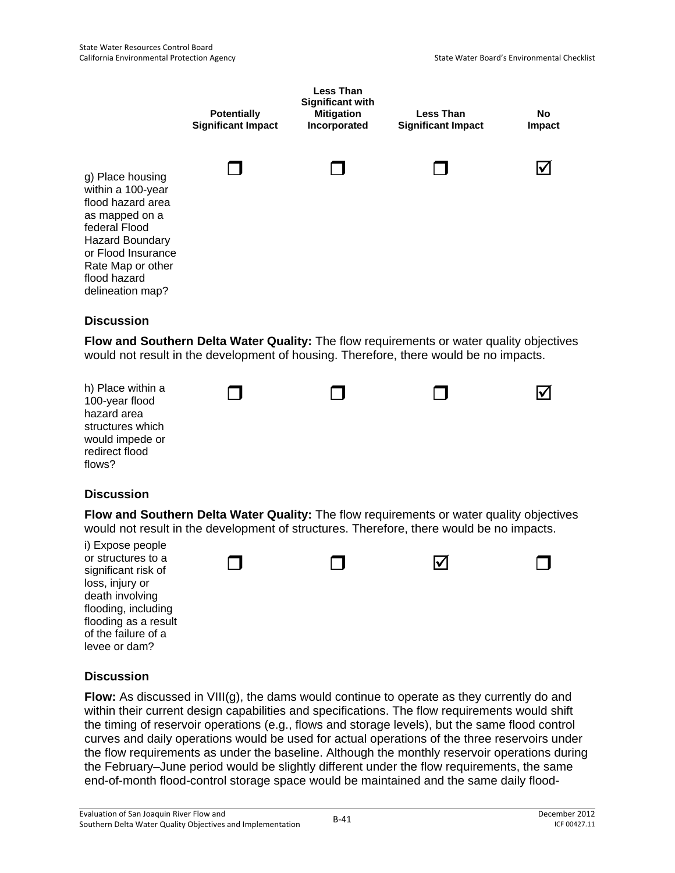

**Flow and Southern Delta Water Quality:** The flow requirements or water quality objectives would not result in the development of housing. Therefore, there would be no impacts.



### **Discussion**

**Flow and Southern Delta Water Quality:** The flow requirements or water quality objectives would not result in the development of structures. Therefore, there would be no impacts.



### **Discussion**

**Flow:** As discussed in VIII(g), the dams would continue to operate as they currently do and within their current design capabilities and specifications. The flow requirements would shift the timing of reservoir operations (e.g., flows and storage levels), but the same flood control curves and daily operations would be used for actual operations of the three reservoirs under the flow requirements as under the baseline. Although the monthly reservoir operations during the February–June period would be slightly different under the flow requirements, the same end-of-month flood-control storage space would be maintained and the same daily flood-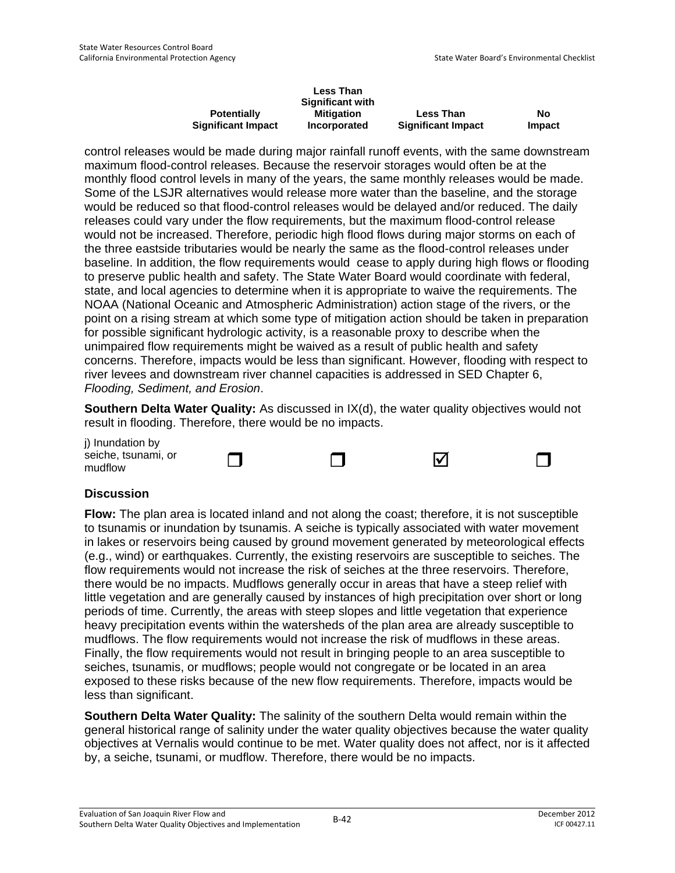|                           | <b>Less Than</b>        |                           |        |
|---------------------------|-------------------------|---------------------------|--------|
|                           | <b>Significant with</b> |                           |        |
| <b>Potentially</b>        | <b>Mitigation</b>       | <b>Less Than</b>          | No     |
| <b>Significant Impact</b> | <b>Incorporated</b>     | <b>Significant Impact</b> | Impact |

control releases would be made during major rainfall runoff events, with the same downstream maximum flood-control releases. Because the reservoir storages would often be at the monthly flood control levels in many of the years, the same monthly releases would be made. Some of the LSJR alternatives would release more water than the baseline, and the storage would be reduced so that flood-control releases would be delayed and/or reduced. The daily releases could vary under the flow requirements, but the maximum flood-control release would not be increased. Therefore, periodic high flood flows during major storms on each of the three eastside tributaries would be nearly the same as the flood-control releases under baseline. In addition, the flow requirements would cease to apply during high flows or flooding to preserve public health and safety. The State Water Board would coordinate with federal, state, and local agencies to determine when it is appropriate to waive the requirements. The NOAA (National Oceanic and Atmospheric Administration) action stage of the rivers, or the point on a rising stream at which some type of mitigation action should be taken in preparation for possible significant hydrologic activity, is a reasonable proxy to describe when the unimpaired flow requirements might be waived as a result of public health and safety concerns. Therefore, impacts would be less than significant. However, flooding with respect to river levees and downstream river channel capacities is addressed in SED Chapter 6, *Flooding, Sediment, and Erosion*.

**Southern Delta Water Quality:** As discussed in IX(d), the water quality objectives would not result in flooding. Therefore, there would be no impacts.

j) Inundation by seiche, tsunami, or mudflow

### **Discussion**

**Flow:** The plan area is located inland and not along the coast; therefore, it is not susceptible to tsunamis or inundation by tsunamis. A seiche is typically associated with water movement in lakes or reservoirs being caused by ground movement generated by meteorological effects (e.g., wind) or earthquakes. Currently, the existing reservoirs are susceptible to seiches. The flow requirements would not increase the risk of seiches at the three reservoirs. Therefore, there would be no impacts. Mudflows generally occur in areas that have a steep relief with little vegetation and are generally caused by instances of high precipitation over short or long periods of time. Currently, the areas with steep slopes and little vegetation that experience heavy precipitation events within the watersheds of the plan area are already susceptible to mudflows. The flow requirements would not increase the risk of mudflows in these areas. Finally, the flow requirements would not result in bringing people to an area susceptible to seiches, tsunamis, or mudflows; people would not congregate or be located in an area exposed to these risks because of the new flow requirements. Therefore, impacts would be less than significant.

**Southern Delta Water Quality:** The salinity of the southern Delta would remain within the general historical range of salinity under the water quality objectives because the water quality objectives at Vernalis would continue to be met. Water quality does not affect, nor is it affected by, a seiche, tsunami, or mudflow. Therefore, there would be no impacts.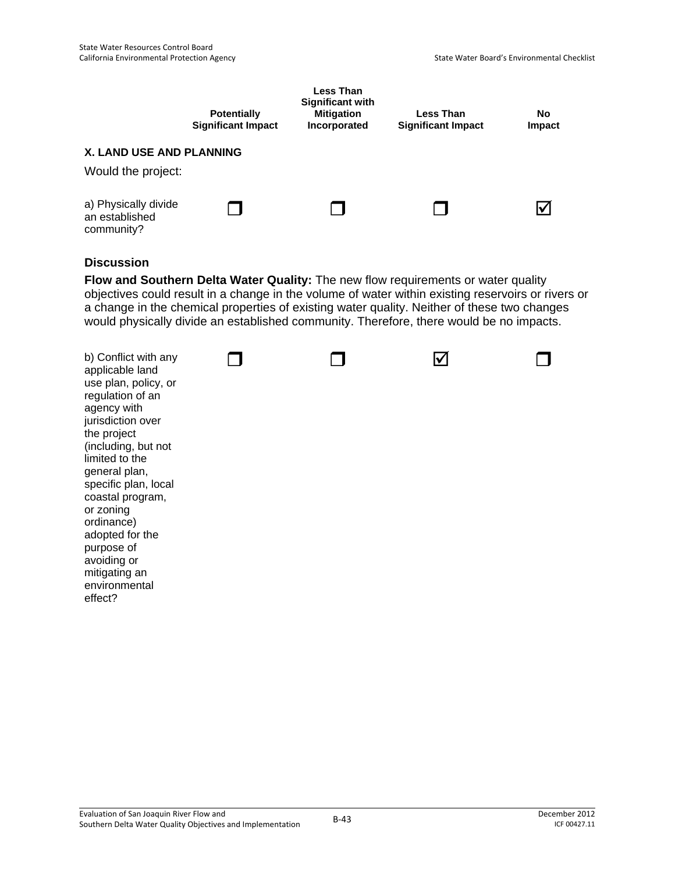|                                                       | <b>Potentially</b><br><b>Significant Impact</b> | Less Than<br><b>Significant with</b><br><b>Mitigation</b><br>Incorporated | Less Than<br><b>Significant Impact</b> | No<br>Impact         |
|-------------------------------------------------------|-------------------------------------------------|---------------------------------------------------------------------------|----------------------------------------|----------------------|
| <b>X. LAND USE AND PLANNING</b><br>Would the project: |                                                 |                                                                           |                                        |                      |
| a) Physically divide<br>an established<br>community?  |                                                 |                                                                           |                                        | $\blacktriangledown$ |

**Flow and Southern Delta Water Quality:** The new flow requirements or water quality objectives could result in a change in the volume of water within existing reservoirs or rivers or a change in the chemical properties of existing water quality. Neither of these two changes would physically divide an established community. Therefore, there would be no impacts.

| b) Conflict with any<br>applicable land<br>use plan, policy, or<br>regulation of an<br>agency with<br>jurisdiction over<br>the project<br>(including, but not<br>limited to the<br>general plan,<br>specific plan, local<br>coastal program,<br>or zoning<br>ordinance)<br>adopted for the<br>purpose of<br>avoiding or<br>mitigating an<br>environmental<br>effect? |  |  |  |  |
|----------------------------------------------------------------------------------------------------------------------------------------------------------------------------------------------------------------------------------------------------------------------------------------------------------------------------------------------------------------------|--|--|--|--|
|----------------------------------------------------------------------------------------------------------------------------------------------------------------------------------------------------------------------------------------------------------------------------------------------------------------------------------------------------------------------|--|--|--|--|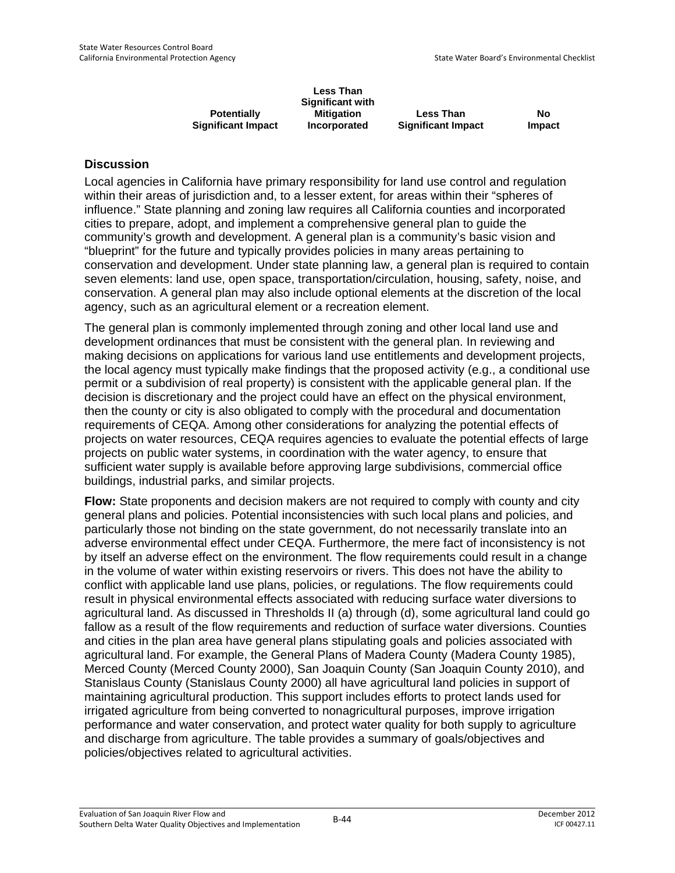|                           | <b>Less Than</b><br><b>Significant with</b> |                           |        |
|---------------------------|---------------------------------------------|---------------------------|--------|
| <b>Potentially</b>        | Mitigation                                  | <b>Less Than</b>          | No     |
| <b>Significant Impact</b> | Incorporated                                | <b>Significant Impact</b> | Impact |

Local agencies in California have primary responsibility for land use control and regulation within their areas of jurisdiction and, to a lesser extent, for areas within their "spheres of influence." State planning and zoning law requires all California counties and incorporated cities to prepare, adopt, and implement a comprehensive general plan to guide the community's growth and development. A general plan is a community's basic vision and "blueprint" for the future and typically provides policies in many areas pertaining to conservation and development. Under state planning law, a general plan is required to contain seven elements: land use, open space, transportation/circulation, housing, safety, noise, and conservation. A general plan may also include optional elements at the discretion of the local agency, such as an agricultural element or a recreation element.

The general plan is commonly implemented through zoning and other local land use and development ordinances that must be consistent with the general plan. In reviewing and making decisions on applications for various land use entitlements and development projects, the local agency must typically make findings that the proposed activity (e.g., a conditional use permit or a subdivision of real property) is consistent with the applicable general plan. If the decision is discretionary and the project could have an effect on the physical environment, then the county or city is also obligated to comply with the procedural and documentation requirements of CEQA. Among other considerations for analyzing the potential effects of projects on water resources, CEQA requires agencies to evaluate the potential effects of large projects on public water systems, in coordination with the water agency, to ensure that sufficient water supply is available before approving large subdivisions, commercial office buildings, industrial parks, and similar projects.

**Flow:** State proponents and decision makers are not required to comply with county and city general plans and policies. Potential inconsistencies with such local plans and policies, and particularly those not binding on the state government, do not necessarily translate into an adverse environmental effect under CEQA. Furthermore, the mere fact of inconsistency is not by itself an adverse effect on the environment. The flow requirements could result in a change in the volume of water within existing reservoirs or rivers. This does not have the ability to conflict with applicable land use plans, policies, or regulations. The flow requirements could result in physical environmental effects associated with reducing surface water diversions to agricultural land. As discussed in Thresholds II (a) through (d), some agricultural land could go fallow as a result of the flow requirements and reduction of surface water diversions. Counties and cities in the plan area have general plans stipulating goals and policies associated with agricultural land. For example, the General Plans of Madera County (Madera County 1985), Merced County (Merced County 2000), San Joaquin County (San Joaquin County 2010), and Stanislaus County (Stanislaus County 2000) all have agricultural land policies in support of maintaining agricultural production. This support includes efforts to protect lands used for irrigated agriculture from being converted to nonagricultural purposes, improve irrigation performance and water conservation, and protect water quality for both supply to agriculture and discharge from agriculture. The table provides a summary of goals/objectives and policies/objectives related to agricultural activities.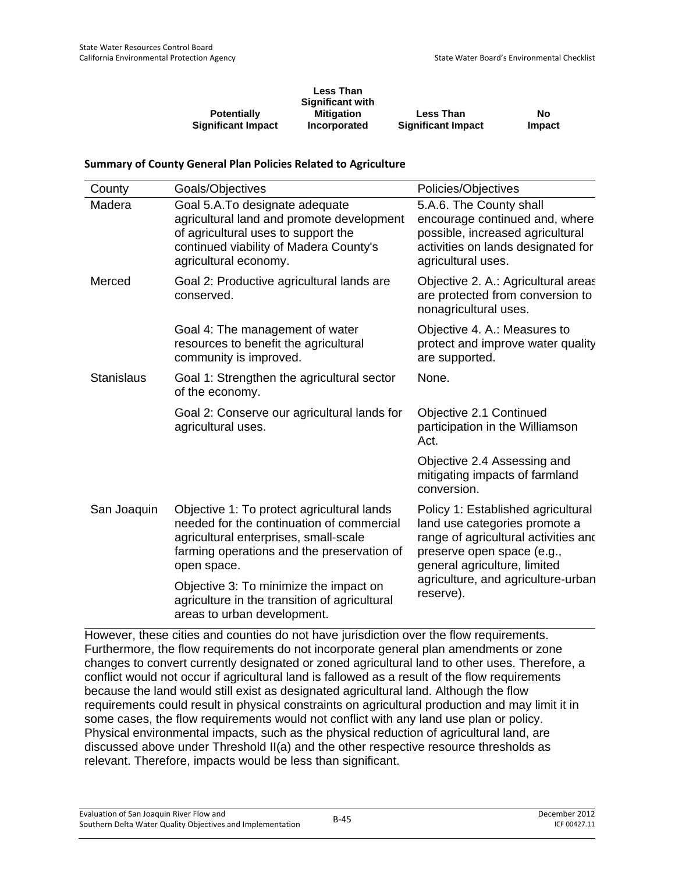|                           | <b>Less Than</b><br><b>Significant with</b> |                           |        |
|---------------------------|---------------------------------------------|---------------------------|--------|
| <b>Potentially</b>        | <b>Mitigation</b>                           | <b>Less Than</b>          | No     |
| <b>Significant Impact</b> | Incorporated                                | <b>Significant Impact</b> | Impact |

#### **Summary of County General Plan Policies Related to Agriculture**

| County            | Goals/Objectives                                                                                                                                                                              | Policies/Objectives                                                                                                                                                       |
|-------------------|-----------------------------------------------------------------------------------------------------------------------------------------------------------------------------------------------|---------------------------------------------------------------------------------------------------------------------------------------------------------------------------|
| Madera            | Goal 5.A.To designate adequate<br>agricultural land and promote development<br>of agricultural uses to support the<br>continued viability of Madera County's<br>agricultural economy.         | 5.A.6. The County shall<br>encourage continued and, where<br>possible, increased agricultural<br>activities on lands designated for<br>agricultural uses.                 |
| Merced            | Goal 2: Productive agricultural lands are<br>conserved.                                                                                                                                       | Objective 2. A.: Agricultural areas<br>are protected from conversion to<br>nonagricultural uses.                                                                          |
|                   | Goal 4: The management of water<br>resources to benefit the agricultural<br>community is improved.                                                                                            | Objective 4. A.: Measures to<br>protect and improve water quality<br>are supported.                                                                                       |
| <b>Stanislaus</b> | Goal 1: Strengthen the agricultural sector<br>of the economy.                                                                                                                                 | None.                                                                                                                                                                     |
|                   | Goal 2: Conserve our agricultural lands for<br>agricultural uses.                                                                                                                             | Objective 2.1 Continued<br>participation in the Williamson<br>Act.                                                                                                        |
|                   |                                                                                                                                                                                               | Objective 2.4 Assessing and<br>mitigating impacts of farmland<br>conversion.                                                                                              |
| San Joaquin       | Objective 1: To protect agricultural lands<br>needed for the continuation of commercial<br>agricultural enterprises, small-scale<br>farming operations and the preservation of<br>open space. | Policy 1: Established agricultural<br>land use categories promote a<br>range of agricultural activities and<br>preserve open space (e.g.,<br>general agriculture, limited |
|                   | Objective 3: To minimize the impact on<br>agriculture in the transition of agricultural<br>areas to urban development.                                                                        | agriculture, and agriculture-urban<br>reserve).                                                                                                                           |

However, these cities and counties do not have jurisdiction over the flow requirements. Furthermore, the flow requirements do not incorporate general plan amendments or zone changes to convert currently designated or zoned agricultural land to other uses. Therefore, a conflict would not occur if agricultural land is fallowed as a result of the flow requirements because the land would still exist as designated agricultural land. Although the flow requirements could result in physical constraints on agricultural production and may limit it in some cases, the flow requirements would not conflict with any land use plan or policy. Physical environmental impacts, such as the physical reduction of agricultural land, are discussed above under Threshold II(a) and the other respective resource thresholds as relevant. Therefore, impacts would be less than significant.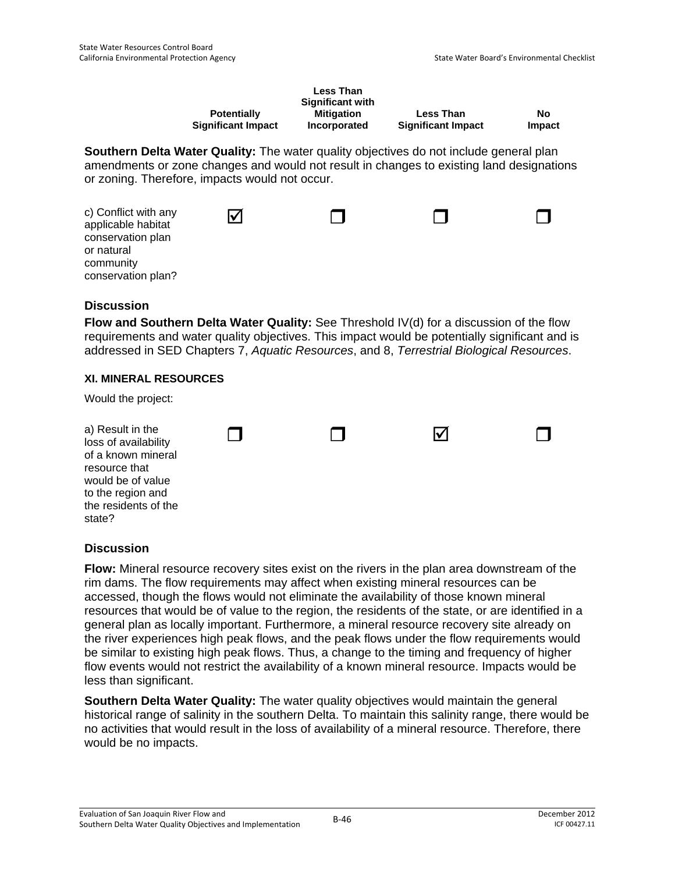|                           | <b>Less Than</b><br><b>Significant with</b> |                           |        |
|---------------------------|---------------------------------------------|---------------------------|--------|
| <b>Potentially</b>        | <b>Mitigation</b>                           | <b>Less Than</b>          | No     |
| <b>Significant Impact</b> | Incorporated                                | <b>Significant Impact</b> | Impact |

**Southern Delta Water Quality:** The water quality objectives do not include general plan amendments or zone changes and would not result in changes to existing land designations or zoning. Therefore, impacts would not occur.

| c) Conflict with any<br>applicable habitat<br>conservation plan<br>or natural<br>community |  |  |
|--------------------------------------------------------------------------------------------|--|--|
| conservation plan?                                                                         |  |  |

### **Discussion**

**Flow and Southern Delta Water Quality:** See Threshold IV(d) for a discussion of the flow requirements and water quality objectives. This impact would be potentially significant and is addressed in SED Chapters 7, *Aquatic Resources*, and 8, *Terrestrial Biological Resources*.

#### **XI. MINERAL RESOURCES**

Would the project:

| a) Result in the<br>loss of availability<br>of a known mineral<br>resource that<br>would be of value<br>to the region and<br>the residents of the<br>state? | $\mathbf{I}$ | M |  |
|-------------------------------------------------------------------------------------------------------------------------------------------------------------|--------------|---|--|
|                                                                                                                                                             |              |   |  |

### **Discussion**

**Flow:** Mineral resource recovery sites exist on the rivers in the plan area downstream of the rim dams. The flow requirements may affect when existing mineral resources can be accessed, though the flows would not eliminate the availability of those known mineral resources that would be of value to the region, the residents of the state, or are identified in a general plan as locally important. Furthermore, a mineral resource recovery site already on the river experiences high peak flows, and the peak flows under the flow requirements would be similar to existing high peak flows. Thus, a change to the timing and frequency of higher flow events would not restrict the availability of a known mineral resource. Impacts would be less than significant.

**Southern Delta Water Quality:** The water quality objectives would maintain the general historical range of salinity in the southern Delta. To maintain this salinity range, there would be no activities that would result in the loss of availability of a mineral resource. Therefore, there would be no impacts.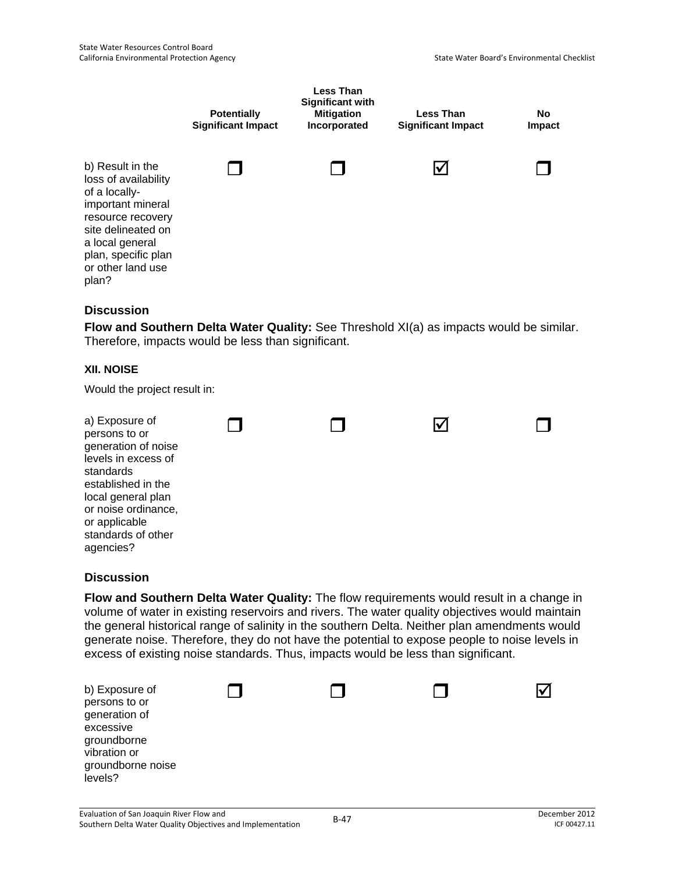

**Flow and Southern Delta Water Quality:** See Threshold XI(a) as impacts would be similar. Therefore, impacts would be less than significant.

### **XII. NOISE**

Would the project result in:

| a) Exposure of<br>persons to or<br>generation of noise<br>levels in excess of<br>standards<br>established in the<br>local general plan<br>or noise ordinance,<br>or applicable<br>standards of other<br>agencies? |  |  |  |  |
|-------------------------------------------------------------------------------------------------------------------------------------------------------------------------------------------------------------------|--|--|--|--|
|-------------------------------------------------------------------------------------------------------------------------------------------------------------------------------------------------------------------|--|--|--|--|

### **Discussion**

**Flow and Southern Delta Water Quality:** The flow requirements would result in a change in volume of water in existing reservoirs and rivers. The water quality objectives would maintain the general historical range of salinity in the southern Delta. Neither plan amendments would generate noise. Therefore, they do not have the potential to expose people to noise levels in excess of existing noise standards. Thus, impacts would be less than significant.

| b) Exposure of<br>persons to or<br>generation of<br>excessive<br>groundborne<br>vibration or<br>groundborne noise<br>levels? |  |  |
|------------------------------------------------------------------------------------------------------------------------------|--|--|
|                                                                                                                              |  |  |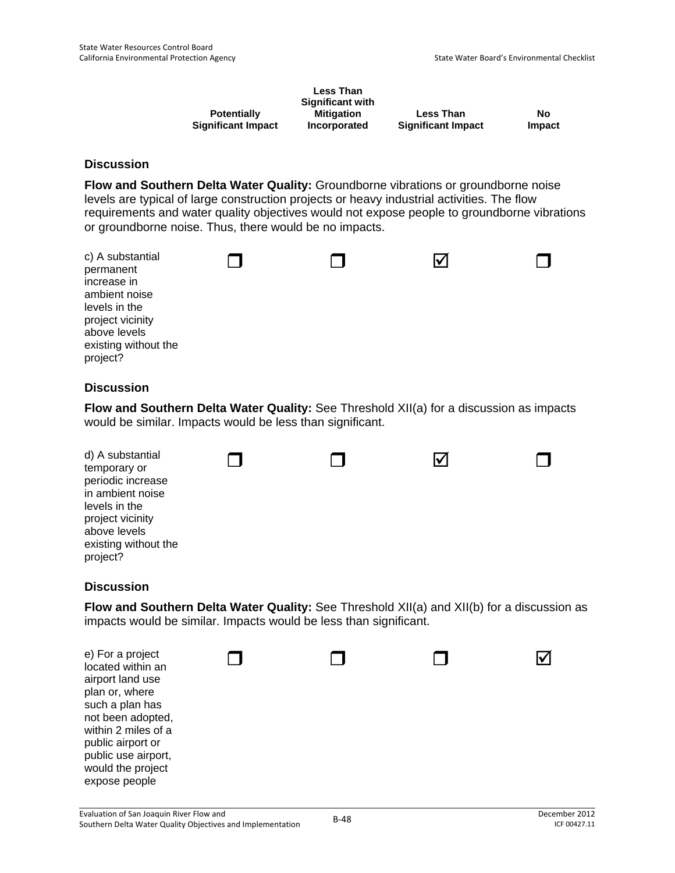|                           | <b>Less Than</b><br><b>Significant with</b> |                           |        |
|---------------------------|---------------------------------------------|---------------------------|--------|
| <b>Potentially</b>        | <b>Mitigation</b>                           | <b>Less Than</b>          | No     |
| <b>Significant Impact</b> | Incorporated                                | <b>Significant Impact</b> | Impact |

**Flow and Southern Delta Water Quality:** Groundborne vibrations or groundborne noise levels are typical of large construction projects or heavy industrial activities. The flow requirements and water quality objectives would not expose people to groundborne vibrations or groundborne noise. Thus, there would be no impacts.

| c) A substantial<br>permanent<br>increase in<br>ambient noise<br>levels in the<br>project vicinity<br>above levels<br>existing without the |  |  |
|--------------------------------------------------------------------------------------------------------------------------------------------|--|--|
| project?                                                                                                                                   |  |  |

### **Discussion**

**Flow and Southern Delta Water Quality:** See Threshold XII(a) for a discussion as impacts would be similar. Impacts would be less than significant.

| d) A substantial<br>temporary or  |  |  |
|-----------------------------------|--|--|
| periodic increase                 |  |  |
| in ambient noise<br>levels in the |  |  |
| project vicinity                  |  |  |
| above levels                      |  |  |
| existing without the              |  |  |
| project?                          |  |  |

### **Discussion**

**Flow and Southern Delta Water Quality:** See Threshold XII(a) and XII(b) for a discussion as impacts would be similar. Impacts would be less than significant.

| e) For a project<br>located within an<br>airport land use<br>plan or, where<br>such a plan has<br>not been adopted,<br>within 2 miles of a<br>public airport or<br>public use airport,<br>would the project<br>expose people |  |  |
|------------------------------------------------------------------------------------------------------------------------------------------------------------------------------------------------------------------------------|--|--|
|                                                                                                                                                                                                                              |  |  |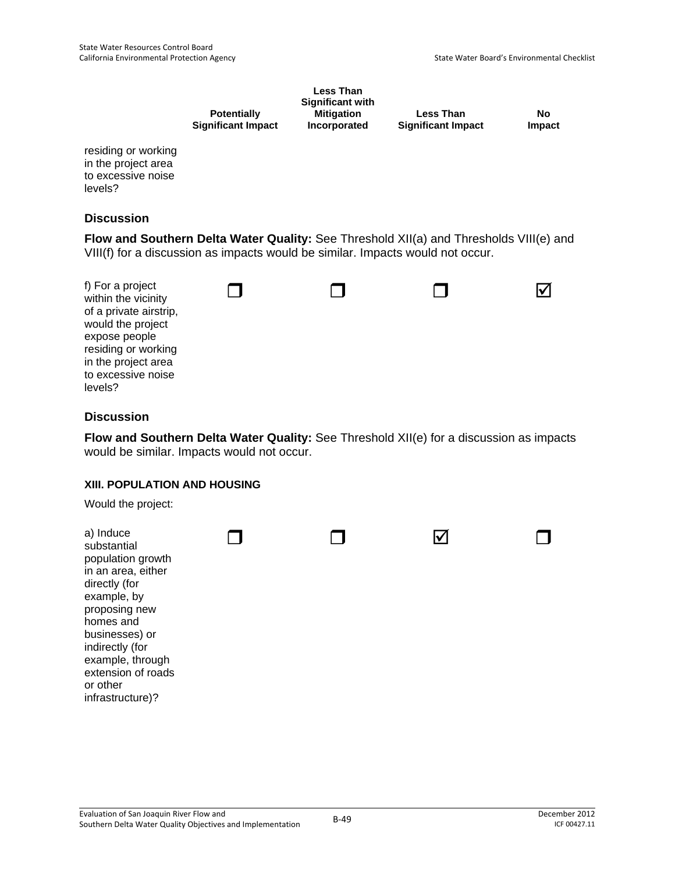| <b>Potentially</b>        |  |
|---------------------------|--|
| <b>Significant Impact</b> |  |

**Less Than Significant with Mitigation Incorporated Less Than Significant Impact** 

**No Impact**

residing or working in the project area to excessive noise levels?

### **Discussion**

**Flow and Southern Delta Water Quality:** See Threshold XII(a) and Thresholds VIII(e) and VIII(f) for a discussion as impacts would be similar. Impacts would not occur.



### **Discussion**

**Flow and Southern Delta Water Quality:** See Threshold XII(e) for a discussion as impacts would be similar. Impacts would not occur.

#### **XIII. POPULATION AND HOUSING**

Would the project:

| a) Induce<br>substantial<br>population growth<br>in an area, either<br>directly (for<br>example, by<br>proposing new<br>homes and<br>businesses) or<br>indirectly (for<br>example, through<br>extension of roads<br>or other |  |  |
|------------------------------------------------------------------------------------------------------------------------------------------------------------------------------------------------------------------------------|--|--|
| infrastructure)?                                                                                                                                                                                                             |  |  |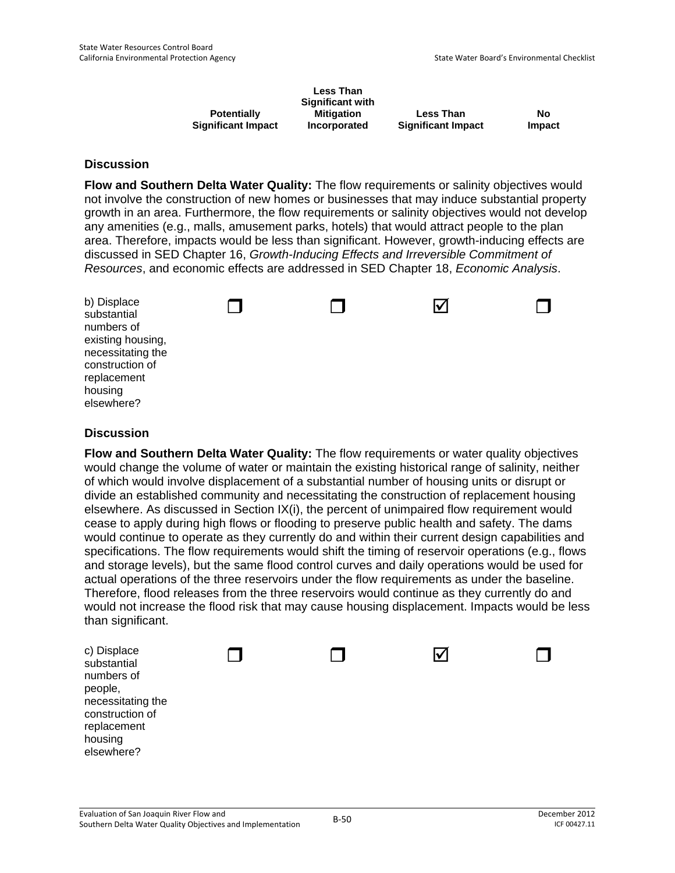|                           | <b>Less Than</b><br><b>Significant with</b> |                           |        |
|---------------------------|---------------------------------------------|---------------------------|--------|
| <b>Potentially</b>        | <b>Mitigation</b>                           | <b>Less Than</b>          | Nο     |
| <b>Significant Impact</b> | Incorporated                                | <b>Significant Impact</b> | Impact |

**Flow and Southern Delta Water Quality:** The flow requirements or salinity objectives would not involve the construction of new homes or businesses that may induce substantial property growth in an area. Furthermore, the flow requirements or salinity objectives would not develop any amenities (e.g., malls, amusement parks, hotels) that would attract people to the plan area. Therefore, impacts would be less than significant. However, growth-inducing effects are discussed in SED Chapter 16, *Growth-Inducing Effects and Irreversible Commitment of Resources*, and economic effects are addressed in SED Chapter 18, *Economic Analysis*.

| b) Displace<br>substantial<br>numbers of<br>existing housing,<br>necessitating the<br>construction of<br>replacement<br>housing | - 1 | $\blacktriangledown$ |  |
|---------------------------------------------------------------------------------------------------------------------------------|-----|----------------------|--|
| elsewhere?                                                                                                                      |     |                      |  |

#### **Discussion**

**Flow and Southern Delta Water Quality:** The flow requirements or water quality objectives would change the volume of water or maintain the existing historical range of salinity, neither of which would involve displacement of a substantial number of housing units or disrupt or divide an established community and necessitating the construction of replacement housing elsewhere. As discussed in Section IX(i), the percent of unimpaired flow requirement would cease to apply during high flows or flooding to preserve public health and safety. The dams would continue to operate as they currently do and within their current design capabilities and specifications. The flow requirements would shift the timing of reservoir operations (e.g., flows and storage levels), but the same flood control curves and daily operations would be used for actual operations of the three reservoirs under the flow requirements as under the baseline. Therefore, flood releases from the three reservoirs would continue as they currently do and would not increase the flood risk that may cause housing displacement. Impacts would be less than significant.

| c) Displace<br>substantial           |  | l۷ |  |
|--------------------------------------|--|----|--|
| numbers of<br>people,                |  |    |  |
| necessitating the<br>construction of |  |    |  |
| replacement                          |  |    |  |
| housing<br>elsewhere?                |  |    |  |
|                                      |  |    |  |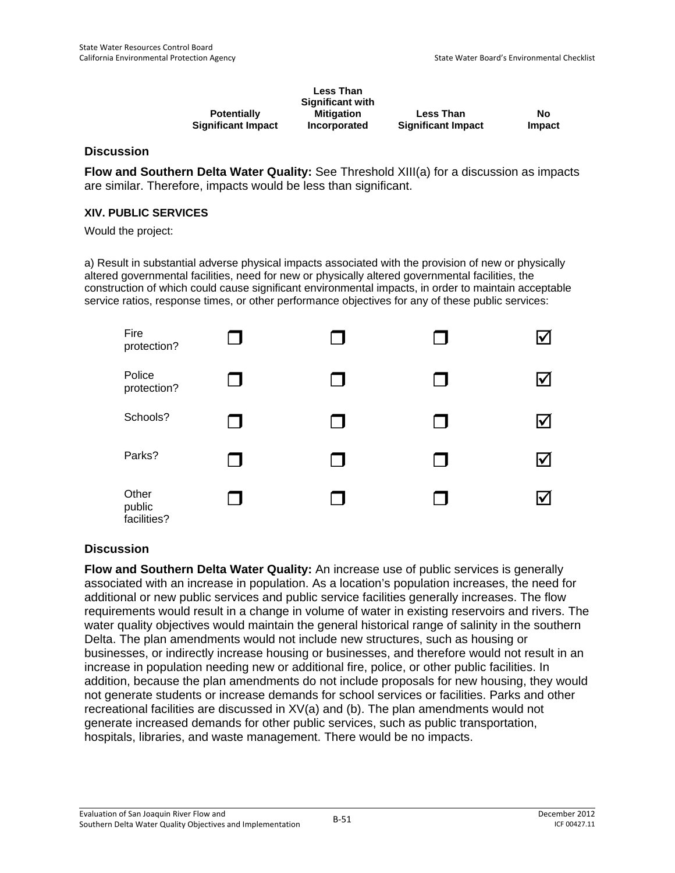|                           | <b>Less Than</b><br><b>Significant with</b> |                           |        |
|---------------------------|---------------------------------------------|---------------------------|--------|
| <b>Potentially</b>        | <b>Mitigation</b>                           | <b>Less Than</b>          | No     |
| <b>Significant Impact</b> | <b>Incorporated</b>                         | <b>Significant Impact</b> | Impact |

**Flow and Southern Delta Water Quality:** See Threshold XIII(a) for a discussion as impacts are similar. Therefore, impacts would be less than significant.

#### **XIV. PUBLIC SERVICES**

Would the project:

a) Result in substantial adverse physical impacts associated with the provision of new or physically altered governmental facilities, need for new or physically altered governmental facilities, the construction of which could cause significant environmental impacts, in order to maintain acceptable service ratios, response times, or other performance objectives for any of these public services:



### **Discussion**

**Flow and Southern Delta Water Quality:** An increase use of public services is generally associated with an increase in population. As a location's population increases, the need for additional or new public services and public service facilities generally increases. The flow requirements would result in a change in volume of water in existing reservoirs and rivers. The water quality objectives would maintain the general historical range of salinity in the southern Delta. The plan amendments would not include new structures, such as housing or businesses, or indirectly increase housing or businesses, and therefore would not result in an increase in population needing new or additional fire, police, or other public facilities. In addition, because the plan amendments do not include proposals for new housing, they would not generate students or increase demands for school services or facilities. Parks and other recreational facilities are discussed in XV(a) and (b). The plan amendments would not generate increased demands for other public services, such as public transportation, hospitals, libraries, and waste management. There would be no impacts.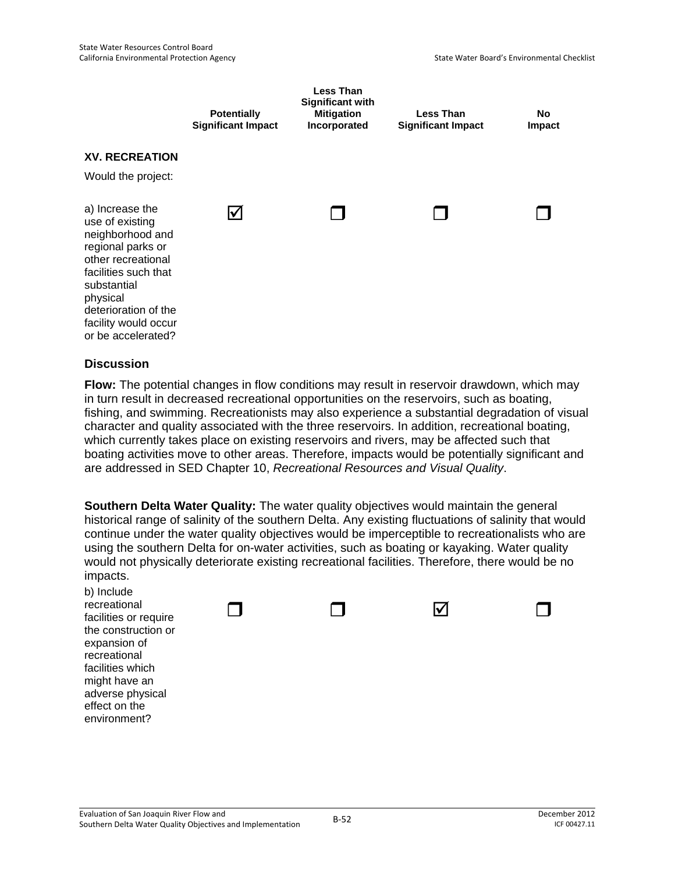|                                                                                                                                                                                                                            | <b>Potentially</b><br><b>Significant Impact</b> | <b>Less Than</b><br><b>Significant with</b><br><b>Mitigation</b><br>Incorporated | <b>Less Than</b><br><b>Significant Impact</b> | No<br>Impact |
|----------------------------------------------------------------------------------------------------------------------------------------------------------------------------------------------------------------------------|-------------------------------------------------|----------------------------------------------------------------------------------|-----------------------------------------------|--------------|
| <b>XV. RECREATION</b>                                                                                                                                                                                                      |                                                 |                                                                                  |                                               |              |
| Would the project:                                                                                                                                                                                                         |                                                 |                                                                                  |                                               |              |
| a) Increase the<br>use of existing<br>neighborhood and<br>regional parks or<br>other recreational<br>facilities such that<br>substantial<br>physical<br>deterioration of the<br>facility would occur<br>or be accelerated? | l۷                                              |                                                                                  |                                               |              |

**Flow:** The potential changes in flow conditions may result in reservoir drawdown, which may in turn result in decreased recreational opportunities on the reservoirs, such as boating, fishing, and swimming. Recreationists may also experience a substantial degradation of visual character and quality associated with the three reservoirs. In addition, recreational boating, which currently takes place on existing reservoirs and rivers, may be affected such that boating activities move to other areas. Therefore, impacts would be potentially significant and are addressed in SED Chapter 10, *Recreational Resources and Visual Quality*.

**Southern Delta Water Quality:** The water quality objectives would maintain the general historical range of salinity of the southern Delta. Any existing fluctuations of salinity that would continue under the water quality objectives would be imperceptible to recreationalists who are using the southern Delta for on-water activities, such as boating or kayaking. Water quality would not physically deteriorate existing recreational facilities. Therefore, there would be no impacts.

b) Include recreational facilities or require the construction or expansion of recreational facilities which might have an adverse physical effect on the environment?

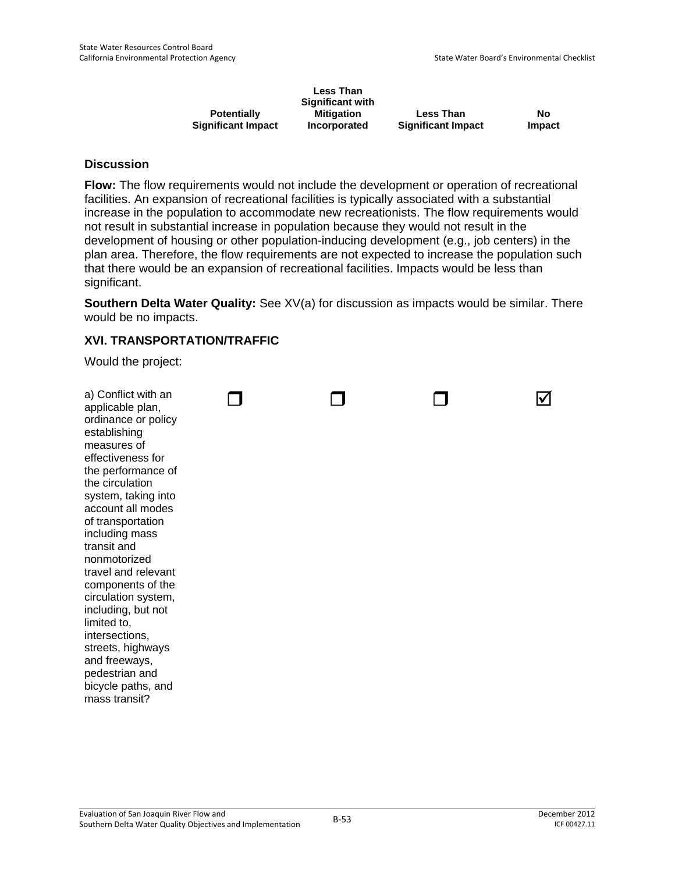|                           | <b>Less Than</b><br><b>Significant with</b> |                           |        |
|---------------------------|---------------------------------------------|---------------------------|--------|
| <b>Potentially</b>        | <b>Mitigation</b>                           | <b>Less Than</b>          | Nο     |
| <b>Significant Impact</b> | Incorporated                                | <b>Significant Impact</b> | Impact |

**Flow:** The flow requirements would not include the development or operation of recreational facilities. An expansion of recreational facilities is typically associated with a substantial increase in the population to accommodate new recreationists. The flow requirements would not result in substantial increase in population because they would not result in the development of housing or other population-inducing development (e.g., job centers) in the plan area. Therefore, the flow requirements are not expected to increase the population such that there would be an expansion of recreational facilities. Impacts would be less than significant.

**Southern Delta Water Quality:** See XV(a) for discussion as impacts would be similar. There would be no impacts.

### **XVI. TRANSPORTATION/TRAFFIC**

Would the project:

| a) Conflict with an<br>applicable plan,<br>ordinance or policy<br>establishing<br>measures of<br>effectiveness for<br>the performance of<br>the circulation<br>system, taking into<br>account all modes<br>of transportation<br>including mass<br>transit and<br>nonmotorized<br>travel and relevant<br>components of the<br>circulation system,<br>including, but not<br>limited to,<br>intersections,<br>streets, highways<br>and freeways,<br>pedestrian and<br>bicycle paths, and<br>mass transit? |  |
|--------------------------------------------------------------------------------------------------------------------------------------------------------------------------------------------------------------------------------------------------------------------------------------------------------------------------------------------------------------------------------------------------------------------------------------------------------------------------------------------------------|--|
|--------------------------------------------------------------------------------------------------------------------------------------------------------------------------------------------------------------------------------------------------------------------------------------------------------------------------------------------------------------------------------------------------------------------------------------------------------------------------------------------------------|--|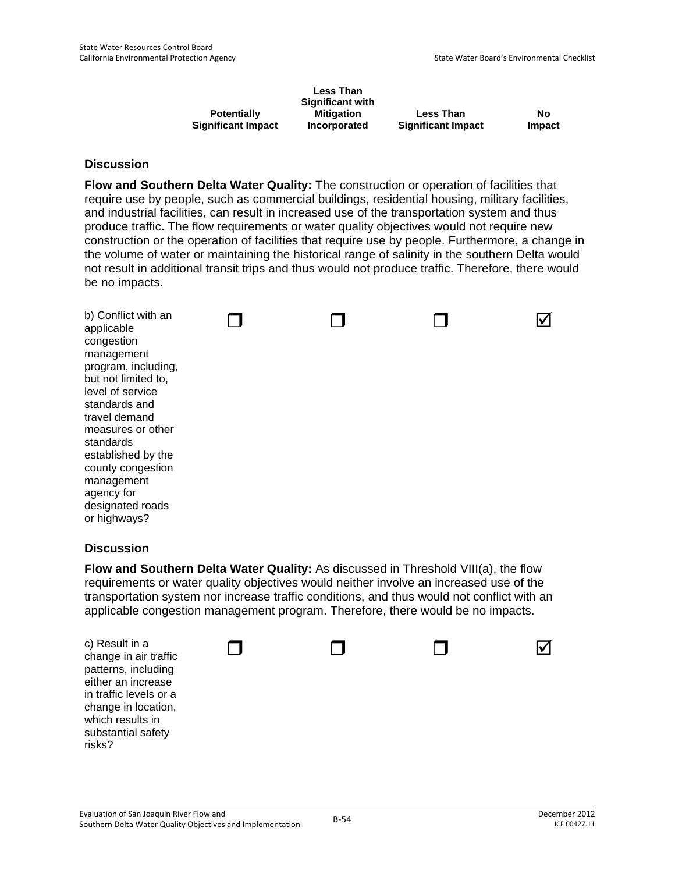|                           | Less Than<br><b>Significant with</b> |                           |        |
|---------------------------|--------------------------------------|---------------------------|--------|
| <b>Potentially</b>        | <b>Mitigation</b>                    | <b>Less Than</b>          | No     |
| <b>Significant Impact</b> | Incorporated                         | <b>Significant Impact</b> | Impact |

**Flow and Southern Delta Water Quality:** The construction or operation of facilities that require use by people, such as commercial buildings, residential housing, military facilities, and industrial facilities, can result in increased use of the transportation system and thus produce traffic. The flow requirements or water quality objectives would not require new construction or the operation of facilities that require use by people. Furthermore, a change in the volume of water or maintaining the historical range of salinity in the southern Delta would not result in additional transit trips and thus would not produce traffic. Therefore, there would be no impacts.

b) Conflict with an applicable congestion management program, including, but not limited to, level of service standards and travel demand measures or other standards established by the county congestion management agency for designated roads or highways?  $\Box$   $\Box$   $\Box$   $\Box$ 

### **Discussion**

**Flow and Southern Delta Water Quality:** As discussed in Threshold VIII(a), the flow requirements or water quality objectives would neither involve an increased use of the transportation system nor increase traffic conditions, and thus would not conflict with an applicable congestion management program. Therefore, there would be no impacts.

c) Result in a change in air traffic patterns, including either an increase in traffic levels or a change in location, which results in substantial safety risks?  $\Box$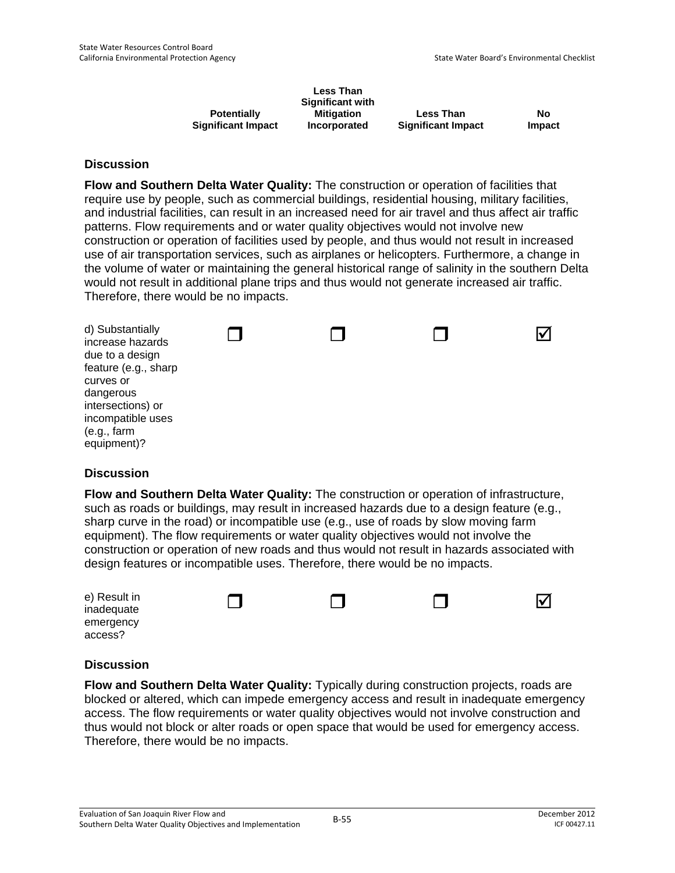|                           | <b>Less Than</b><br><b>Significant with</b> |                           |               |
|---------------------------|---------------------------------------------|---------------------------|---------------|
| <b>Potentially</b>        | <b>Mitigation</b>                           | <b>Less Than</b>          | No            |
| <b>Significant Impact</b> | Incorporated                                | <b>Significant Impact</b> | <b>Impact</b> |

**Flow and Southern Delta Water Quality:** The construction or operation of facilities that require use by people, such as commercial buildings, residential housing, military facilities, and industrial facilities, can result in an increased need for air travel and thus affect air traffic patterns. Flow requirements and or water quality objectives would not involve new construction or operation of facilities used by people, and thus would not result in increased use of air transportation services, such as airplanes or helicopters. Furthermore, a change in the volume of water or maintaining the general historical range of salinity in the southern Delta would not result in additional plane trips and thus would not generate increased air traffic. Therefore, there would be no impacts.

| d) Substantially<br>increase hazards<br>due to a design<br>feature (e.g., sharp<br>curves or<br>dangerous<br>intersections) or<br>incompatible uses<br>(e.g., farm)<br>equipment)? |  |  |
|------------------------------------------------------------------------------------------------------------------------------------------------------------------------------------|--|--|
|                                                                                                                                                                                    |  |  |

### **Discussion**

**Flow and Southern Delta Water Quality:** The construction or operation of infrastructure, such as roads or buildings, may result in increased hazards due to a design feature (e.g., sharp curve in the road) or incompatible use (e.g., use of roads by slow moving farm equipment). The flow requirements or water quality objectives would not involve the construction or operation of new roads and thus would not result in hazards associated with design features or incompatible uses. Therefore, there would be no impacts.

|  | Ⅳ |
|--|---|
|  |   |
|  |   |

### **Discussion**

**Flow and Southern Delta Water Quality:** Typically during construction projects, roads are blocked or altered, which can impede emergency access and result in inadequate emergency access. The flow requirements or water quality objectives would not involve construction and thus would not block or alter roads or open space that would be used for emergency access. Therefore, there would be no impacts.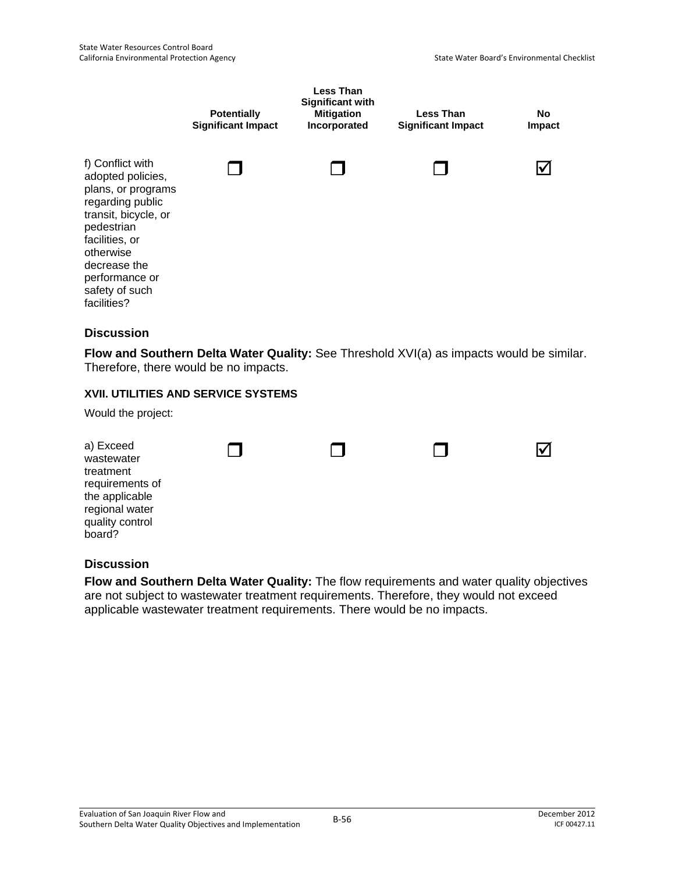

**Flow and Southern Delta Water Quality:** See Threshold XVI(a) as impacts would be similar. Therefore, there would be no impacts.

### **XVII. UTILITIES AND SERVICE SYSTEMS**

Would the project:

| a) Exceed<br>wastewater<br>treatment<br>requirements of<br>the applicable<br>regional water<br>quality control<br>board? | n l | . . | $\mathbf{I}$ | 'v |
|--------------------------------------------------------------------------------------------------------------------------|-----|-----|--------------|----|
|                                                                                                                          |     |     |              |    |

# **Discussion**

**Flow and Southern Delta Water Quality:** The flow requirements and water quality objectives are not subject to wastewater treatment requirements. Therefore, they would not exceed applicable wastewater treatment requirements. There would be no impacts.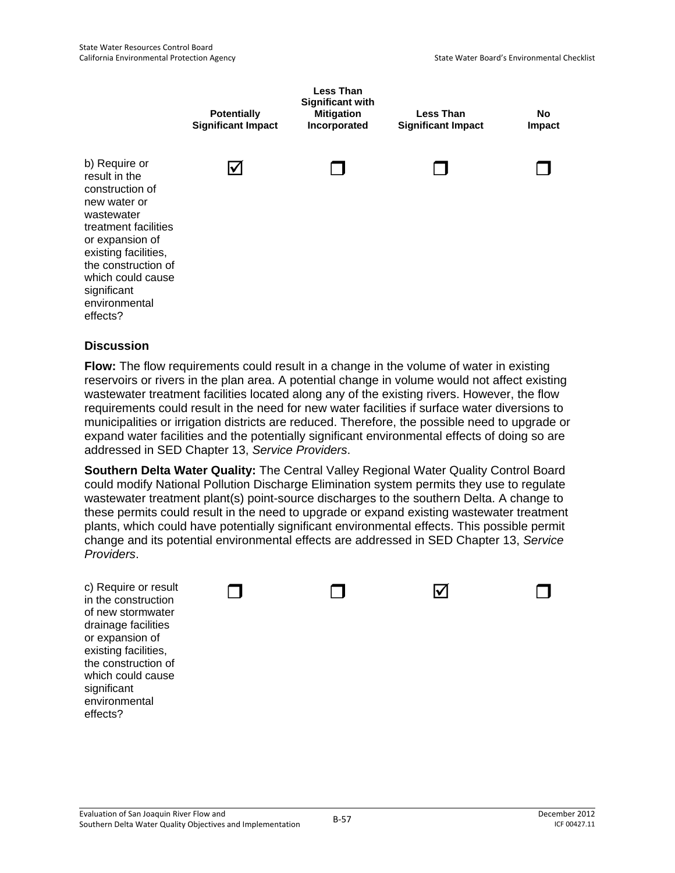

**Flow:** The flow requirements could result in a change in the volume of water in existing reservoirs or rivers in the plan area. A potential change in volume would not affect existing wastewater treatment facilities located along any of the existing rivers. However, the flow requirements could result in the need for new water facilities if surface water diversions to municipalities or irrigation districts are reduced. Therefore, the possible need to upgrade or expand water facilities and the potentially significant environmental effects of doing so are addressed in SED Chapter 13, *Service Providers*.

**Southern Delta Water Quality:** The Central Valley Regional Water Quality Control Board could modify National Pollution Discharge Elimination system permits they use to regulate wastewater treatment plant(s) point-source discharges to the southern Delta. A change to these permits could result in the need to upgrade or expand existing wastewater treatment plants, which could have potentially significant environmental effects. This possible permit change and its potential environmental effects are addressed in SED Chapter 13, *Service Providers*.

c) Require in the const of new sto drainage fa or expansi existing fa the constru which coul significant environmental effects?

| or result<br>struction | and the | $\mathbf v$ |  |
|------------------------|---------|-------------|--|
| rmwater                |         |             |  |
| acilities              |         |             |  |
| ion of                 |         |             |  |
| cilities,              |         |             |  |
| uction of              |         |             |  |
| Id cause               |         |             |  |
|                        |         |             |  |
| السفساء                |         |             |  |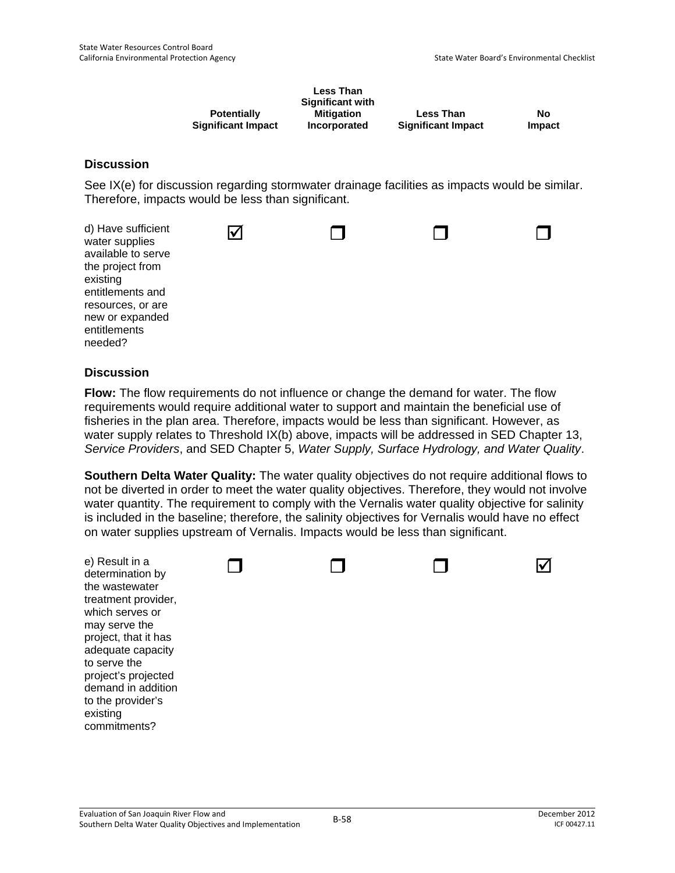|                           | <b>Less Than</b>  |                           |               |
|---------------------------|-------------------|---------------------------|---------------|
|                           | Significant with  |                           |               |
| <b>Potentially</b>        | <b>Mitigation</b> | <b>Less Than</b>          | No            |
| <b>Significant Impact</b> | Incorporated      | <b>Significant Impact</b> | <b>Impact</b> |

See IX(e) for discussion regarding stormwater drainage facilities as impacts would be similar. Therefore, impacts would be less than significant.



### **Discussion**

**Flow:** The flow requirements do not influence or change the demand for water. The flow requirements would require additional water to support and maintain the beneficial use of fisheries in the plan area. Therefore, impacts would be less than significant. However, as water supply relates to Threshold IX(b) above, impacts will be addressed in SED Chapter 13, *Service Providers*, and SED Chapter 5, *Water Supply, Surface Hydrology, and Water Quality*.

**Southern Delta Water Quality:** The water quality objectives do not require additional flows to not be diverted in order to meet the water quality objectives. Therefore, they would not involve water quantity. The requirement to comply with the Vernalis water quality objective for salinity is included in the baseline; therefore, the salinity objectives for Vernalis would have no effect on water supplies upstream of Vernalis. Impacts would be less than significant.

| e) Result in a<br>determination by        |  |  |
|-------------------------------------------|--|--|
| the wastewater<br>treatment provider,     |  |  |
| which serves or<br>may serve the          |  |  |
| project, that it has                      |  |  |
| adequate capacity<br>to serve the         |  |  |
| project's projected<br>demand in addition |  |  |
| to the provider's<br>existing             |  |  |
| commitments?                              |  |  |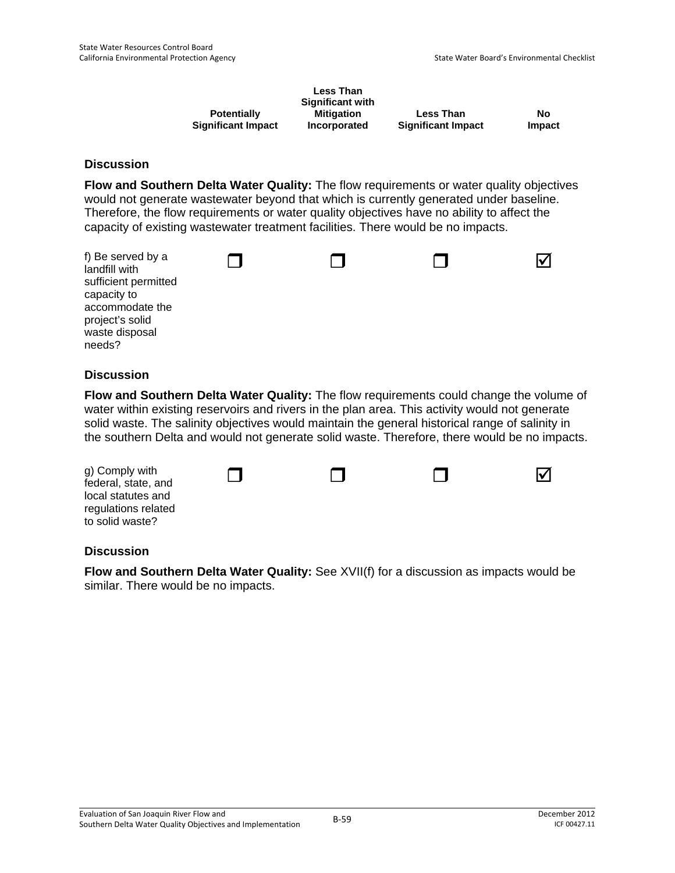|                           | <b>Less Than</b><br><b>Significant with</b> |                           |        |
|---------------------------|---------------------------------------------|---------------------------|--------|
| <b>Potentially</b>        | <b>Mitigation</b>                           | <b>Less Than</b>          | No     |
| <b>Significant Impact</b> | Incorporated                                | <b>Significant Impact</b> | Impact |

**Flow and Southern Delta Water Quality:** The flow requirements or water quality objectives would not generate wastewater beyond that which is currently generated under baseline. Therefore, the flow requirements or water quality objectives have no ability to affect the capacity of existing wastewater treatment facilities. There would be no impacts.

| f) Be served by a<br>landfill with<br>sufficient permitted<br>capacity to<br>accommodate the<br>project's solid<br>waste disposal<br>needs? |  |  |
|---------------------------------------------------------------------------------------------------------------------------------------------|--|--|
|                                                                                                                                             |  |  |

### **Discussion**

**Flow and Southern Delta Water Quality:** The flow requirements could change the volume of water within existing reservoirs and rivers in the plan area. This activity would not generate solid waste. The salinity objectives would maintain the general historical range of salinity in the southern Delta and would not generate solid waste. Therefore, there would be no impacts.

| g) Comply with<br>federal, state, and |  | $\mathsf{I} \mathsf{V}$ |
|---------------------------------------|--|-------------------------|
| local statutes and                    |  |                         |
| regulations related                   |  |                         |
| to solid waste?                       |  |                         |

### **Discussion**

**Flow and Southern Delta Water Quality:** See XVII(f) for a discussion as impacts would be similar. There would be no impacts.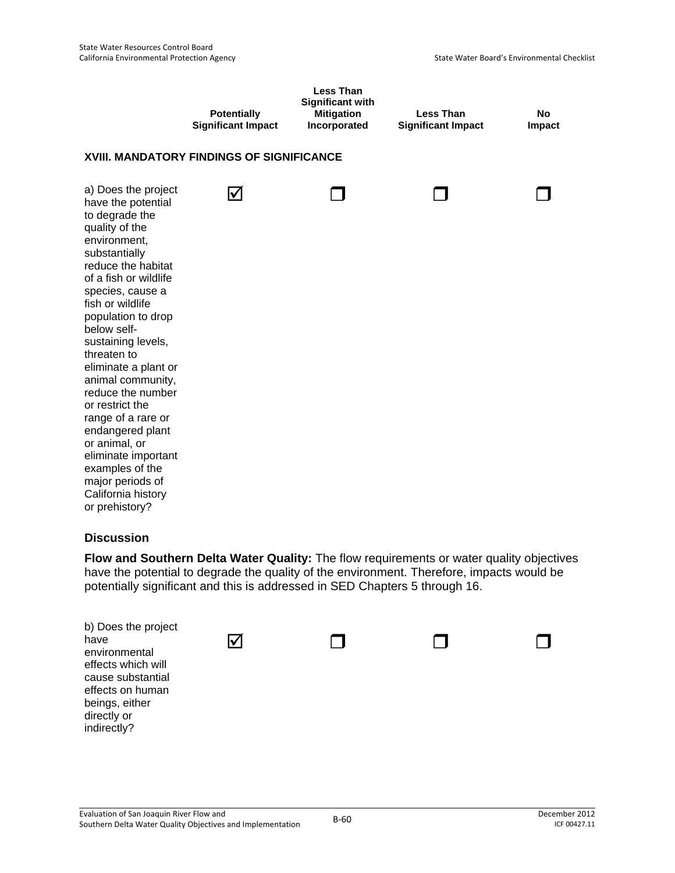|                                                                                                                                                                                                                                                                                                                                                                                                                                                                                                                                       | <b>Potentially</b><br><b>Significant Impact</b> | <b>Less Than</b><br><b>Significant with</b><br><b>Mitigation</b><br>Incorporated | <b>Less Than</b><br><b>Significant Impact</b> | <b>No</b><br>Impact |
|---------------------------------------------------------------------------------------------------------------------------------------------------------------------------------------------------------------------------------------------------------------------------------------------------------------------------------------------------------------------------------------------------------------------------------------------------------------------------------------------------------------------------------------|-------------------------------------------------|----------------------------------------------------------------------------------|-----------------------------------------------|---------------------|
|                                                                                                                                                                                                                                                                                                                                                                                                                                                                                                                                       | XVIII. MANDATORY FINDINGS OF SIGNIFICANCE       |                                                                                  |                                               |                     |
| a) Does the project<br>have the potential<br>to degrade the<br>quality of the<br>environment,<br>substantially<br>reduce the habitat<br>of a fish or wildlife<br>species, cause a<br>fish or wildlife<br>population to drop<br>below self-<br>sustaining levels,<br>threaten to<br>eliminate a plant or<br>animal community,<br>reduce the number<br>or restrict the<br>range of a rare or<br>endangered plant<br>or animal, or<br>eliminate important<br>examples of the<br>major periods of<br>California history<br>or prehistory? | $\boldsymbol{\mathcal{U}}$                      |                                                                                  |                                               |                     |
| <b>Discussion</b>                                                                                                                                                                                                                                                                                                                                                                                                                                                                                                                     |                                                 |                                                                                  |                                               |                     |

**Flow and Southern Delta Water Quality:** The flow requirements or water quality objectives have the potential to degrade the quality of the environment. Therefore, impacts would be potentially significant and this is addressed in SED Chapters 5 through 16.

| b) Does the project<br>have<br>environmental<br>effects which will<br>cause substantial<br>effects on human<br>beings, either<br>directly or<br>indirectly? |  |  |
|-------------------------------------------------------------------------------------------------------------------------------------------------------------|--|--|
|                                                                                                                                                             |  |  |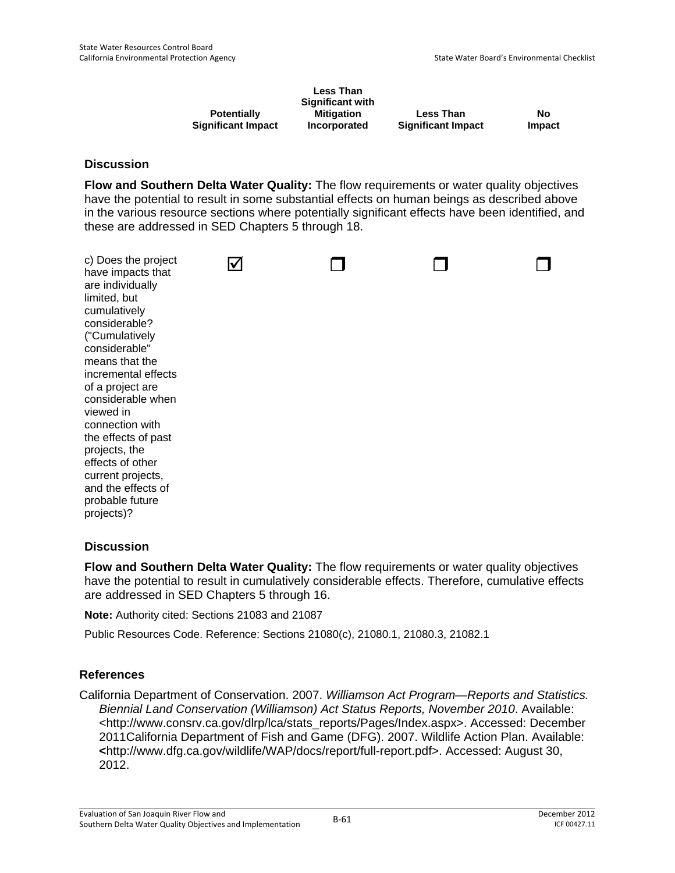|                           | <b>Less Than</b><br>Significant with |                           |               |
|---------------------------|--------------------------------------|---------------------------|---------------|
| <b>Potentially</b>        | Mitigation                           | <b>Less Than</b>          | No            |
| <b>Significant Impact</b> | Incorporated                         | <b>Significant Impact</b> | <b>Impact</b> |

**Flow and Southern Delta Water Quality:** The flow requirements or water quality objectives have the potential to result in some substantial effects on human beings as described above in the various resource sections where potentially significant effects have been identified, and these are addressed in SED Chapters 5 through 18.

|  | c) Does the project<br>have impacts that<br>are individually<br>limited, but<br>cumulatively<br>considerable?<br>("Cumulatively<br>considerable"<br>means that the<br>incremental effects<br>of a project are<br>considerable when<br>viewed in<br>connection with<br>the effects of past<br>projects, the<br>effects of other<br>current projects,<br>and the effects of<br>probable future<br>projects)? |  |  |  |  |
|--|------------------------------------------------------------------------------------------------------------------------------------------------------------------------------------------------------------------------------------------------------------------------------------------------------------------------------------------------------------------------------------------------------------|--|--|--|--|
|--|------------------------------------------------------------------------------------------------------------------------------------------------------------------------------------------------------------------------------------------------------------------------------------------------------------------------------------------------------------------------------------------------------------|--|--|--|--|

### **Discussion**

**Flow and Southern Delta Water Quality:** The flow requirements or water quality objectives have the potential to result in cumulatively considerable effects. Therefore, cumulative effects are addressed in SED Chapters 5 through 16.

**Note:** Authority cited: Sections 21083 and 21087

Public Resources Code. Reference: Sections 21080(c), 21080.1, 21080.3, 21082.1

### **References**

California Department of Conservation. 2007. *Williamson Act Program—Reports and Statistics. Biennial Land Conservation (Williamson) Act Status Reports, November 2010*. Available: <http://www.consrv.ca.gov/dlrp/lca/stats\_reports/Pages/Index.aspx>. Accessed: December 2011California Department of Fish and Game (DFG). 2007. Wildlife Action Plan. Available: **<**http://www.dfg.ca.gov/wildlife/WAP/docs/report/full-report.pdf>. Accessed: August 30, 2012.